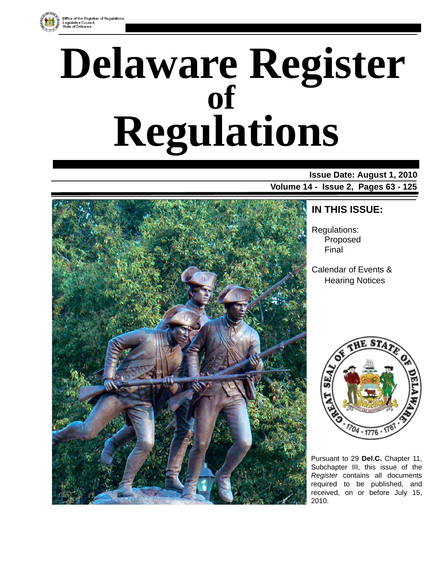

# **Delaware Register Regulations of**

### **Issue Date: August 1, 2010 Volume 14 - Issue 2, Pages 63 - 125**



### **IN THIS ISSUE:**

Regulations: Proposed Final

Calendar of Events & Hearing Notices



Pursuant to 29 **Del.C.** Chapter 11, Subchapter III, this issue of the *Register* contains all documents required to be published, and received, on or before July 15, 2010.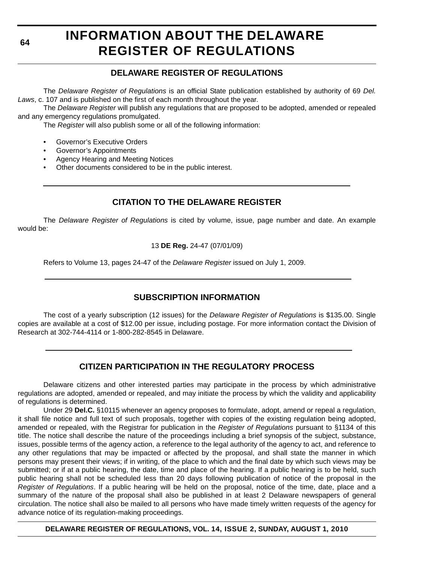**64**

### **INFORMATION ABOUT THE DELAWARE REGISTER OF REGULATIONS**

### **DELAWARE REGISTER OF REGULATIONS**

The *Delaware Register of Regulations* is an official State publication established by authority of 69 *Del. Laws*, c. 107 and is published on the first of each month throughout the year.

The *Delaware Register* will publish any regulations that are proposed to be adopted, amended or repealed and any emergency regulations promulgated.

The *Register* will also publish some or all of the following information:

- Governor's Executive Orders
- Governor's Appointments
- Agency Hearing and Meeting Notices
- Other documents considered to be in the public interest.

### **CITATION TO THE DELAWARE REGISTER**

The *Delaware Register of Regulations* is cited by volume, issue, page number and date. An example would be:

#### 13 **DE Reg.** 24-47 (07/01/09)

Refers to Volume 13, pages 24-47 of the *Delaware Register* issued on July 1, 2009.

### **SUBSCRIPTION INFORMATION**

The cost of a yearly subscription (12 issues) for the *Delaware Register of Regulations* is \$135.00. Single copies are available at a cost of \$12.00 per issue, including postage. For more information contact the Division of Research at 302-744-4114 or 1-800-282-8545 in Delaware.

### **CITIZEN PARTICIPATION IN THE REGULATORY PROCESS**

Delaware citizens and other interested parties may participate in the process by which administrative regulations are adopted, amended or repealed, and may initiate the process by which the validity and applicability of regulations is determined.

Under 29 **Del.C.** §10115 whenever an agency proposes to formulate, adopt, amend or repeal a regulation, it shall file notice and full text of such proposals, together with copies of the existing regulation being adopted, amended or repealed, with the Registrar for publication in the *Register of Regulations* pursuant to §1134 of this title. The notice shall describe the nature of the proceedings including a brief synopsis of the subject, substance, issues, possible terms of the agency action, a reference to the legal authority of the agency to act, and reference to any other regulations that may be impacted or affected by the proposal, and shall state the manner in which persons may present their views; if in writing, of the place to which and the final date by which such views may be submitted; or if at a public hearing, the date, time and place of the hearing. If a public hearing is to be held, such public hearing shall not be scheduled less than 20 days following publication of notice of the proposal in the *Register of Regulations*. If a public hearing will be held on the proposal, notice of the time, date, place and a summary of the nature of the proposal shall also be published in at least 2 Delaware newspapers of general circulation. The notice shall also be mailed to all persons who have made timely written requests of the agency for advance notice of its regulation-making proceedings.

**DELAWARE REGISTER OF REGULATIONS, VOL. 14, ISSUE 2, SUNDAY, AUGUST 1, 2010**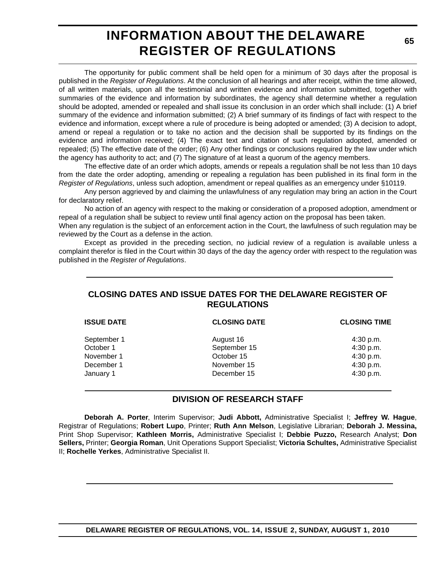### **INFORMATION ABOUT THE DELAWARE REGISTER OF REGULATIONS**

The opportunity for public comment shall be held open for a minimum of 30 days after the proposal is published in the *Register of Regulations*. At the conclusion of all hearings and after receipt, within the time allowed, of all written materials, upon all the testimonial and written evidence and information submitted, together with summaries of the evidence and information by subordinates, the agency shall determine whether a regulation should be adopted, amended or repealed and shall issue its conclusion in an order which shall include: (1) A brief summary of the evidence and information submitted; (2) A brief summary of its findings of fact with respect to the evidence and information, except where a rule of procedure is being adopted or amended; (3) A decision to adopt, amend or repeal a regulation or to take no action and the decision shall be supported by its findings on the evidence and information received; (4) The exact text and citation of such regulation adopted, amended or repealed; (5) The effective date of the order; (6) Any other findings or conclusions required by the law under which the agency has authority to act; and (7) The signature of at least a quorum of the agency members.

The effective date of an order which adopts, amends or repeals a regulation shall be not less than 10 days from the date the order adopting, amending or repealing a regulation has been published in its final form in the *Register of Regulations*, unless such adoption, amendment or repeal qualifies as an emergency under §10119.

Any person aggrieved by and claiming the unlawfulness of any regulation may bring an action in the Court for declaratory relief.

No action of an agency with respect to the making or consideration of a proposed adoption, amendment or repeal of a regulation shall be subject to review until final agency action on the proposal has been taken.

When any regulation is the subject of an enforcement action in the Court, the lawfulness of such regulation may be reviewed by the Court as a defense in the action.

Except as provided in the preceding section, no judicial review of a regulation is available unless a complaint therefor is filed in the Court within 30 days of the day the agency order with respect to the regulation was published in the *Register of Regulations*.

### **CLOSING DATES AND ISSUE DATES FOR THE DELAWARE REGISTER OF REGULATIONS**

| <b>ISSUE DATE</b> | <b>CLOSING DATE</b> | <b>CLOSING TIME</b> |
|-------------------|---------------------|---------------------|
| September 1       | August 16           | 4:30 p.m.           |
| October 1         | September 15        | 4:30 p.m.           |
| November 1        | October 15          | 4:30 p.m.           |
| December 1        | November 15         | 4:30 p.m.           |
| January 1         | December 15         | 4:30 p.m.           |

#### **DIVISION OF RESEARCH STAFF**

**Deborah A. Porter**, Interim Supervisor; **Judi Abbott,** Administrative Specialist I; **Jeffrey W. Hague**, Registrar of Regulations; **Robert Lupo**, Printer; **Ruth Ann Melson**, Legislative Librarian; **Deborah J. Messina,** Print Shop Supervisor; **Kathleen Morris,** Administrative Specialist I; **Debbie Puzzo,** Research Analyst; **Don Sellers,** Printer; **Georgia Roman**, Unit Operations Support Specialist; **Victoria Schultes,** Administrative Specialist II; **Rochelle Yerkes**, Administrative Specialist II.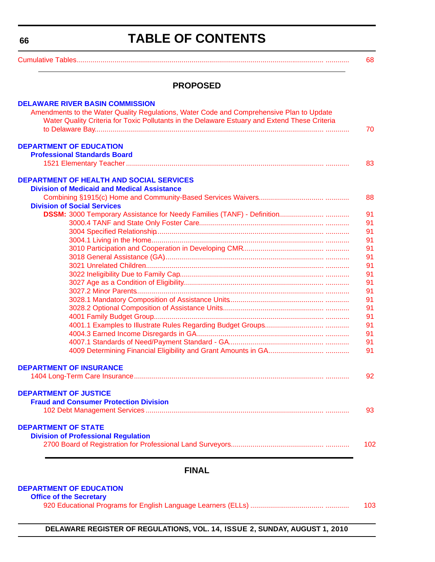<span id="page-3-0"></span>**66**

### **TABLE OF CONTENTS**

[Cumulative Tables............................................................................................................................. ............ 6](#page-5-0)8

#### **PROPOSED**

| <b>DELAWARE RIVER BASIN COMMISSION</b><br>Amendments to the Water Quality Regulations, Water Code and Comprehensive Plan to Update |          |
|------------------------------------------------------------------------------------------------------------------------------------|----------|
| Water Quality Criteria for Toxic Pollutants in the Delaware Estuary and Extend These Criteria                                      | 70       |
| <b>DEPARTMENT OF EDUCATION</b><br><b>Professional Standards Board</b>                                                              |          |
|                                                                                                                                    | 83       |
| <b>DEPARTMENT OF HEALTH AND SOCIAL SERVICES</b>                                                                                    |          |
| <b>Division of Medicaid and Medical Assistance</b>                                                                                 |          |
|                                                                                                                                    | 88       |
| <b>Division of Social Services</b>                                                                                                 |          |
|                                                                                                                                    | 91       |
|                                                                                                                                    | 91       |
|                                                                                                                                    | 91       |
|                                                                                                                                    | 91       |
|                                                                                                                                    | 91       |
|                                                                                                                                    | 91       |
|                                                                                                                                    | 91       |
|                                                                                                                                    | 91       |
|                                                                                                                                    | 91       |
|                                                                                                                                    | 91       |
|                                                                                                                                    | 91       |
|                                                                                                                                    | 91       |
|                                                                                                                                    | 91<br>91 |
|                                                                                                                                    | 91       |
|                                                                                                                                    | 91       |
|                                                                                                                                    | 91       |
|                                                                                                                                    |          |
| <b>DEPARTMENT OF INSURANCE</b>                                                                                                     |          |
|                                                                                                                                    | 92       |
| <b>DEPARTMENT OF JUSTICE</b>                                                                                                       |          |
| <b>Fraud and Consumer Protection Division</b>                                                                                      |          |
|                                                                                                                                    | 93       |
| <b>DEPARTMENT OF STATE</b>                                                                                                         |          |
| <b>Division of Professional Regulation</b>                                                                                         |          |
|                                                                                                                                    | 102      |
|                                                                                                                                    |          |
|                                                                                                                                    |          |

#### **FINAL**

#### **[DEPARTMENT OF EDUCATION](http://www.doe.k12.de.us/)**

#### **Office of the Secretary**

[920 Educational Programs for English Language Learners \(ELLs\) ..................................... ............ 103](#page-40-0)

**DELAWARE REGISTER OF REGULATIONS, VOL. 14, ISSUE 2, SUNDAY, AUGUST 1, 2010**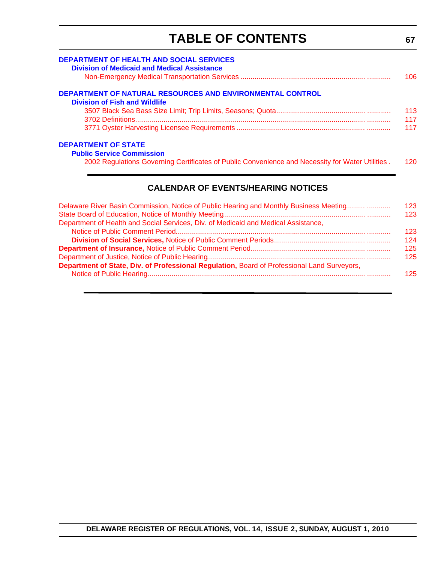# **TABLE OF CONTENTS**

<span id="page-4-0"></span>

| <b>DEPARTMENT OF HEALTH AND SOCIAL SERVICES</b><br><b>Division of Medicaid and Medical Assistance</b> | 106.   |
|-------------------------------------------------------------------------------------------------------|--------|
| <b>DEPARTMENT OF NATURAL RESOURCES AND ENVIRONMENTAL CONTROL</b>                                      |        |
| <b>Division of Fish and Wildlife</b>                                                                  |        |
|                                                                                                       | 113    |
|                                                                                                       | 117    |
|                                                                                                       | 117    |
| <b>DEPARTMENT OF STATE</b>                                                                            |        |
| <b>Public Service Commission</b>                                                                      |        |
| 2002 Regulations Governing Certificates of Public Convenience and Necessity for Water Utilities.      | 120.   |
| <b>CALENDAR OF EVENTS/HEARING NOTICES</b>                                                             |        |
| Delaware Diver Daoin Commission, Nation of Dublin Hooring and Manthly Dupinson Monting                | 4 ຕ ດ. |

| Delaware River Basin Commission, Notice of Public Hearing and Monthly Business Meeting      | $123 -$          |
|---------------------------------------------------------------------------------------------|------------------|
|                                                                                             | 123 <sub>1</sub> |
| Department of Health and Social Services, Div. of Medicaid and Medical Assistance,          |                  |
|                                                                                             | $123 -$          |
|                                                                                             | 124              |
|                                                                                             | $125 -$          |
|                                                                                             | $125 -$          |
| Department of State, Div. of Professional Regulation, Board of Professional Land Surveyors, |                  |
|                                                                                             | $125 -$          |
|                                                                                             |                  |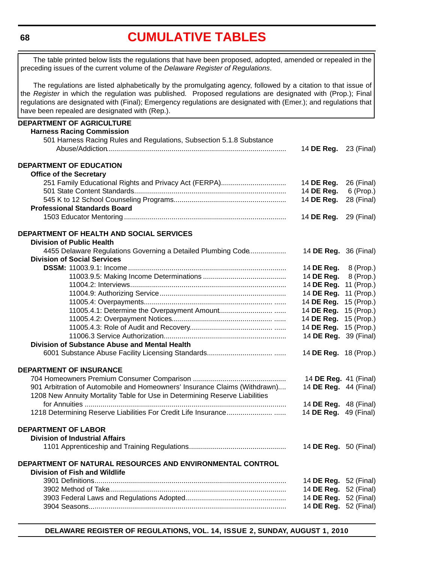<span id="page-5-0"></span>**68**

# **[CUMULATIVE TABLES](#page-3-0)**

| The regulations are listed alphabetically by the promulgating agency, followed by a citation to that issue of<br>the Register in which the regulation was published. Proposed regulations are designated with (Prop.); Final<br>regulations are designated with (Final); Emergency regulations are designated with (Emer.); and regulations that<br>have been repealed are designated with (Rep.).<br><b>Harness Racing Commission</b><br>501 Harness Racing Rules and Regulations, Subsection 5.1.8 Substance<br>14 <b>DE Reg.</b> 23 (Final)<br><b>DEPARTMENT OF EDUCATION</b><br><b>Office of the Secretary</b><br>251 Family Educational Rights and Privacy Act (FERPA)<br>26 (Final)<br>14 DE Reg.<br>14 DE Reg.<br>6 (Prop.)<br>14 DE Reg.<br><b>Professional Standards Board</b><br>14 DE Reg.<br>DEPARTMENT OF HEALTH AND SOCIAL SERVICES<br><b>Division of Public Health</b><br>4455 Delaware Regulations Governing a Detailed Plumbing Code<br>14 <b>DE Reg.</b> 36 (Final)<br><b>Division of Social Services</b><br>14 DE Reg.<br>8 (Prop.)<br>14 DE Reg.<br>8 (Prop.)<br>11 (Prop.)<br>14 DE Reg.<br>11 (Prop.)<br>14 DE Reg.<br>15 (Prop.)<br>14 DE Reg.<br>14 DE Reg.<br>14 DE Reg.<br>14 DE Reg.<br>14 DE Reg.<br>Division of Substance Abuse and Mental Health<br>14 DE Reg. 18 (Prop.)<br><b>DEPARTMENT OF INSURANCE</b><br>14 DE Reg. 41 (Final)<br>901 Arbitration of Automobile and Homeowners' Insurance Claims (Withdrawn)<br>14 DE Reg. 44 (Final)<br>1208 New Annuity Mortality Table for Use in Determining Reserve Liabilities<br>14 DE Reg. 48 (Final)<br>14 DE Reg. 49 (Final)<br><b>Division of Industrial Affairs</b><br>14 <b>DE Reg.</b> 50 (Final)<br><b>Division of Fish and Wildlife</b><br>14 <b>DE Reg.</b> 52 (Final)<br>14 DE Reg. 52 (Final)<br>14 DE Reg. 52 (Final)<br>14 DE Reg. 52 (Final) | The table printed below lists the regulations that have been proposed, adopted, amended or repealed in the<br>preceding issues of the current volume of the Delaware Register of Regulations. |            |
|----------------------------------------------------------------------------------------------------------------------------------------------------------------------------------------------------------------------------------------------------------------------------------------------------------------------------------------------------------------------------------------------------------------------------------------------------------------------------------------------------------------------------------------------------------------------------------------------------------------------------------------------------------------------------------------------------------------------------------------------------------------------------------------------------------------------------------------------------------------------------------------------------------------------------------------------------------------------------------------------------------------------------------------------------------------------------------------------------------------------------------------------------------------------------------------------------------------------------------------------------------------------------------------------------------------------------------------------------------------------------------------------------------------------------------------------------------------------------------------------------------------------------------------------------------------------------------------------------------------------------------------------------------------------------------------------------------------------------------------------------------------------------------------------------------------------------------------|-----------------------------------------------------------------------------------------------------------------------------------------------------------------------------------------------|------------|
|                                                                                                                                                                                                                                                                                                                                                                                                                                                                                                                                                                                                                                                                                                                                                                                                                                                                                                                                                                                                                                                                                                                                                                                                                                                                                                                                                                                                                                                                                                                                                                                                                                                                                                                                                                                                                                        |                                                                                                                                                                                               |            |
|                                                                                                                                                                                                                                                                                                                                                                                                                                                                                                                                                                                                                                                                                                                                                                                                                                                                                                                                                                                                                                                                                                                                                                                                                                                                                                                                                                                                                                                                                                                                                                                                                                                                                                                                                                                                                                        | DEPARTMENT OF AGRICULTURE                                                                                                                                                                     |            |
|                                                                                                                                                                                                                                                                                                                                                                                                                                                                                                                                                                                                                                                                                                                                                                                                                                                                                                                                                                                                                                                                                                                                                                                                                                                                                                                                                                                                                                                                                                                                                                                                                                                                                                                                                                                                                                        |                                                                                                                                                                                               |            |
|                                                                                                                                                                                                                                                                                                                                                                                                                                                                                                                                                                                                                                                                                                                                                                                                                                                                                                                                                                                                                                                                                                                                                                                                                                                                                                                                                                                                                                                                                                                                                                                                                                                                                                                                                                                                                                        |                                                                                                                                                                                               |            |
|                                                                                                                                                                                                                                                                                                                                                                                                                                                                                                                                                                                                                                                                                                                                                                                                                                                                                                                                                                                                                                                                                                                                                                                                                                                                                                                                                                                                                                                                                                                                                                                                                                                                                                                                                                                                                                        |                                                                                                                                                                                               |            |
|                                                                                                                                                                                                                                                                                                                                                                                                                                                                                                                                                                                                                                                                                                                                                                                                                                                                                                                                                                                                                                                                                                                                                                                                                                                                                                                                                                                                                                                                                                                                                                                                                                                                                                                                                                                                                                        |                                                                                                                                                                                               |            |
|                                                                                                                                                                                                                                                                                                                                                                                                                                                                                                                                                                                                                                                                                                                                                                                                                                                                                                                                                                                                                                                                                                                                                                                                                                                                                                                                                                                                                                                                                                                                                                                                                                                                                                                                                                                                                                        |                                                                                                                                                                                               |            |
|                                                                                                                                                                                                                                                                                                                                                                                                                                                                                                                                                                                                                                                                                                                                                                                                                                                                                                                                                                                                                                                                                                                                                                                                                                                                                                                                                                                                                                                                                                                                                                                                                                                                                                                                                                                                                                        |                                                                                                                                                                                               |            |
|                                                                                                                                                                                                                                                                                                                                                                                                                                                                                                                                                                                                                                                                                                                                                                                                                                                                                                                                                                                                                                                                                                                                                                                                                                                                                                                                                                                                                                                                                                                                                                                                                                                                                                                                                                                                                                        |                                                                                                                                                                                               |            |
|                                                                                                                                                                                                                                                                                                                                                                                                                                                                                                                                                                                                                                                                                                                                                                                                                                                                                                                                                                                                                                                                                                                                                                                                                                                                                                                                                                                                                                                                                                                                                                                                                                                                                                                                                                                                                                        |                                                                                                                                                                                               | 28 (Final) |
|                                                                                                                                                                                                                                                                                                                                                                                                                                                                                                                                                                                                                                                                                                                                                                                                                                                                                                                                                                                                                                                                                                                                                                                                                                                                                                                                                                                                                                                                                                                                                                                                                                                                                                                                                                                                                                        |                                                                                                                                                                                               |            |
|                                                                                                                                                                                                                                                                                                                                                                                                                                                                                                                                                                                                                                                                                                                                                                                                                                                                                                                                                                                                                                                                                                                                                                                                                                                                                                                                                                                                                                                                                                                                                                                                                                                                                                                                                                                                                                        |                                                                                                                                                                                               | 29 (Final) |
|                                                                                                                                                                                                                                                                                                                                                                                                                                                                                                                                                                                                                                                                                                                                                                                                                                                                                                                                                                                                                                                                                                                                                                                                                                                                                                                                                                                                                                                                                                                                                                                                                                                                                                                                                                                                                                        |                                                                                                                                                                                               |            |
|                                                                                                                                                                                                                                                                                                                                                                                                                                                                                                                                                                                                                                                                                                                                                                                                                                                                                                                                                                                                                                                                                                                                                                                                                                                                                                                                                                                                                                                                                                                                                                                                                                                                                                                                                                                                                                        |                                                                                                                                                                                               |            |
|                                                                                                                                                                                                                                                                                                                                                                                                                                                                                                                                                                                                                                                                                                                                                                                                                                                                                                                                                                                                                                                                                                                                                                                                                                                                                                                                                                                                                                                                                                                                                                                                                                                                                                                                                                                                                                        |                                                                                                                                                                                               |            |
|                                                                                                                                                                                                                                                                                                                                                                                                                                                                                                                                                                                                                                                                                                                                                                                                                                                                                                                                                                                                                                                                                                                                                                                                                                                                                                                                                                                                                                                                                                                                                                                                                                                                                                                                                                                                                                        |                                                                                                                                                                                               |            |
|                                                                                                                                                                                                                                                                                                                                                                                                                                                                                                                                                                                                                                                                                                                                                                                                                                                                                                                                                                                                                                                                                                                                                                                                                                                                                                                                                                                                                                                                                                                                                                                                                                                                                                                                                                                                                                        |                                                                                                                                                                                               |            |
|                                                                                                                                                                                                                                                                                                                                                                                                                                                                                                                                                                                                                                                                                                                                                                                                                                                                                                                                                                                                                                                                                                                                                                                                                                                                                                                                                                                                                                                                                                                                                                                                                                                                                                                                                                                                                                        |                                                                                                                                                                                               |            |
|                                                                                                                                                                                                                                                                                                                                                                                                                                                                                                                                                                                                                                                                                                                                                                                                                                                                                                                                                                                                                                                                                                                                                                                                                                                                                                                                                                                                                                                                                                                                                                                                                                                                                                                                                                                                                                        |                                                                                                                                                                                               |            |
|                                                                                                                                                                                                                                                                                                                                                                                                                                                                                                                                                                                                                                                                                                                                                                                                                                                                                                                                                                                                                                                                                                                                                                                                                                                                                                                                                                                                                                                                                                                                                                                                                                                                                                                                                                                                                                        |                                                                                                                                                                                               |            |
|                                                                                                                                                                                                                                                                                                                                                                                                                                                                                                                                                                                                                                                                                                                                                                                                                                                                                                                                                                                                                                                                                                                                                                                                                                                                                                                                                                                                                                                                                                                                                                                                                                                                                                                                                                                                                                        |                                                                                                                                                                                               |            |
|                                                                                                                                                                                                                                                                                                                                                                                                                                                                                                                                                                                                                                                                                                                                                                                                                                                                                                                                                                                                                                                                                                                                                                                                                                                                                                                                                                                                                                                                                                                                                                                                                                                                                                                                                                                                                                        |                                                                                                                                                                                               | 15 (Prop.) |
|                                                                                                                                                                                                                                                                                                                                                                                                                                                                                                                                                                                                                                                                                                                                                                                                                                                                                                                                                                                                                                                                                                                                                                                                                                                                                                                                                                                                                                                                                                                                                                                                                                                                                                                                                                                                                                        |                                                                                                                                                                                               | 15 (Prop.) |
|                                                                                                                                                                                                                                                                                                                                                                                                                                                                                                                                                                                                                                                                                                                                                                                                                                                                                                                                                                                                                                                                                                                                                                                                                                                                                                                                                                                                                                                                                                                                                                                                                                                                                                                                                                                                                                        |                                                                                                                                                                                               | 15 (Prop.) |
|                                                                                                                                                                                                                                                                                                                                                                                                                                                                                                                                                                                                                                                                                                                                                                                                                                                                                                                                                                                                                                                                                                                                                                                                                                                                                                                                                                                                                                                                                                                                                                                                                                                                                                                                                                                                                                        |                                                                                                                                                                                               | 39 (Final) |
|                                                                                                                                                                                                                                                                                                                                                                                                                                                                                                                                                                                                                                                                                                                                                                                                                                                                                                                                                                                                                                                                                                                                                                                                                                                                                                                                                                                                                                                                                                                                                                                                                                                                                                                                                                                                                                        |                                                                                                                                                                                               |            |
|                                                                                                                                                                                                                                                                                                                                                                                                                                                                                                                                                                                                                                                                                                                                                                                                                                                                                                                                                                                                                                                                                                                                                                                                                                                                                                                                                                                                                                                                                                                                                                                                                                                                                                                                                                                                                                        |                                                                                                                                                                                               |            |
|                                                                                                                                                                                                                                                                                                                                                                                                                                                                                                                                                                                                                                                                                                                                                                                                                                                                                                                                                                                                                                                                                                                                                                                                                                                                                                                                                                                                                                                                                                                                                                                                                                                                                                                                                                                                                                        |                                                                                                                                                                                               |            |
|                                                                                                                                                                                                                                                                                                                                                                                                                                                                                                                                                                                                                                                                                                                                                                                                                                                                                                                                                                                                                                                                                                                                                                                                                                                                                                                                                                                                                                                                                                                                                                                                                                                                                                                                                                                                                                        |                                                                                                                                                                                               |            |
|                                                                                                                                                                                                                                                                                                                                                                                                                                                                                                                                                                                                                                                                                                                                                                                                                                                                                                                                                                                                                                                                                                                                                                                                                                                                                                                                                                                                                                                                                                                                                                                                                                                                                                                                                                                                                                        |                                                                                                                                                                                               |            |
|                                                                                                                                                                                                                                                                                                                                                                                                                                                                                                                                                                                                                                                                                                                                                                                                                                                                                                                                                                                                                                                                                                                                                                                                                                                                                                                                                                                                                                                                                                                                                                                                                                                                                                                                                                                                                                        |                                                                                                                                                                                               |            |
|                                                                                                                                                                                                                                                                                                                                                                                                                                                                                                                                                                                                                                                                                                                                                                                                                                                                                                                                                                                                                                                                                                                                                                                                                                                                                                                                                                                                                                                                                                                                                                                                                                                                                                                                                                                                                                        |                                                                                                                                                                                               |            |
|                                                                                                                                                                                                                                                                                                                                                                                                                                                                                                                                                                                                                                                                                                                                                                                                                                                                                                                                                                                                                                                                                                                                                                                                                                                                                                                                                                                                                                                                                                                                                                                                                                                                                                                                                                                                                                        |                                                                                                                                                                                               |            |
|                                                                                                                                                                                                                                                                                                                                                                                                                                                                                                                                                                                                                                                                                                                                                                                                                                                                                                                                                                                                                                                                                                                                                                                                                                                                                                                                                                                                                                                                                                                                                                                                                                                                                                                                                                                                                                        |                                                                                                                                                                                               |            |
|                                                                                                                                                                                                                                                                                                                                                                                                                                                                                                                                                                                                                                                                                                                                                                                                                                                                                                                                                                                                                                                                                                                                                                                                                                                                                                                                                                                                                                                                                                                                                                                                                                                                                                                                                                                                                                        | <b>DEPARTMENT OF LABOR</b>                                                                                                                                                                    |            |
|                                                                                                                                                                                                                                                                                                                                                                                                                                                                                                                                                                                                                                                                                                                                                                                                                                                                                                                                                                                                                                                                                                                                                                                                                                                                                                                                                                                                                                                                                                                                                                                                                                                                                                                                                                                                                                        |                                                                                                                                                                                               |            |
|                                                                                                                                                                                                                                                                                                                                                                                                                                                                                                                                                                                                                                                                                                                                                                                                                                                                                                                                                                                                                                                                                                                                                                                                                                                                                                                                                                                                                                                                                                                                                                                                                                                                                                                                                                                                                                        |                                                                                                                                                                                               |            |
|                                                                                                                                                                                                                                                                                                                                                                                                                                                                                                                                                                                                                                                                                                                                                                                                                                                                                                                                                                                                                                                                                                                                                                                                                                                                                                                                                                                                                                                                                                                                                                                                                                                                                                                                                                                                                                        | DEPARTMENT OF NATURAL RESOURCES AND ENVIRONMENTAL CONTROL                                                                                                                                     |            |
|                                                                                                                                                                                                                                                                                                                                                                                                                                                                                                                                                                                                                                                                                                                                                                                                                                                                                                                                                                                                                                                                                                                                                                                                                                                                                                                                                                                                                                                                                                                                                                                                                                                                                                                                                                                                                                        |                                                                                                                                                                                               |            |
|                                                                                                                                                                                                                                                                                                                                                                                                                                                                                                                                                                                                                                                                                                                                                                                                                                                                                                                                                                                                                                                                                                                                                                                                                                                                                                                                                                                                                                                                                                                                                                                                                                                                                                                                                                                                                                        |                                                                                                                                                                                               |            |
|                                                                                                                                                                                                                                                                                                                                                                                                                                                                                                                                                                                                                                                                                                                                                                                                                                                                                                                                                                                                                                                                                                                                                                                                                                                                                                                                                                                                                                                                                                                                                                                                                                                                                                                                                                                                                                        |                                                                                                                                                                                               |            |
|                                                                                                                                                                                                                                                                                                                                                                                                                                                                                                                                                                                                                                                                                                                                                                                                                                                                                                                                                                                                                                                                                                                                                                                                                                                                                                                                                                                                                                                                                                                                                                                                                                                                                                                                                                                                                                        |                                                                                                                                                                                               |            |

**DELAWARE REGISTER OF REGULATIONS, VOL. 14, ISSUE 2, SUNDAY, AUGUST 1, 2010**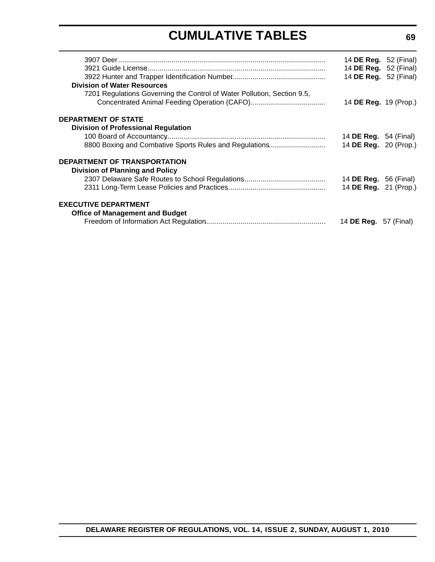# **CUMULATIVE TABLES**

|                                                                         | 14 <b>DE Reg.</b> 52 (Final)<br>14 DE Reg. 52 (Final)<br>14 DE Reg. 52 (Final) |  |
|-------------------------------------------------------------------------|--------------------------------------------------------------------------------|--|
| <b>Division of Water Resources</b>                                      |                                                                                |  |
| 7201 Regulations Governing the Control of Water Pollution, Section 9.5, |                                                                                |  |
|                                                                         | 14 DE Reg. 19 (Prop.)                                                          |  |
| DEPARTMENT OF STATE                                                     |                                                                                |  |
| <b>Division of Professional Regulation</b>                              |                                                                                |  |
|                                                                         | 14 <b>DE Reg.</b> 54 (Final)                                                   |  |
| 8800 Boxing and Combative Sports Rules and Regulations                  | 14 DE Reg. 20 (Prop.)                                                          |  |
| <b>DEPARTMENT OF TRANSPORTATION</b>                                     |                                                                                |  |
| <b>Division of Planning and Policy</b>                                  |                                                                                |  |
|                                                                         | 14 <b>DE Reg.</b> 56 (Final)                                                   |  |
|                                                                         | 14 DE Reg. 21 (Prop.)                                                          |  |
| <b>EXECUTIVE DEPARTMENT</b>                                             |                                                                                |  |
| <b>Office of Management and Budget</b>                                  |                                                                                |  |
|                                                                         | 14 <b>DE Reg.</b> 57 (Final)                                                   |  |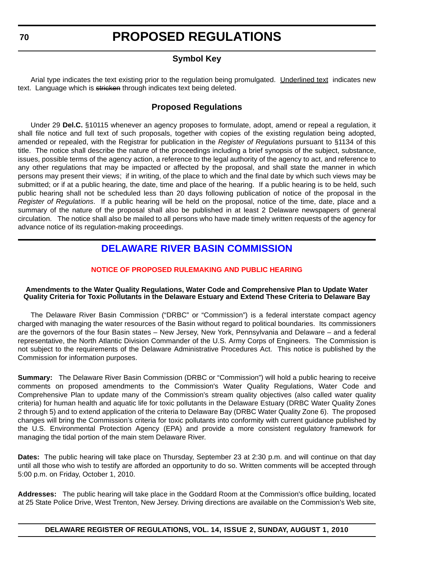### **Symbol Key**

Arial type indicates the text existing prior to the regulation being promulgated. Underlined text indicates new text. Language which is stricken through indicates text being deleted.

### **Proposed Regulations**

Under 29 **Del.C.** §10115 whenever an agency proposes to formulate, adopt, amend or repeal a regulation, it shall file notice and full text of such proposals, together with copies of the existing regulation being adopted, amended or repealed, with the Registrar for publication in the *Register of Regulations* pursuant to §1134 of this title. The notice shall describe the nature of the proceedings including a brief synopsis of the subject, substance, issues, possible terms of the agency action, a reference to the legal authority of the agency to act, and reference to any other regulations that may be impacted or affected by the proposal, and shall state the manner in which persons may present their views; if in writing, of the place to which and the final date by which such views may be submitted; or if at a public hearing, the date, time and place of the hearing. If a public hearing is to be held, such public hearing shall not be scheduled less than 20 days following publication of notice of the proposal in the *Register of Regulations*. If a public hearing will be held on the proposal, notice of the time, date, place and a summary of the nature of the proposal shall also be published in at least 2 Delaware newspapers of general circulation. The notice shall also be mailed to all persons who have made timely written requests of the agency for advance notice of its regulation-making proceedings.

### **[DELAWARE RIVER BASIN COMMISSION](http://www.state.nj.us/drbc/)**

#### **[NOTICE OF PROPOSED RULEMAKING AND PUBLIC HEARING](#page-3-0)**

#### **Amendments to the Water Quality Regulations, Water Code and Comprehensive Plan to Update Water Quality Criteria for Toxic Pollutants in the Delaware Estuary and Extend These Criteria to Delaware Bay**

The Delaware River Basin Commission ("DRBC" or "Commission") is a federal interstate compact agency charged with managing the water resources of the Basin without regard to political boundaries. Its commissioners are the governors of the four Basin states – New Jersey, New York, Pennsylvania and Delaware – and a federal representative, the North Atlantic Division Commander of the U.S. Army Corps of Engineers. The Commission is not subject to the requirements of the Delaware Administrative Procedures Act. This notice is published by the Commission for information purposes.

**Summary:** The Delaware River Basin Commission (DRBC or "Commission") will hold a public hearing to receive comments on proposed amendments to the Commission's Water Quality Regulations, Water Code and Comprehensive Plan to update many of the Commission's stream quality objectives (also called water quality criteria) for human health and aquatic life for toxic pollutants in the Delaware Estuary (DRBC Water Quality Zones 2 through 5) and to extend application of the criteria to Delaware Bay (DRBC Water Quality Zone 6). The proposed changes will bring the Commission's criteria for toxic pollutants into conformity with current guidance published by the U.S. Environmental Protection Agency (EPA) and provide a more consistent regulatory framework for managing the tidal portion of the main stem Delaware River.

**Dates:** The public hearing will take place on Thursday, September 23 at 2:30 p.m. and will continue on that day until all those who wish to testify are afforded an opportunity to do so. Written comments will be accepted through 5:00 p.m. on Friday, October 1, 2010.

**Addresses:** The public hearing will take place in the Goddard Room at the Commission's office building, located at 25 State Police Drive, West Trenton, New Jersey. Driving directions are available on the Commission's Web site,

<span id="page-7-0"></span>**70**

#### **DELAWARE REGISTER OF REGULATIONS, VOL. 14, ISSUE 2, SUNDAY, AUGUST 1, 2010**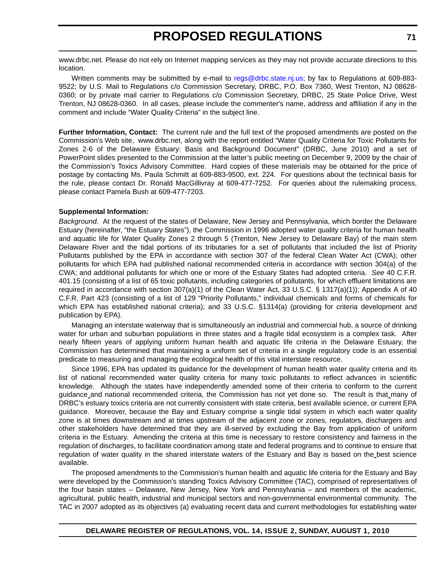www.drbc.net. Please do not rely on Internet mapping services as they may not provide accurate directions to this location.

Written comments may be submitted by e-mail to [regs@drbc.state.nj.us;](mailto:regs@drbc.state.nj.us) by fax to Regulations at 609-883-9522; by U.S. Mail to Regulations c/o Commission Secretary, DRBC, P.O. Box 7360, West Trenton, NJ 08628- 0360; or by private mail carrier to Regulations c/o Commission Secretary, DRBC, 25 State Police Drive, West Trenton, NJ 08628-0360. In all cases, please include the commenter's name, address and affiliation if any in the comment and include "Water Quality Criteria" in the subject line.

**Further Information, Contact:** [The current rule and the full text of the proposed amendments are posted on the](http://frwebgate.access.gpo.gov/cgi-bin/leaving.cgi?from=leavingFR.html&log=linklog&to=http://www.drbc.net) Commission's Web site, www.drbc.net, along with the report entitled "Water Quality Criteria for Toxic Pollutants for [Zones 2-6 of the Delaware Estuary: Basis and Background Document" \(DRBC, June 2010\) and a set of](http://frwebgate.access.gpo.gov/cgi-bin/leaving.cgi?from=leavingFR.html&log=linklog&to=http://www.drbc.net) PowerPoint slides presented to the Commission at the latter's public meeting on December 9, 2009 by the chair of the Commission's Toxics Advisory Committee. Hard copies of these materials may be obtained for the price of postage by contacting Ms. Paula Schmitt at 609-883-9500, ext. 224. For questions about the technical basis for the rule, please contact Dr. Ronald MacGillivray at 609-477-7252. For queries about the rulemaking process, please contact Pamela Bush at 609-477-7203.

#### **Supplemental Information:**

*Background.* At the request of the states of Delaware, New Jersey and Pennsylvania, which border the Delaware Estuary (hereinafter, "the Estuary States"), the Commission in 1996 adopted water quality criteria for human health and aquatic life for Water Quality Zones 2 through 5 (Trenton, New Jersey to Delaware Bay) of the main stem Delaware River and the tidal portions of its tributaries for a set of pollutants that included the list of Priority Pollutants published by the EPA in accordance with section 307 of the federal Clean Water Act (CWA); other pollutants for which EPA had published national recommended criteria in accordance with section 304(a) of the CWA; and additional pollutants for which one or more of the Estuary States had adopted criteria. *See* 40 C.F.R. 401.15 (consisting of a list of 65 toxic pollutants, including categories of pollutants, for which effluent limitations are required in accordance with section 307(a)(1) of the Clean Water Act, 33 U.S.C. § 1317(a)(1)); Appendix A of 40 C.F.R. Part 423 (consisting of a list of 129 "Priority Pollutants," individual chemicals and forms of chemicals for which EPA has established national criteria); and 33 U.S.C. §1314(a) (providing for criteria development and publication by EPA).

Managing an interstate waterway that is simultaneously an industrial and commercial hub, a source of drinking water for urban and suburban populations in three states and a fragile tidal ecosystem is a complex task. After nearly fifteen years of applying uniform human health and aquatic life criteria in the Delaware Estuary, the Commission has determined that maintaining a uniform set of criteria in a single regulatory code is an essential predicate to measuring and managing the ecological health of this vital interstate resource.

Since 1996, EPA has updated its guidance for the development of human health water quality criteria and its list of national recommended water quality criteria for many toxic pollutants to reflect advances in scientific knowledge. Although the states have independently amended some of their criteria to conform to the current guidance and national recommended criteria, the Commission has not yet done so. The result is that many of DRBC's estuary toxics criteria are not currently consistent with state criteria, best available science, or current EPA guidance. Moreover, because the Bay and Estuary comprise a single tidal system in which each water quality zone is at times downstream and at times upstream of the adjacent zone or zones, regulators, dischargers and other stakeholders have determined that they are ill-served by excluding the Bay from application of uniform criteria in the Estuary. Amending the criteria at this time is necessary to restore consistency and fairness in the regulation of discharges, to facilitate coordination among state and federal programs and to continue to ensure that regulation of water quality in the shared interstate waters of the Estuary and Bay is based on the best science available.

The proposed amendments to the Commission's human health and aquatic life criteria for the Estuary and Bay were developed by the Commission's standing Toxics Advisory Committee (TAC), comprised of representatives of the four basin states – Delaware, New Jersey, New York and Pennsylvania – and members of the academic, agricultural, public health, industrial and municipal sectors and non-governmental environmental community. The TAC in 2007 adopted as its objectives (a) evaluating recent data and current methodologies for establishing water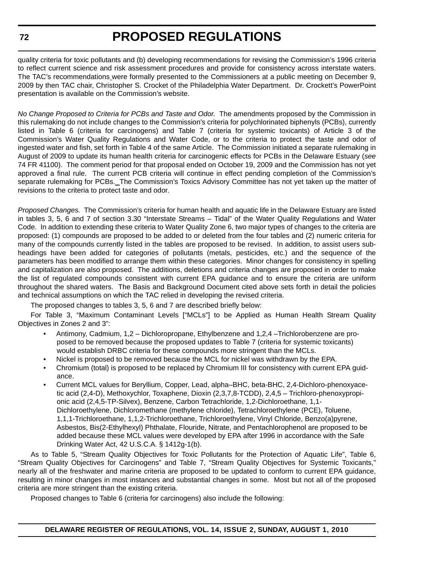quality criteria for toxic pollutants and (b) developing recommendations for revising the Commission's 1996 criteria to reflect current science and risk assessment procedures and provide for consistency across interstate waters. The TAC's recommendations were formally presented to the Commissioners at a public meeting on December 9, 2009 by then TAC chair, Christopher S. Crocket of the Philadelphia Water Department. Dr. Crockett's PowerPoint presentation is available on the Commission's website.

*No Change Proposed to Criteria for PCBs and Taste and Odor.* The amendments proposed by the Commission in this rulemaking do not include changes to the Commission's criteria for polychlorinated biphenyls (PCBs), currently listed in Table 6 (criteria for carcinogens) and Table 7 (criteria for systemic toxicants) of Article 3 of the Commission's Water Quality Regulations and Water Code, or to the criteria to protect the taste and odor of ingested water and fish, set forth in Table 4 of the same Article. The Commission initiated a separate rulemaking in August of 2009 to update its human health criteria for carcinogenic effects for PCBs in the Delaware Estuary (*see* 74 FR 41100). The comment period for that proposal ended on October 19, 2009 and the Commission has not yet approved a final rule. The current PCB criteria will continue in effect pending completion of the Commission's separate rulemaking for PCBs. The Commission's Toxics Advisory Committee has not yet taken up the matter of revisions to the criteria to protect taste and odor.

*Proposed Changes.* The Commission's criteria for human health and aquatic life in the Delaware Estuary are listed in tables 3, 5, 6 and 7 of section 3.30 "Interstate Streams – Tidal" of the Water Quality Regulations and Water Code. In addition to extending these criteria to Water Quality Zone 6, two major types of changes to the criteria are proposed: (1) compounds are proposed to be added to or deleted from the four tables and (2) numeric criteria for many of the compounds currently listed in the tables are proposed to be revised. In addition, to assist users subheadings have been added for categories of pollutants (metals, pesticides, etc.) and the sequence of the parameters has been modified to arrange them within these categories. Minor changes for consistency in spelling and capitalization are also proposed. The additions, deletions and criteria changes are proposed in order to make the list of regulated compounds consistent with current EPA guidance and to ensure the criteria are uniform throughout the shared waters. The Basis and Background Document cited above sets forth in detail the policies and technical assumptions on which the TAC relied in developing the revised criteria.

The proposed changes to tables 3, 5, 6 and 7 are described briefly below:

For Table 3, "Maximum Contaminant Levels ["MCLs"] to be Applied as Human Health Stream Quality Objectives in Zones 2 and 3":

- Antimony, Cadmium, 1,2 Dichloropropane, Ethylbenzene and 1,2,4 –Trichlorobenzene are proposed to be removed because the proposed updates to Table 7 (criteria for systemic toxicants) would establish DRBC criteria for these compounds more stringent than the MCLs.
- Nickel is proposed to be removed because the MCL for nickel was withdrawn by the EPA.
- Chromium (total) is proposed to be replaced by Chromium III for consistency with current EPA guidance.
- Current MCL values for Beryllium, Copper, Lead, alpha–BHC, beta-BHC, 2,4-Dichloro-phenoxyacetic acid (2,4-D), Methoxychlor, Toxaphene, Dioxin (2,3,7,8-TCDD), 2,4,5 – Trichloro-phenoxypropionic acid (2,4,5-TP-Silvex), Benzene, Carbon Tetrachloride, 1,2-Dichloroethane, 1,1- Dichloroethylene, Dichloromethane (methylene chloride), Tetrachloroethylene (PCE), Toluene, 1,1,1-Trichloroethane, 1,1,2-Trichloroethane, Trichloroethylene, Vinyl Chloride, Benzo(a)pyrene, Asbestos, Bis(2-Ethylhexyl) Phthalate, Flouride, Nitrate, and Pentachlorophenol are proposed to be added because these MCL values were developed by EPA after 1996 in accordance with the Safe Drinking Water Act, 42 U.S.C.A. § 1412g-1(b).

As to Table 5, "Stream Quality Objectives for Toxic Pollutants for the Protection of Aquatic Life", Table 6, "Stream Quality Objectives for Carcinogens" and Table 7, "Stream Quality Objectives for Systemic Toxicants," nearly all of the freshwater and marine criteria are proposed to be updated to conform to current EPA guidance, resulting in minor changes in most instances and substantial changes in some. Most but not all of the proposed criteria are more stringent than the existing criteria.

Proposed changes to Table 6 (criteria for carcinogens) also include the following: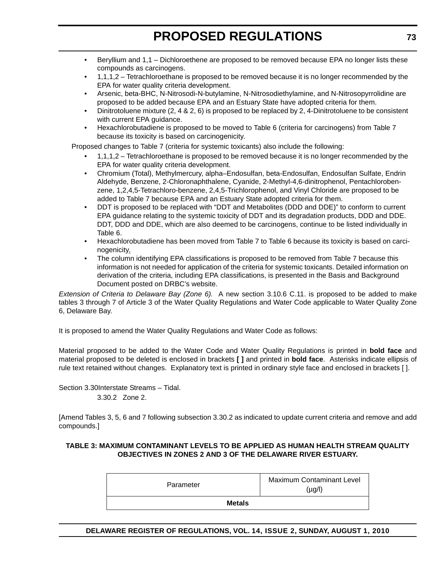- Beryllium and 1,1 Dichloroethene are proposed to be removed because EPA no longer lists these compounds as carcinogens.
- 1,1,1,2 Tetrachloroethane is proposed to be removed because it is no longer recommended by the EPA for water quality criteria development.
- Arsenic, beta-BHC, N-Nitrosodi-N-butylamine, N-Nitrosodiethylamine, and N-Nitrosopyrrolidine are proposed to be added because EPA and an Estuary State have adopted criteria for them.
- Dinitrotoluene mixture (2, 4 & 2, 6) is proposed to be replaced by 2, 4-Dinitrotoluene to be consistent with current EPA guidance.
- Hexachlorobutadiene is proposed to be moved to Table 6 (criteria for carcinogens) from Table 7 because its toxicity is based on carcinogenicity.

Proposed changes to Table 7 (criteria for systemic toxicants) also include the following:

- 1,1,1,2 Tetrachloroethane is proposed to be removed because it is no longer recommended by the EPA for water quality criteria development.
- Chromium (Total), Methylmercury, alpha–Endosulfan, beta-Endosulfan, Endosulfan Sulfate, Endrin Aldehyde, Benzene, 2-Chloronaphthalene, Cyanide, 2-Methyl-4,6-dinitrophenol, Pentachlorobenzene, 1,2,4,5-Tetrachloro-benzene, 2,4,5-Trichlorophenol, and Vinyl Chloride are proposed to be added to Table 7 because EPA and an Estuary State adopted criteria for them.
- DDT is proposed to be replaced with "DDT and Metabolites (DDD and DDE)" to conform to current EPA guidance relating to the systemic toxicity of DDT and its degradation products, DDD and DDE. DDT, DDD and DDE, which are also deemed to be carcinogens, continue to be listed individually in Table 6.
- Hexachlorobutadiene has been moved from Table 7 to Table 6 because its toxicity is based on carcinogenicity.
- The column identifying EPA classifications is proposed to be removed from Table 7 because this information is not needed for application of the criteria for systemic toxicants. Detailed information on derivation of the criteria, including EPA classifications, is presented in the Basis and Background Document posted on DRBC's website.

*Extension of Criteria to Delaware Bay (Zone 6).* A new section 3.10.6 C.11. is proposed to be added to make tables 3 through 7 of Article 3 of the Water Quality Regulations and Water Code applicable to Water Quality Zone 6, Delaware Bay.

It is proposed to amend the Water Quality Regulations and Water Code as follows:

Material proposed to be added to the Water Code and Water Quality Regulations is printed in **bold face** and material proposed to be deleted is enclosed in brackets **[ ]** and printed in **bold face**. Asterisks indicate ellipsis of rule text retained without changes. Explanatory text is printed in ordinary style face and enclosed in brackets [ ].

Section 3.30Interstate Streams – Tidal. 3.30.2 Zone 2.

[Amend Tables 3, 5, 6 and 7 following subsection 3.30.2 as indicated to update current criteria and remove and add compounds.]

#### **TABLE 3: MAXIMUM CONTAMINANT LEVELS TO BE APPLIED AS HUMAN HEALTH STREAM QUALITY OBJECTIVES IN ZONES 2 AND 3 OF THE DELAWARE RIVER ESTUARY.**

| Parameter     | <b>Maximum Contaminant Level</b><br>(µg/l) |  |  |
|---------------|--------------------------------------------|--|--|
| <b>Metals</b> |                                            |  |  |

**DELAWARE REGISTER OF REGULATIONS, VOL. 14, ISSUE 2, SUNDAY, AUGUST 1, 2010**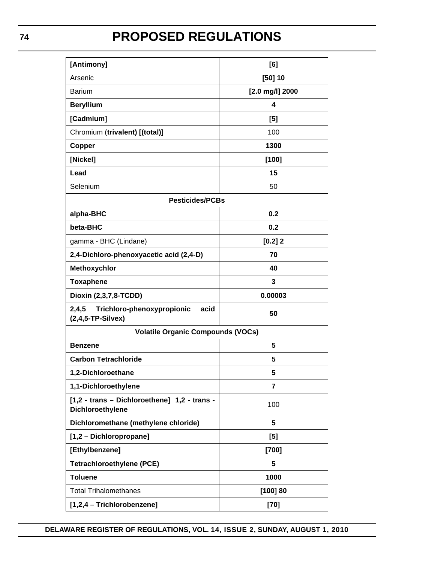| [Antimony]                                                         | [6]             |  |  |
|--------------------------------------------------------------------|-----------------|--|--|
| Arsenic                                                            | [50] 10         |  |  |
| <b>Barium</b>                                                      | [2.0 mg/l] 2000 |  |  |
| <b>Beryllium</b>                                                   | 4               |  |  |
| [Cadmium]                                                          | [5]             |  |  |
| Chromium (trivalent) [(total)]                                     | 100             |  |  |
| Copper                                                             | 1300            |  |  |
| [Nickel]                                                           | [100]           |  |  |
| Lead                                                               | 15              |  |  |
| Selenium                                                           | 50              |  |  |
| <b>Pesticides/PCBs</b>                                             |                 |  |  |
| alpha-BHC                                                          | 0.2             |  |  |
| beta-BHC                                                           | 0.2             |  |  |
| gamma - BHC (Lindane)                                              | [0.2]2          |  |  |
| 2,4-Dichloro-phenoxyacetic acid (2,4-D)                            | 70              |  |  |
| Methoxychlor                                                       | 40              |  |  |
| <b>Toxaphene</b>                                                   | 3               |  |  |
| Dioxin (2,3,7,8-TCDD)                                              | 0.00003         |  |  |
| 2,4,5<br>Trichloro-phenoxypropionic<br>acid<br>$(2,4,5-TP-Silvex)$ | 50              |  |  |
| <b>Volatile Organic Compounds (VOCs)</b>                           |                 |  |  |
| 5<br><b>Benzene</b>                                                |                 |  |  |
| <b>Carbon Tetrachloride</b>                                        | 5               |  |  |
| 1,2-Dichloroethane                                                 | 5               |  |  |
| 1,1-Dichloroethylene                                               | $\overline{7}$  |  |  |
| [1,2 - trans - Dichloroethene] 1,2 - trans -<br>Dichloroethylene   | 100             |  |  |
| Dichloromethane (methylene chloride)                               | 5               |  |  |
| [1,2 - Dichloropropane]                                            | [5]             |  |  |
| [Ethylbenzene]                                                     | $[700]$         |  |  |
| <b>Tetrachloroethylene (PCE)</b>                                   | 5               |  |  |
| <b>Toluene</b>                                                     | 1000            |  |  |
| <b>Total Trihalomethanes</b>                                       | [100] 80        |  |  |
| [1,2,4 - Trichlorobenzene]                                         | $[70]$          |  |  |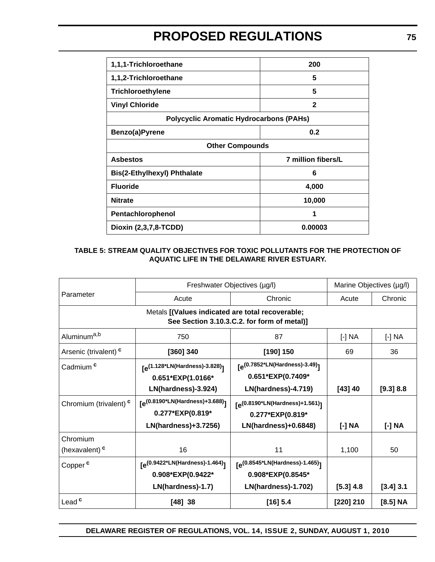| 1,1,1-Trichloroethane                          | 200                |  |  |
|------------------------------------------------|--------------------|--|--|
| 1,1,2-Trichloroethane                          | 5                  |  |  |
| Trichloroethylene                              | 5                  |  |  |
| <b>Vinyl Chloride</b>                          | $\mathbf{2}$       |  |  |
| <b>Polycyclic Aromatic Hydrocarbons (PAHs)</b> |                    |  |  |
| Benzo(a)Pyrene<br>0.2                          |                    |  |  |
| <b>Other Compounds</b>                         |                    |  |  |
| <b>Asbestos</b>                                | 7 million fibers/L |  |  |
| <b>Bis(2-Ethylhexyl) Phthalate</b>             | 6                  |  |  |
| <b>Fluoride</b>                                | 4,000              |  |  |
| <b>Nitrate</b><br>10,000                       |                    |  |  |
| Pentachlorophenol                              | 1                  |  |  |
| Dioxin (2,3,7,8-TCDD)                          | 0.00003            |  |  |

#### **TABLE 5: STREAM QUALITY OBJECTIVES FOR TOXIC POLLUTANTS FOR THE PROTECTION OF AQUATIC LIFE IN THE DELAWARE RIVER ESTUARY.**

|                                       | Freshwater Objectives (µg/l)                                                            |                                                                                         | Marine Objectives (µg/l) |             |
|---------------------------------------|-----------------------------------------------------------------------------------------|-----------------------------------------------------------------------------------------|--------------------------|-------------|
| Parameter                             | Acute                                                                                   | Chronic                                                                                 | Acute                    | Chronic     |
|                                       | Metals [(Values indicated are total recoverable;                                        | See Section 3.10.3.C.2. for form of metal)]                                             |                          |             |
| Aluminum <sup>a,b</sup>               | 750                                                                                     | 87                                                                                      | [-] NA                   | [-] NA      |
| Arsenic (trivalent) <sup>c</sup>      | [360] 340                                                                               | [190] 150                                                                               | 69                       | 36          |
| Cadmium <sup>c</sup>                  | [e <sup>(1.128*LN(Hardness)-3.828)</sup> ]<br>0.651*EXP(1.0166*<br>LN(hardness)-3.924)  | [e <sup>(0.7852*LN(Hardness)-3.49)</sup> ]<br>0.651*EXP(0.7409*<br>LN(hardness)-4.719)  | [43] 40                  | [9.3] 8.8   |
| Chromium (trivalent) <sup>c</sup>     | [e <sup>(0.8190*LN(Hardness)+3.688)</sup> ]<br>0.277*EXP(0.819*<br>LN(hardness)+3.7256) | [e <sup>(0.8190*LN(Hardness)+1.561)</sup> ]<br>0.277*EXP(0.819*<br>LN(hardness)+0.6848) | [-] NA                   | [-] NA      |
| Chromium<br>(hexavalent) <sup>c</sup> | 16                                                                                      | 11                                                                                      | 1,100                    | 50          |
| Copper <sup>c</sup>                   | [e <sup>(0.9422*LN(Hardness)-1.464)</sup> ]<br>0.908*EXP(0.9422*<br>LN(hardness)-1.7)   | [e <sup>(0.8545*LN(Hardness)-1.465)</sup> ]<br>0.908*EXP(0.8545*<br>LN(hardness)-1.702) | $[5.3]$ 4.8              | $[3.4]$ 3.1 |
| Lead <sup>c</sup>                     | [48] 38                                                                                 | [16] 5.4                                                                                | [220] 210                | [8.5] NA    |

**DELAWARE REGISTER OF REGULATIONS, VOL. 14, ISSUE 2, SUNDAY, AUGUST 1, 2010**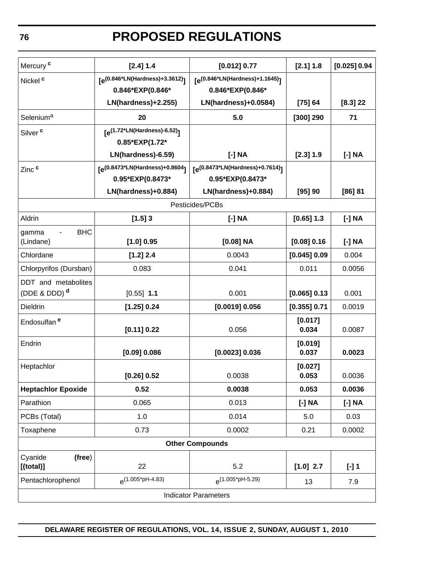| Mercury <sup>c</sup>      | [2.4] 1.4                                   | [0.012] 0.77                             | $[2.1]$ 1.8      | [0.025] 0.94 |
|---------------------------|---------------------------------------------|------------------------------------------|------------------|--------------|
| Nickel <sup>c</sup>       | [e <sup>(0.846*LN(Hardness)+3.3612)</sup> ] | $[e^{(0.846 * LN(Hardness) + 1.1645)}]$  |                  |              |
|                           | 0.846*EXP(0.846*                            | 0.846*EXP(0.846*                         |                  |              |
|                           | LN(hardness)+2.255)                         | LN(hardness)+0.0584)                     | [75] 64          | $[8.3]$ 22   |
| Selenium <sup>a</sup>     | 20                                          | 5.0                                      | $[300]$ 290      | 71           |
| Silver <sup>c</sup>       | $[e^{(1.72 * LN(Hardness) - 6.52)}]$        |                                          |                  |              |
|                           | 0.85*EXP(1.72*                              |                                          |                  |              |
|                           | LN(hardness)-6.59)                          | [-] NA                                   | $[2.3]$ 1.9      | [-] NA       |
| Zinc <sup>c</sup>         | [e <sup>(0.8473*LN(Hardness)+0.8604</sup> ] | $[e^{(0.8473 * LN(Hardness) + 0.7614)}]$ |                  |              |
|                           | 0.95*EXP(0.8473*                            | 0.95*EXP(0.8473*                         |                  |              |
|                           | LN(hardness)+0.884)                         | LN(hardness)+0.884)                      | [95] 90          | [86] 81      |
|                           |                                             | Pesticides/PCBs                          |                  |              |
| Aldrin                    | $[1.5]$ 3                                   | [-] NA                                   | $[0.65]$ 1.3     | $[-] NA$     |
| <b>BHC</b><br>gamma       |                                             |                                          |                  |              |
| (Lindane)                 | [1.0] 0.95                                  | $[0.08]$ NA                              | [0.08] 0.16      | [-] NA       |
| Chlordane                 | [1.2] 2.4                                   | 0.0043                                   | [0.045] 0.09     | 0.004        |
| Chlorpyrifos (Dursban)    | 0.083                                       | 0.041                                    | 0.011            | 0.0056       |
| DDT and metabolites       |                                             |                                          |                  |              |
| (DDE & DDD) $d$           | $[0.55]$ 1.1                                | 0.001                                    | [0.065] 0.13     | 0.001        |
| Dieldrin                  | [1.25] 0.24                                 | $[0.0019]$ 0.056                         | $[0.355]$ 0.71   | 0.0019       |
| Endosulfan <sup>e</sup>   |                                             |                                          | [0.017]          |              |
|                           | [0.11] 0.22                                 | 0.056                                    | 0.034            | 0.0087       |
| Endrin                    |                                             |                                          | [0.019]          |              |
|                           | $[0.09]$ 0.086                              | [0.0023] 0.036                           | 0.037            | 0.0023       |
| Heptachlor                | [0.26] 0.52                                 | 0.0038                                   | [0.027]<br>0.053 | 0.0036       |
| <b>Heptachlor Epoxide</b> | 0.52                                        | 0.0038                                   | 0.053            | 0.0036       |
| Parathion                 | 0.065                                       | 0.013                                    | [-] NA           | [-] NA       |
| PCBs (Total)              | 1.0                                         | 0.014                                    | 5.0              | 0.03         |
| Toxaphene                 | 0.73                                        | 0.0002                                   | 0.21             | 0.0002       |
|                           |                                             | <b>Other Compounds</b>                   |                  |              |
| Cyanide<br>(free)         |                                             |                                          |                  |              |
| $[$ (total)]              | 22                                          | 5.2                                      | $[1.0]$ 2.7      | $[-]$ 1      |
| Pentachlorophenol         | $\rho$ (1.005*pH-4.83)                      | $\rho(1.005^*$ pH-5.29)                  | 13               | 7.9          |
|                           |                                             | <b>Indicator Parameters</b>              |                  |              |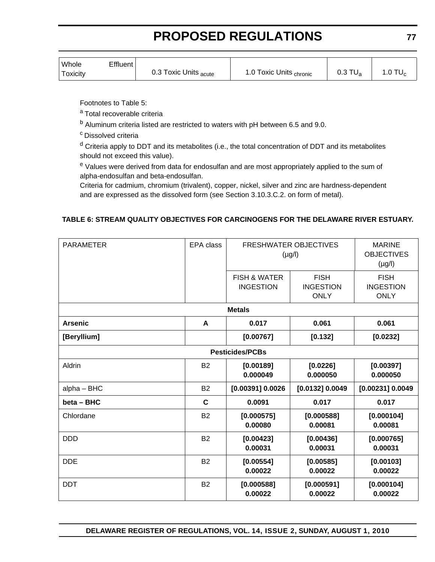| Whole<br>Toxicity | Effluent | 0.3 Toxic Units <sub>acute</sub> | 1.0 Toxic Units <sub>chronic</sub> | $0.3$ TU <sub>a</sub> | $.0$ TU $_{\rm c}$ |
|-------------------|----------|----------------------------------|------------------------------------|-----------------------|--------------------|
|                   |          |                                  |                                    |                       |                    |

Footnotes to Table 5:

a Total recoverable criteria

b Aluminum criteria listed are restricted to waters with pH between 6.5 and 9.0.

c Dissolved criteria

 $d$  Criteria apply to DDT and its metabolites (i.e., the total concentration of DDT and its metabolites should not exceed this value).

e Values were derived from data for endosulfan and are most appropriately applied to the sum of alpha-endosulfan and beta-endosulfan.

Criteria for cadmium, chromium (trivalent), copper, nickel, silver and zinc are hardness-dependent and are expressed as the dissolved form (see Section 3.10.3.C.2. on form of metal).

#### **TABLE 6: STREAM QUALITY OBJECTIVES FOR CARCINOGENS FOR THE DELAWARE RIVER ESTUARY.**

| <b>PARAMETER</b>       | EPA class   | <b>FRESHWATER OBJECTIVES</b><br>$(\mu g/l)$ |                                                | <b>MARINE</b><br><b>OBJECTIVES</b><br>$(\mu g/l)$ |  |  |
|------------------------|-------------|---------------------------------------------|------------------------------------------------|---------------------------------------------------|--|--|
|                        |             | <b>FISH &amp; WATER</b><br><b>INGESTION</b> | <b>FISH</b><br><b>INGESTION</b><br><b>ONLY</b> | <b>FISH</b><br><b>INGESTION</b><br><b>ONLY</b>    |  |  |
|                        |             | <b>Metals</b>                               |                                                |                                                   |  |  |
| <b>Arsenic</b>         | A           | 0.017                                       | 0.061                                          | 0.061                                             |  |  |
| [Beryllium]            |             | [0.00767]<br>[0.132]                        |                                                | [0.0232]                                          |  |  |
| <b>Pesticides/PCBs</b> |             |                                             |                                                |                                                   |  |  |
| Aldrin                 | <b>B2</b>   | [0.00189]<br>0.000049                       | [0.0226]<br>0.000050                           | [0.00397]<br>0.000050                             |  |  |
| alpha - BHC            | <b>B2</b>   | $[0.00391]$ 0.0026                          | [0.0132] 0.0049                                | [0.00231] 0.0049                                  |  |  |
| beta - BHC             | $\mathbf c$ | 0.0091                                      | 0.017                                          | 0.017                                             |  |  |
| Chlordane              | <b>B2</b>   | [0.000575]<br>0.00080                       | [0.000588]<br>0.00081                          | [0.000104]<br>0.00081                             |  |  |
| <b>DDD</b>             | <b>B2</b>   | [0.00423]<br>0.00031                        | [0.00436]<br>0.00031                           | [0.000765]<br>0.00031                             |  |  |
| <b>DDE</b>             | <b>B2</b>   | [0.00554]<br>0.00022                        | [0.00585]<br>0.00022                           | [0.00103]<br>0.00022                              |  |  |
| <b>DDT</b>             | <b>B2</b>   | [0.000588]<br>0.00022                       | [0.000591]<br>0.00022                          | [0.000104]<br>0.00022                             |  |  |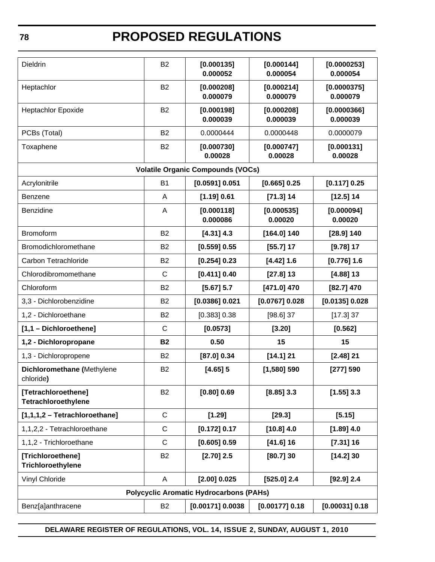| <b>Dieldrin</b>                            | <b>B2</b>      | [0.000135]<br>0.000052                         | [0.000144]<br>0.000054 | [0.0000253]<br>0.000054 |  |
|--------------------------------------------|----------------|------------------------------------------------|------------------------|-------------------------|--|
| Heptachlor                                 | <b>B2</b>      | [0.000208]<br>0.000079                         | [0.000214]<br>0.000079 | [0.0000375]<br>0.000079 |  |
| <b>Heptachlor Epoxide</b>                  | <b>B2</b>      | [0.000198]<br>0.000039                         | [0.000208]<br>0.000039 | [0.0000366]<br>0.000039 |  |
| PCBs (Total)                               | <b>B2</b>      | 0.0000444                                      | 0.0000448              | 0.0000079               |  |
| Toxaphene                                  | <b>B2</b>      | [0.000730]<br>0.00028                          | [0.000747]<br>0.00028  | [0.000131]<br>0.00028   |  |
|                                            |                | <b>Volatile Organic Compounds (VOCs)</b>       |                        |                         |  |
| Acrylonitrile                              | <b>B1</b>      | [0.0591] 0.051                                 | [0.665] 0.25           | [0.117] 0.25            |  |
| <b>Benzene</b>                             | A              | [1.19] 0.61                                    | [71.3] 14              | $[12.5]$ 14             |  |
| Benzidine                                  | A              | [0.000118]<br>0.000086                         | [0.000535]<br>0.00020  | [0.000094]<br>0.00020   |  |
| Bromoform                                  | <b>B2</b>      | $[4.31]$ 4.3                                   | $[164.0]$ 140          | $[28.9]$ 140            |  |
| Bromodichloromethane                       | B <sub>2</sub> | $[0.559]$ 0.55                                 | $[55.7]$ 17            | $[9.78]$ 17             |  |
| Carbon Tetrachloride                       | <b>B2</b>      | [0.254] 0.23                                   | [4.42] 1.6             | $[0.776]$ 1.6           |  |
| Chlorodibromomethane                       | $\mathsf{C}$   | [0.411] 0.40                                   | $[27.8]$ 13            | $[4.88]$ 13             |  |
| Chloroform                                 | B <sub>2</sub> | $[5.67]$ 5.7                                   | $[471.0]$ 470          | $[82.7]$ 470            |  |
| 3,3 - Dichlorobenzidine                    | <b>B2</b>      | $[0.0386]$ 0.021                               | [0.0767] 0.028         | [0.0135] 0.028          |  |
| 1,2 - Dichloroethane                       | B <sub>2</sub> | $[0.383]$ 0.38                                 | $[98.6]$ 37            | [17.3] 37               |  |
| [1,1 - Dichloroethene]                     | $\mathsf{C}$   | [0.0573]                                       | [3.20]                 | [0.562]                 |  |
| 1,2 - Dichloropropane                      | <b>B2</b>      | 0.50                                           | 15                     | 15                      |  |
| 1,3 - Dichloropropene                      | <b>B2</b>      | [87.0] 0.34                                    | $[14.1]$ 21            | $[2.48]$ 21             |  |
| Dichloromethane (Methylene<br>chloride)    | <b>B2</b>      | $[4.65]$ 5                                     | $[1,580]$ 590          | [277] 590               |  |
| [Tetrachloroethene]<br>Tetrachloroethylene | <b>B2</b>      | [0.80] 0.69                                    | $[8.85]$ 3.3           | $[1.55]$ 3.3            |  |
| [1,1,1,2 - Tetrachloroethane]              | $\mathsf{C}$   | [1.29]                                         | [29.3]                 | [5.15]                  |  |
| 1,1,2,2 - Tetrachloroethane                | $\mathsf{C}$   | [0.172] 0.17                                   | $[10.8]$ 4.0           | $[1.89]$ 4.0            |  |
| 1,1,2 - Trichloroethane                    | $\mathsf{C}$   | [0.605] 0.59                                   | $[41.6]$ 16            | $[7.31]$ 16             |  |
| [Trichloroethene]<br>Trichloroethylene     | <b>B2</b>      | $[2.70]$ 2.5                                   | $[80.7]$ 30            | [14.2]30                |  |
| Vinyl Chloride                             | A              | $[2.00]$ 0.025                                 | $[525.0]$ 2.4          | $[92.9]$ 2.4            |  |
|                                            |                | <b>Polycyclic Aromatic Hydrocarbons (PAHs)</b> |                        |                         |  |
| Benz[a]anthracene                          | <b>B2</b>      | $[0.00171]$ 0.0038                             | [0.00177] 0.18         | [0.00031] 0.18          |  |

**DELAWARE REGISTER OF REGULATIONS, VOL. 14, ISSUE 2, SUNDAY, AUGUST 1, 2010**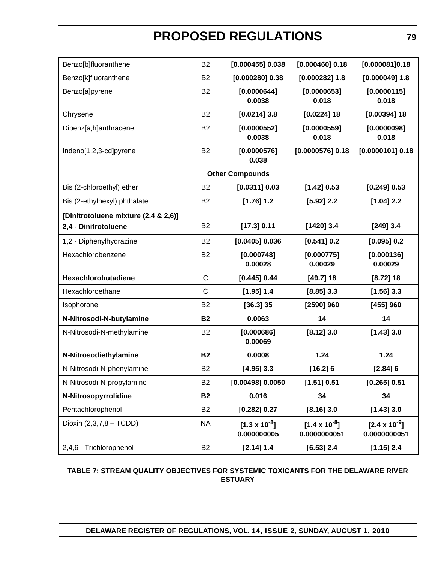| Benzo[b]fluoranthene                 | <b>B2</b>      | $[0.000455]$ 0.038                    | $[0.000460]$ 0.18                      | [0.000081]0.18                         |
|--------------------------------------|----------------|---------------------------------------|----------------------------------------|----------------------------------------|
| Benzo[k]fluoranthene                 | <b>B2</b>      | $[0.000280]$ 0.38                     | $[0.000282]$ 1.8                       | $[0.000049]$ 1.8                       |
| Benzo[a]pyrene                       | B <sub>2</sub> | [0.0000644]<br>0.0038                 | [0.0000653]<br>0.018                   | [0.0000115]<br>0.018                   |
| Chrysene                             | <b>B2</b>      | $[0.0214]$ 3.8                        | $[0.0224]$ 18                          | $[0.00394]$ 18                         |
| Dibenz[a,h]anthracene                | <b>B2</b>      | [0.0000552]<br>0.0038                 | [0.0000559]<br>0.018                   | [0.0000098]<br>0.018                   |
| Indeno[1,2,3-cd]pyrene               | <b>B2</b>      | [0.0000576]<br>0.038                  | $[0.0000576]$ 0.18                     | $[0.0000101]$ 0.18                     |
|                                      |                | <b>Other Compounds</b>                |                                        |                                        |
| Bis (2-chloroethyl) ether            | <b>B2</b>      | [0.0311] 0.03                         | [1.42] 0.53                            | $[0.249]$ 0.53                         |
| Bis (2-ethylhexyl) phthalate         | B <sub>2</sub> | $[1.76]$ 1.2                          | $[5.92]$ 2.2                           | $[1.04]$ 2.2                           |
| [Dinitrotoluene mixture (2,4 & 2,6)] |                |                                       |                                        |                                        |
| 2,4 - Dinitrotoluene                 | <b>B2</b>      | [17.3] 0.11                           | $[1420]$ 3.4                           | $[249]$ 3.4                            |
| 1,2 - Diphenylhydrazine              | <b>B2</b>      | [0.0405] 0.036                        | [0.541] 0.2                            | [0.095] 0.2                            |
| Hexachlorobenzene                    | B <sub>2</sub> | [0.000748]<br>0.00028                 | [0.000775]<br>0.00029                  | [0.000136]<br>0.00029                  |
| Hexachlorobutadiene                  | $\mathsf{C}$   | [0.445] 0.44                          | $[49.7]$ 18                            | $[8.72]$ 18                            |
| Hexachloroethane                     | $\mathsf{C}$   | [1.95] 1.4                            | $[8.85]$ 3.3                           | $[1.56]$ 3.3                           |
| Isophorone                           | <b>B2</b>      | $[36.3]$ 35                           | [2590] 960                             | $[455]$ 960                            |
| N-Nitrosodi-N-butylamine             | <b>B2</b>      | 0.0063                                | 14                                     | 14                                     |
| N-Nitrosodi-N-methylamine            | <b>B2</b>      | [0.000686]<br>0.00069                 | $[8.12]$ 3.0                           | $[1.43]$ 3.0                           |
| N-Nitrosodiethylamine                | <b>B2</b>      | 0.0008                                | 1.24                                   | 1.24                                   |
| N-Nitrosodi-N-phenylamine            | B <sub>2</sub> | $[4.95]$ 3.3                          | [16.2] 6                               | [2.84]6                                |
| N-Nitrosodi-N-propylamine            | <b>B2</b>      | $[0.00498]$ 0.0050                    | [1.51] 0.51                            | [0.265] 0.51                           |
| N-Nitrosopyrrolidine                 | <b>B2</b>      | 0.016                                 | 34                                     | 34                                     |
| Pentachlorophenol                    | <b>B2</b>      | [0.282] 0.27                          | $[8.16]$ 3.0                           | [1.43]3.0                              |
| Dioxin (2,3,7,8 - TCDD)              | <b>NA</b>      | $[1.3 \times 10^{-8}]$<br>0.000000005 | $[1.4 \times 10^{-8}]$<br>0.0000000051 | $[2.4 \times 10^{-9}]$<br>0.0000000051 |
| 2,4,6 - Trichlorophenol              | <b>B2</b>      | [2.14] 1.4                            | $[6.53]$ 2.4                           | $[1.15]$ 2.4                           |

#### **TABLE 7: STREAM QUALITY OBJECTIVES FOR SYSTEMIC TOXICANTS FOR THE DELAWARE RIVER ESTUARY**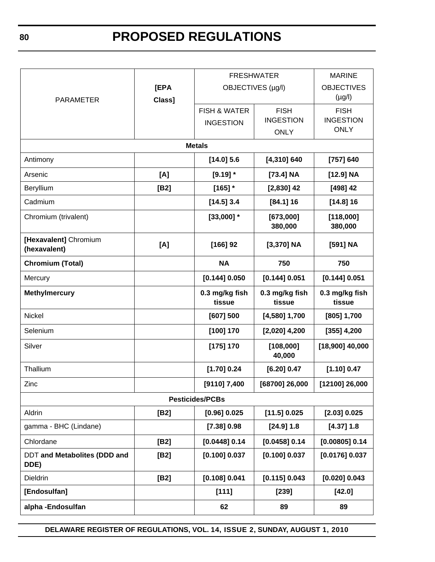|                                             |                | <b>FRESHWATER</b>                           | <b>MARINE</b>                                  |                                                |
|---------------------------------------------|----------------|---------------------------------------------|------------------------------------------------|------------------------------------------------|
| <b>PARAMETER</b>                            | [EPA<br>Class] |                                             | OBJECTIVES (µg/l)                              |                                                |
|                                             |                | <b>FISH &amp; WATER</b><br><b>INGESTION</b> | <b>FISH</b><br><b>INGESTION</b><br><b>ONLY</b> | <b>FISH</b><br><b>INGESTION</b><br><b>ONLY</b> |
|                                             |                | <b>Metals</b>                               |                                                |                                                |
| Antimony                                    |                | $[14.0]$ 5.6                                | $[4,310]$ 640                                  | [757] 640                                      |
| Arsenic                                     | [A]            | $[9.19]$ *                                  | $[73.4]$ NA                                    | $[12.9]$ NA                                    |
| Beryllium                                   | [B2]           | $[165]$ *                                   | $[2,830]$ 42                                   | $[498]$ 42                                     |
| Cadmium                                     |                | $[14.5]$ 3.4                                | $[84.1]$ 16                                    | $[14.8]$ 16                                    |
| Chromium (trivalent)                        |                | $[33,000]$ *                                | [673,000]<br>380,000                           | [118,000]<br>380,000                           |
| [Hexavalent] Chromium<br>(hexavalent)       | [A]            | $[166]$ 92<br>$[3,370]$ NA                  |                                                | [591] NA                                       |
| <b>Chromium (Total)</b>                     |                | 750<br><b>NA</b>                            |                                                | 750                                            |
| Mercury                                     |                | [0.144] 0.050                               | [0.144] 0.051                                  | [0.144] 0.051                                  |
| <b>Methylmercury</b>                        |                | 0.3 mg/kg fish<br>tissue                    | 0.3 mg/kg fish<br>tissue                       | 0.3 mg/kg fish<br>tissue                       |
| Nickel                                      |                | [607] 500                                   | $[4,580]$ 1,700                                | [805] 1,700                                    |
| Selenium                                    |                | [100] 170                                   | $[2,020]$ 4,200                                | $[355]$ 4,200                                  |
| Silver                                      |                | [175] 170                                   | [108,000]<br>40,000                            | $[18,900]$ 40,000                              |
| Thallium                                    |                | [1.70] 0.24                                 | [6.20] 0.47                                    | [1.10] 0.47                                    |
| Zinc                                        |                | [9110] 7,400                                | [68700] 26,000                                 | [12100] 26,000                                 |
|                                             |                | <b>Pesticides/PCBs</b>                      |                                                |                                                |
| Aldrin                                      | [B2]           | [0.96] 0.025                                | [11.5] 0.025                                   | [2.03] 0.025                                   |
| gamma - BHC (Lindane)                       |                | [7.38] 0.98                                 | $[24.9]$ 1.8                                   | [4.37] 1.8                                     |
| Chlordane                                   | [B2]           | [0.0448] 0.14                               | [0.0458] 0.14                                  | [0.00805] 0.14                                 |
| <b>DDT and Metabolites (DDD and</b><br>DDE) | [B2]           | [0.100] 0.037                               | [0.100] 0.037                                  | [0.0176] 0.037                                 |
| Dieldrin                                    | [B2]           | [0.108] 0.041                               | [0.115] 0.043                                  | [0.020] 0.043                                  |
| [Endosulfan]                                |                | [111]                                       | $[239]$                                        | [42.0]                                         |
| alpha-Endosulfan                            |                | 62                                          | 89                                             | 89                                             |

**DELAWARE REGISTER OF REGULATIONS, VOL. 14, ISSUE 2, SUNDAY, AUGUST 1, 2010**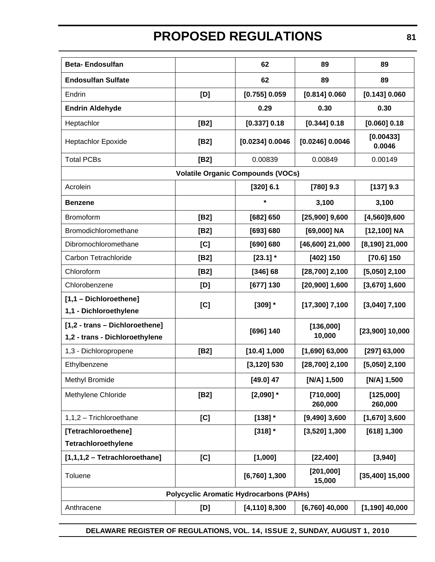| <b>Beta-Endosulfan</b>                                           |      | 62                                             | 89                   | 89                   |
|------------------------------------------------------------------|------|------------------------------------------------|----------------------|----------------------|
| <b>Endosulfan Sulfate</b>                                        |      | 62                                             | 89                   | 89                   |
| Endrin                                                           | [D]  | [0.755] 0.059                                  | [0.814] 0.060        | [0.143] 0.060        |
| <b>Endrin Aldehyde</b>                                           |      | 0.29                                           | 0.30                 | 0.30                 |
| Heptachlor                                                       | [B2] | [0.337] 0.18                                   | [0.344] 0.18         | [0.060] 0.18         |
| <b>Heptachlor Epoxide</b>                                        | [B2] | [0.0234] 0.0046                                | $[0.0246]$ 0.0046    | [0.00433]<br>0.0046  |
| <b>Total PCBs</b>                                                | [B2] | 0.00839                                        | 0.00849              | 0.00149              |
|                                                                  |      | <b>Volatile Organic Compounds (VOCs)</b>       |                      |                      |
| Acrolein                                                         |      | [320] 6.1                                      | $[780]$ 9.3          | [137] 9.3            |
| <b>Benzene</b>                                                   |      | $\star$                                        | 3,100                | 3,100                |
| Bromoform                                                        | [B2] | [682] 650                                      | $[25,900]$ 9,600     | [4, 560]9, 600       |
| Bromodichloromethane                                             | [B2] | [693] 680                                      | $[69,000]$ NA        | $[12, 100]$ NA       |
| Dibromochloromethane                                             | [C]  | [690] 680                                      | $[46,600]$ 21,000    | $[8, 190]$ 21,000    |
| Carbon Tetrachloride                                             | [B2] | $[23.1]$ *                                     | [402] 150            | $[70.6]$ 150         |
| Chloroform                                                       | [B2] | [346] 68                                       | $[28,700]$ 2,100     | $[5,050]$ 2,100      |
| Chlorobenzene                                                    | [D]  | [677] 130                                      | $[20,900]$ 1,600     | $[3,670]$ 1,600      |
| [1,1 - Dichloroethene]                                           | [C]  | $[309]$ $*$                                    | $[17,300]$ 7,100     | $[3,040]$ 7,100      |
| 1,1 - Dichloroethylene                                           |      |                                                |                      |                      |
| [1,2 - trans - Dichloroethene]<br>1,2 - trans - Dichloroethylene |      | [696] 140                                      | [136,000]<br>10,000  | $[23,900]$ 10,000    |
| 1,3 - Dichloropropene                                            | [B2] | [10.4] 1,000                                   | $[1,690]$ 63,000     | [297] 63,000         |
| Ethylbenzene                                                     |      | $[3, 120]$ 530                                 | $[28,700]$ 2,100     | $[5,050]$ 2,100      |
| Methyl Bromide                                                   |      | $[49.0]$ 47                                    | [N/A] 1,500          | [N/A] 1,500          |
| Methylene Chloride                                               | [B2] | $[2,090]$ *                                    | [710,000]<br>260,000 | [125,000]<br>260,000 |
| 1,1,2 - Trichloroethane                                          | [C]  | $[138]$ *                                      | $[9,490]$ 3,600      | $[1,670]$ 3,600      |
| [Tetrachloroethene]                                              |      | $[318]$ $*$                                    | $[3,520]$ 1,300      | [618] 1,300          |
| Tetrachloroethylene                                              |      |                                                |                      |                      |
| $[1,1,1,2$ - Tetrachloroethane]                                  | [C]  | [1,000]                                        | [22, 400]            | [3,940]              |
| Toluene                                                          |      | $[6,760]$ 1,300                                | [201,000]<br>15,000  | $[35,400]$ 15,000    |
|                                                                  |      | <b>Polycyclic Aromatic Hydrocarbons (PAHs)</b> |                      |                      |
| Anthracene                                                       | [D]  | $[4, 110]$ 8,300                               | $[6,760]$ 40,000     | $[1,190]$ 40,000     |

**DELAWARE REGISTER OF REGULATIONS, VOL. 14, ISSUE 2, SUNDAY, AUGUST 1, 2010**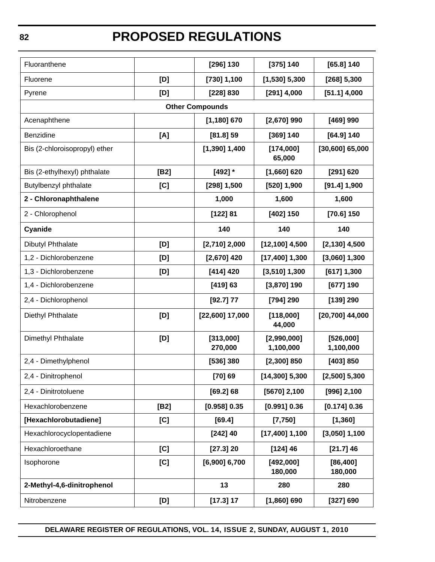| Fluoranthene                  |      | [296] 130              | [375] 140                | $[65.8]$ 140           |
|-------------------------------|------|------------------------|--------------------------|------------------------|
| Fluorene                      | [D]  | [730] 1,100            | $[1,530]$ 5,300          | $[268]$ 5,300          |
| Pyrene                        | [D]  | [228] 830              | $[291]$ 4,000            | $[51.1]$ 4,000         |
|                               |      | <b>Other Compounds</b> |                          |                        |
| Acenaphthene                  |      | $[1,180]$ 670          | $[2,670]$ 990            | [469] 990              |
| Benzidine                     | [A]  | $[81.8]$ 59            | [369] 140                | $[64.9]$ 140           |
| Bis (2-chloroisopropyl) ether |      | $[1,390]$ 1,400        | [174,000]<br>65,000      | $[30,600]$ 65,000      |
| Bis (2-ethylhexyl) phthalate  | [B2] | $[492]$ *              | $[1,660]$ 620            | [291] 620              |
| Butylbenzyl phthalate         | [C]  | $[298]$ 1,500          | $[520]$ 1,900            | $[91.4]$ 1,900         |
| 2 - Chloronaphthalene         |      | 1,000                  | 1,600                    | 1,600                  |
| 2 - Chlorophenol              |      | [122] 81               | [402] 150                | $[70.6]$ 150           |
| Cyanide                       |      | 140                    | 140                      | 140                    |
| Dibutyl Phthalate             | [D]  | $[2,710]$ 2,000        | $[12, 100]$ 4,500        | $[2, 130]$ 4,500       |
| 1,2 - Dichlorobenzene         | [D]  | $[2,670]$ 420          | $[17,400]$ 1,300         | $[3,060]$ 1,300        |
| 1,3 - Dichlorobenzene         | [D]  | [414] 420              | $[3,510]$ 1,300          | [617] 1,300            |
| 1,4 - Dichlorobenzene         |      | [419] 63               | $[3,870]$ 190            | [677] 190              |
| 2,4 - Dichlorophenol          |      | [92.7] 77              | [794] 290                | [139] 290              |
| Diethyl Phthalate             | [D]  | $[22,600]$ 17,000      | [118,000]<br>44,000      | $[20,700]$ 44,000      |
| Dimethyl Phthalate            | [D]  | [313,000]<br>270,000   | [2,990,000]<br>1,100,000 | [526,000]<br>1,100,000 |
| 2,4 - Dimethylphenol          |      | [536] 380              | $[2,300]$ 850            | [403] 850              |
| 2,4 - Dinitrophenol           |      | [70] 69                | $[14,300]$ 5,300         | $[2,500]$ 5,300        |
| 2,4 - Dinitrotoluene          |      | [69.2] 68              | $[5670]$ 2,100           | $[996]$ 2,100          |
| Hexachlorobenzene             | [B2] | [0.958] 0.35           | [0.991] 0.36             | [0.174] 0.36           |
| [Hexachlorobutadiene]         | [C]  | [69.4]                 | [7,750]                  | [1,360]                |
| Hexachlorocyclopentadiene     |      | $[242]$ 40             | $[17,400]$ 1,100         | $[3,050]$ 1,100        |
| Hexachloroethane              | [C]  | [27.3] 20              | [124]46                  | $[21.7]$ 46            |
| Isophorone                    | [C]  | $[6,900]$ 6,700        | [492,000]<br>180,000     | [86, 400]<br>180,000   |
| 2-Methyl-4,6-dinitrophenol    |      | 13                     | 280                      | 280                    |
| Nitrobenzene                  | [D]  | $[17.3]$ 17            | $[1,860]$ 690            | [327] 690              |

**DELAWARE REGISTER OF REGULATIONS, VOL. 14, ISSUE 2, SUNDAY, AUGUST 1, 2010**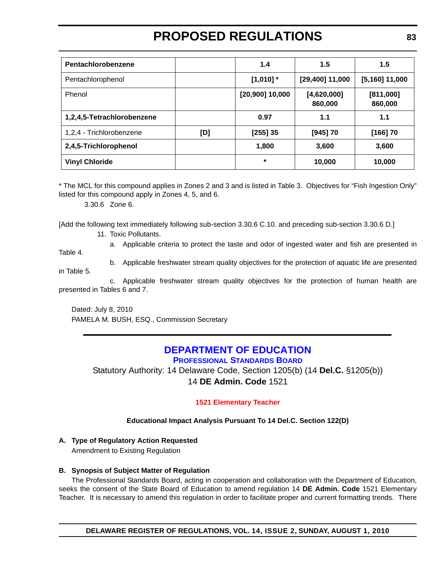<span id="page-20-0"></span>

| Pentachlorobenzene         |     | 1.4               | 1.5                    | 1.5                  |
|----------------------------|-----|-------------------|------------------------|----------------------|
| Pentachlorophenol          |     | $[1,010]$ *       | $[29,400]$ 11,000      | $[5,160]$ 11,000     |
| Phenol                     |     | $[20,900]$ 10,000 | [4,620,000]<br>860,000 | [811,000]<br>860,000 |
| 1,2,4,5-Tetrachlorobenzene |     | 0.97              | 1.1                    | 1.1                  |
| 1,2,4 - Trichlorobenzene   | [D] | [255] 35          | [945] 70               | [166] 70             |
| 2,4,5-Trichlorophenol      |     | 1,800             | 3,600                  | 3,600                |
| <b>Vinyl Chloride</b>      |     | $\star$           | 10,000                 | 10,000               |

\* The MCL for this compound applies in Zones 2 and 3 and is listed in Table 3. Objectives for "Fish Ingestion Only" listed for this compound apply in Zones 4, 5, and 6.

3.30.6 Zone 6.

[Add the following text immediately following sub-section 3.30.6 C.10. and preceding sub-section 3.30.6 D.]

11. Toxic Pollutants.

Table 4.

a. Applicable criteria to protect the taste and odor of ingested water and fish are presented in

b. Applicable freshwater stream quality objectives for the protection of aquatic life are presented

in Table 5.

c. Applicable freshwater stream quality objectives for the protection of human health are presented in Tables 6 and 7.

Dated: July 8, 2010 PAMELA M. BUSH, ESQ., Commission Secretary

#### **[DEPARTMENT OF EDUCATION](http://www.doe.k12.de.us/) PROFESSIONAL STANDARDS BOARD**

Statutory Authority: 14 Delaware Code, Section 1205(b) (14 **Del.C.** §1205(b)) 14 **DE Admin. Code** 1521

#### **[1521 Elementary Teacher](#page-3-0)**

#### **Educational Impact Analysis Pursuant To 14 Del.C. Section 122(D)**

#### **A. Type of Regulatory Action Requested**

Amendment to Existing Regulation

#### **B. Synopsis of Subject Matter of Regulation**

The Professional Standards Board, acting in cooperation and collaboration with the Department of Education, seeks the consent of the State Board of Education to amend regulation 14 **DE Admin. Code** 1521 Elementary Teacher. It is necessary to amend this regulation in order to facilitate proper and current formatting trends. There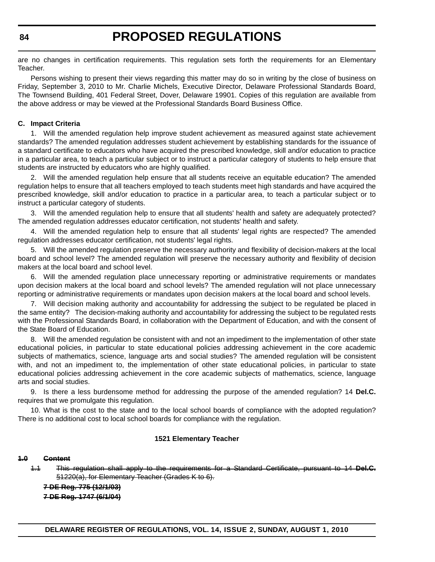are no changes in certification requirements. This regulation sets forth the requirements for an Elementary Teacher.

Persons wishing to present their views regarding this matter may do so in writing by the close of business on Friday, September 3, 2010 to Mr. Charlie Michels, Executive Director, Delaware Professional Standards Board, The Townsend Building, 401 Federal Street, Dover, Delaware 19901. Copies of this regulation are available from the above address or may be viewed at the Professional Standards Board Business Office.

#### **C. Impact Criteria**

1. Will the amended regulation help improve student achievement as measured against state achievement standards? The amended regulation addresses student achievement by establishing standards for the issuance of a standard certificate to educators who have acquired the prescribed knowledge, skill and/or education to practice in a particular area, to teach a particular subject or to instruct a particular category of students to help ensure that students are instructed by educators who are highly qualified.

2. Will the amended regulation help ensure that all students receive an equitable education? The amended regulation helps to ensure that all teachers employed to teach students meet high standards and have acquired the prescribed knowledge, skill and/or education to practice in a particular area, to teach a particular subject or to instruct a particular category of students.

3. Will the amended regulation help to ensure that all students' health and safety are adequately protected? The amended regulation addresses educator certification, not students' health and safety.

4. Will the amended regulation help to ensure that all students' legal rights are respected? The amended regulation addresses educator certification, not students' legal rights.

5. Will the amended regulation preserve the necessary authority and flexibility of decision-makers at the local board and school level? The amended regulation will preserve the necessary authority and flexibility of decision makers at the local board and school level.

6. Will the amended regulation place unnecessary reporting or administrative requirements or mandates upon decision makers at the local board and school levels? The amended regulation will not place unnecessary reporting or administrative requirements or mandates upon decision makers at the local board and school levels.

7. Will decision making authority and accountability for addressing the subject to be regulated be placed in the same entity? The decision-making authority and accountability for addressing the subject to be regulated rests with the Professional Standards Board, in collaboration with the Department of Education, and with the consent of the State Board of Education.

8. Will the amended regulation be consistent with and not an impediment to the implementation of other state educational policies, in particular to state educational policies addressing achievement in the core academic subjects of mathematics, science, language arts and social studies? The amended regulation will be consistent with, and not an impediment to, the implementation of other state educational policies, in particular to state educational policies addressing achievement in the core academic subjects of mathematics, science, language arts and social studies.

9. Is there a less burdensome method for addressing the purpose of the amended regulation? 14 **Del.C.** requires that we promulgate this regulation.

10. What is the cost to the state and to the local school boards of compliance with the adopted regulation? There is no additional cost to local school boards for compliance with the regulation.

#### **1521 Elementary Teacher**

#### **1.0 Content**

1.1 This regulation shall apply to the requirements for a Standard Certificate, pursuant to 14 **Del.C.** §1220(a), for Elementary Teacher (Grades K to 6).

**7 DE Reg. 775 (12/1/03) 7 DE Reg. 1747 (6/1/04)**

**DELAWARE REGISTER OF REGULATIONS, VOL. 14, ISSUE 2, SUNDAY, AUGUST 1, 2010**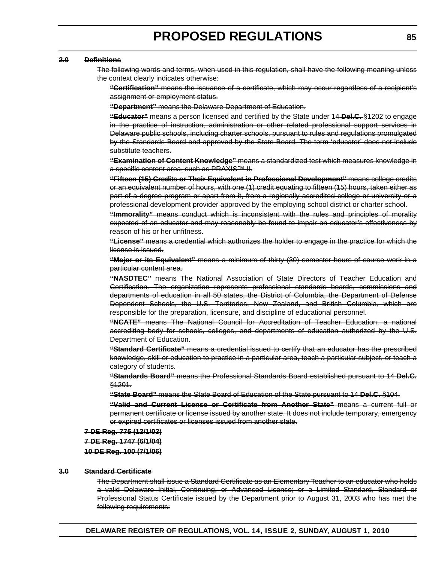#### **2.0 Definitions**

The following words and terms, when used in this regulation, shall have the following meaning unless the context clearly indicates otherwise:

**"Certification"** means the issuance of a certificate, which may occur regardless of a recipient's assignment or employment status.

**"Department"** means the Delaware Department of Education.

**"Educator"** means a person licensed and certified by the State under 14 **Del.C.** §1202 to engage in the practice of instruction, administration or other related professional support services in Delaware public schools, including charter schools, pursuant to rules and regulations promulgated by the Standards Board and approved by the State Board. The term 'educator' does not include substitute teachers.

**"Examination of Content Knowledge"** means a standardized test which measures knowledge in a specific content area, such as PRAXIS™ II.

**"Fifteen (15) Credits or Their Equivalent in Professional Development"** means college credits or an equivalent number of hours, with one (1) credit equating to fifteen (15) hours, taken either as part of a degree program or apart from it, from a regionally accredited college or university or a professional development provider approved by the employing school district or charter school.

**"Immorality"** means conduct which is inconsistent with the rules and principles of morality expected of an educator and may reasonably be found to impair an educator's effectiveness by reason of his or her unfitness.

**"License"** means a credential which authorizes the holder to engage in the practice for which the license is issued.

**"Major or its Equivalent"** means a minimum of thirty (30) semester hours of course work in a particular content area.

**"NASDTEC"** means The National Association of State Directors of Teacher Education and Certification. The organization represents professional standards boards, commissions and departments of education in all 50 states, the District of Columbia, the Department of Defense Dependent Schools, the U.S. Territories, New Zealand, and British Columbia, which are responsible for the preparation, licensure, and discipline of educational personnel.

**"NCATE"** means The National Council for Accreditation of Teacher Education, a national accrediting body for schools, colleges, and departments of education authorized by the U.S. Department of Education.

**"Standard Certificate"** means a credential issued to certify that an educator has the prescribed knowledge, skill or education to practice in a particular area, teach a particular subject, or teach a category of students.

**"Standards Board"** means the Professional Standards Board established pursuant to 14 **Del.C.** §1201.

**"State Board"** means the State Board of Education of the State pursuant to 14 **Del.C.** §104.

**"Valid and Current License or Certificate from Another State"** means a current full or permanent certificate or license issued by another state. It does not include temporary, emergency or expired certificates or licenses issued from another state.

**7 DE Reg. 775 (12/1/03) 7 DE Reg. 1747 (6/1/04) 10 DE Reg. 100 (7/1/06)**

#### **3.0 Standard Certificate**

The Department shall issue a Standard Certificate as an Elementary Teacher to an educator who holds a valid Delaware Initial, Continuing, or Advanced License; or a Limited Standard, Standard or Professional Status Certificate issued by the Department prior to August 31, 2003 who has met the following requirements: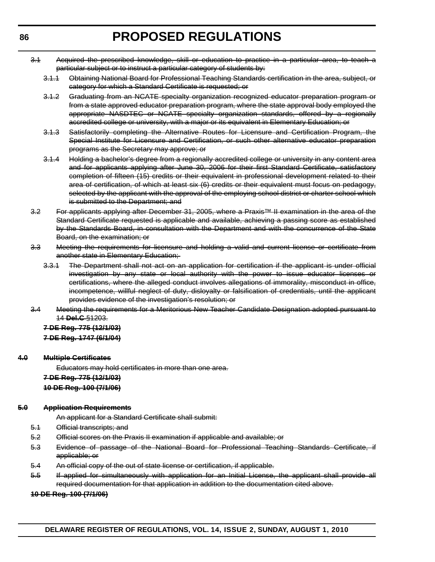- 3.1 Acquired the prescribed knowledge, skill or education to practice in a particular area, to teach a particular subject or to instruct a particular category of students by:
	- 3.1.1 Obtaining National Board for Professional Teaching Standards certification in the area, subject, or category for which a Standard Certificate is requested; or
	- 3.1.2 Graduating from an NCATE specialty organization recognized educator preparation program or from a state approved educator preparation program, where the state approval body employed the appropriate NASDTEC or NCATE specialty organization standards, offered by a regionally accredited college or university, with a major or its equivalent in Elementary Education; or
	- 3.1.3 Satisfactorily completing the Alternative Routes for Licensure and Certification Program, the Special Institute for Licensure and Certification, or such other alternative educator preparation programs as the Secretary may approve; or
	- 3.1.4 Holding a bachelor's degree from a regionally accredited college or university in any content area and for applicants applying after June 30, 2006 for their first Standard Certificate, satisfactory completion of fifteen (15) credits or their equivalent in professional development related to their area of certification, of which at least six (6) credits or their equivalent must focus on pedagogy, selected by the applicant with the approval of the employing school district or charter school which is submitted to the Department; and
- 3.2 For applicants applying after December 31, 2005, where a Praxis™ II examination in the area of the Standard Certificate requested is applicable and available, achieving a passing score as established by the Standards Board, in consultation with the Department and with the concurrence of the State Board, on the examination; or
- 3.3 Meeting the requirements for licensure and holding a valid and current license or certificate from another state in Elementary Education;
	- 3.3.1 The Department shall not act on an application for certification if the applicant is under official investigation by any state or local authority with the power to issue educator licenses or certifications, where the alleged conduct involves allegations of immorality, misconduct in office, incompetence, willful neglect of duty, disloyalty or falsification of credentials, until the applicant provides evidence of the investigation's resolution; or
- 3.4 Meeting the requirements for a Meritorious New Teacher Candidate Designation adopted pursuant to 14 **Del.C** §1203.

### **7 DE Reg. 775 (12/1/03)**

### **7 DE Reg. 1747 (6/1/04)**

#### **4.0 Multiple Certificates**

Educators may hold certificates in more than one area.

**7 DE Reg. 775 (12/1/03)**

#### **10 DE Reg. 100 (7/1/06)**

#### **5.0 Application Requirements**

An applicant for a Standard Certificate shall submit:

- 5.1 Official transcripts; and
- 5.2 Official scores on the Praxis II examination if applicable and available; or
- 5.3 Evidence of passage of the National Board for Professional Teaching Standards Certificate, if applicable; or
- 5.4 An official copy of the out of state license or certification, if applicable.
- 5.5 If applied for simultaneously with application for an Initial License, the applicant shall provide all required documentation for that application in addition to the documentation cited above.

#### **10 DE Reg. 100 (7/1/06)**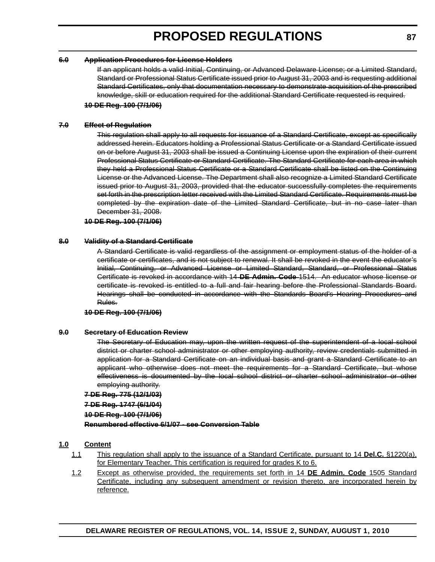#### **6.0 Application Procedures for License Holders**

If an applicant holds a valid Initial, Continuing, or Advanced Delaware License; or a Limited Standard, Standard or Professional Status Certificate issued prior to August 31, 2003 and is requesting additional Standard Certificates, only that documentation necessary to demonstrate acquisition of the prescribed knowledge, skill or education required for the additional Standard Certificate requested is required.

#### **10 DE Reg. 100 (7/1/06)**

#### **7.0 Effect of Regulation**

This regulation shall apply to all requests for issuance of a Standard Certificate, except as specifically addressed herein. Educators holding a Professional Status Certificate or a Standard Certificate issued on or before August 31, 2003 shall be issued a Continuing License upon the expiration of their current Professional Status Certificate or Standard Certificate. The Standard Certificate for each area in which they held a Professional Status Certificate or a Standard Certificate shall be listed on the Continuing License or the Advanced License. The Department shall also recognize a Limited Standard Certificate issued prior to August 31, 2003, provided that the educator successfully completes the requirements set forth in the prescription letter received with the Limited Standard Certificate. Requirements must be completed by the expiration date of the Limited Standard Certificate, but in no case later than December 31, 2008.

#### **10 DE Reg. 100 (7/1/06)**

#### **8.0 Validity of a Standard Certificate**

A Standard Certificate is valid regardless of the assignment or employment status of the holder of a certificate or certificates, and is not subject to renewal. It shall be revoked in the event the educator's Initial, Continuing, or Advanced License or Limited Standard, Standard, or Professional Status Certificate is revoked in accordance with 14 **DE Admin. Code** 1514. An educator whose license or certificate is revoked is entitled to a full and fair hearing before the Professional Standards Board. Hearings shall be conducted in accordance with the Standards Board's Hearing Procedures and Rules.

#### **10 DE Reg. 100 (7/1/06)**

#### **9.0 Secretary of Education Review**

The Secretary of Education may, upon the written request of the superintendent of a local school district or charter school administrator or other employing authority, review credentials submitted in application for a Standard Certificate on an individual basis and grant a Standard Certificate to an applicant who otherwise does not meet the requirements for a Standard Certificate, but whose effectiveness is documented by the local school district or charter school administrator or other employing authority.

#### **7 DE Reg. 775 (12/1/03)**

#### **7 DE Reg. 1747 (6/1/04)**

#### **10 DE Reg. 100 (7/1/06)**

**Renumbered effective 6/1/07 - see Conversion Table**

#### **1.0 Content**

- 1.1 This regulation shall apply to the issuance of a Standard Certificate, pursuant to 14 **Del.C.** §1220(a), for Elementary Teacher. This certification is required for grades K to 6.
- 1.2 Except as otherwise provided, the requirements set forth in 14 **DE Admin. Code** 1505 Standard Certificate, including any subsequent amendment or revision thereto, are incorporated herein by reference.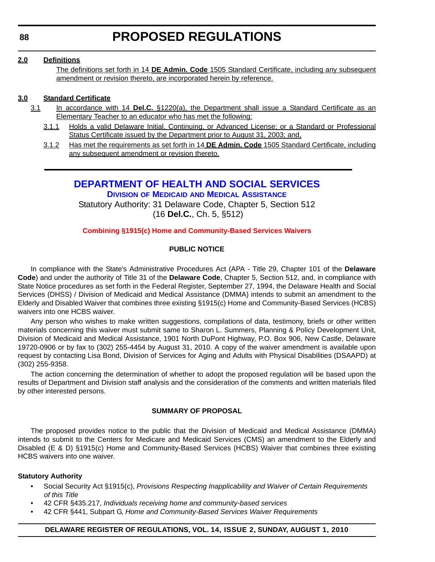#### <span id="page-25-0"></span>**2.0 Definitions**

The definitions set forth in 14 **DE Admin. Code** 1505 Standard Certificate, including any subsequent amendment or revision thereto, are incorporated herein by reference.

#### **3.0 Standard Certificate**

- 3.1 In accordance with 14 **Del.C.** §1220(a), the Department shall issue a Standard Certificate as an Elementary Teacher to an educator who has met the following:
	- 3.1.1 Holds a valid Delaware Initial, Continuing, or Advanced License; or a Standard or Professional Status Certificate issued by the Department prior to August 31, 2003; and,
	- 3.1.2 Has met the requirements as set forth in 14 **DE Admin. Code** 1505 Standard Certificate, including any subsequent amendment or revision thereto.

### **[DEPARTMENT OF HEALTH AND SOCIAL SERVICES](http://www.dhss.delaware.gov/dhss/dmma/)**

**DIVISION OF MEDICAID AND MEDICAL ASSISTANCE**

Statutory Authority: 31 Delaware Code, Chapter 5, Section 512 (16 **Del.C.**, Ch. 5, §512)

#### **[Combining §1915\(c\) Home and Community-Based Services Waivers](#page-3-0)**

#### **PUBLIC NOTICE**

In compliance with the State's Administrative Procedures Act (APA - Title 29, Chapter 101 of the **Delaware Code**) and under the authority of Title 31 of the **Delaware Code**, Chapter 5, Section 512, and, in compliance with State Notice procedures as set forth in the Federal Register, September 27, 1994, the Delaware Health and Social Services (DHSS) / Division of Medicaid and Medical Assistance (DMMA) intends to submit an amendment to the Elderly and Disabled Waiver that combines three existing §1915(c) Home and Community-Based Services (HCBS) waivers into one HCBS waiver.

Any person who wishes to make written suggestions, compilations of data, testimony, briefs or other written materials concerning this waiver must submit same to Sharon L. Summers, Planning & Policy Development Unit, Division of Medicaid and Medical Assistance, 1901 North DuPont Highway, P.O. Box 906, New Castle, Delaware 19720-0906 or by fax to (302) 255-4454 by August 31, 2010. A copy of the waiver amendment is available upon request by contacting Lisa Bond, Division of Services for Aging and Adults with Physical Disabilities (DSAAPD) at (302) 255-9358.

The action concerning the determination of whether to adopt the proposed regulation will be based upon the results of Department and Division staff analysis and the consideration of the comments and written materials filed by other interested persons.

#### **SUMMARY OF PROPOSAL**

The proposed provides notice to the public that the Division of Medicaid and Medical Assistance (DMMA) intends to submit to the Centers for Medicare and Medicaid Services (CMS) an amendment to the Elderly and Disabled (E & D) §1915(c) Home and Community-Based Services (HCBS) Waiver that combines three existing HCBS waivers into one waiver.

#### **Statutory Authority**

- Social Security Act §1915(c), *Provisions Respecting Inapplicability and Waiver of Certain Requirements of this Title*
- 42 CFR §435.217, *Individuals receiving home and community-based services*
- 42 CFR §441, Subpart G, *Home and Community-Based Services Waiver Requirements*

#### **DELAWARE REGISTER OF REGULATIONS, VOL. 14, ISSUE 2, SUNDAY, AUGUST 1, 2010**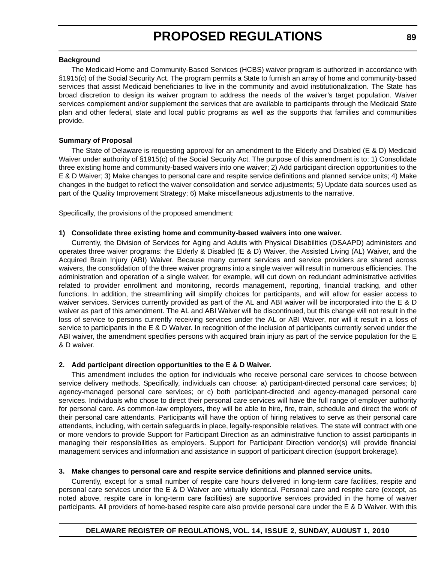#### **Background**

The Medicaid Home and Community-Based Services (HCBS) waiver program is authorized in accordance with §1915(c) of the Social Security Act. The program permits a State to furnish an array of home and community-based services that assist Medicaid beneficiaries to live in the community and avoid institutionalization. The State has broad discretion to design its waiver program to address the needs of the waiver's target population. Waiver services complement and/or supplement the services that are available to participants through the Medicaid State plan and other federal, state and local public programs as well as the supports that families and communities provide.

#### **Summary of Proposal**

The State of Delaware is requesting approval for an amendment to the Elderly and Disabled (E & D) Medicaid Waiver under authority of §1915(c) of the Social Security Act. The purpose of this amendment is to: 1) Consolidate three existing home and community-based waivers into one waiver; 2) Add participant direction opportunities to the E & D Waiver; 3) Make changes to personal care and respite service definitions and planned service units; 4) Make changes in the budget to reflect the waiver consolidation and service adjustments; 5) Update data sources used as part of the Quality Improvement Strategy; 6) Make miscellaneous adjustments to the narrative.

Specifically, the provisions of the proposed amendment:

#### **1) Consolidate three existing home and community-based waivers into one waiver.**

Currently, the Division of Services for Aging and Adults with Physical Disabilities (DSAAPD) administers and operates three waiver programs: the Elderly & Disabled (E & D) Waiver, the Assisted Living (AL) Waiver, and the Acquired Brain Injury (ABI) Waiver. Because many current services and service providers are shared across waivers, the consolidation of the three waiver programs into a single waiver will result in numerous efficiencies. The administration and operation of a single waiver, for example, will cut down on redundant administrative activities related to provider enrollment and monitoring, records management, reporting, financial tracking, and other functions. In addition, the streamlining will simplify choices for participants, and will allow for easier access to waiver services. Services currently provided as part of the AL and ABI waiver will be incorporated into the E & D waiver as part of this amendment. The AL and ABI Waiver will be discontinued, but this change will not result in the loss of service to persons currently receiving services under the AL or ABI Waiver, nor will it result in a loss of service to participants in the E & D Waiver. In recognition of the inclusion of participants currently served under the ABI waiver, the amendment specifies persons with acquired brain injury as part of the service population for the E & D waiver.

#### **2. Add participant direction opportunities to the E & D Waiver.**

This amendment includes the option for individuals who receive personal care services to choose between service delivery methods. Specifically, individuals can choose: a) participant-directed personal care services; b) agency-managed personal care services; or c) both participant-directed and agency-managed personal care services. Individuals who chose to direct their personal care services will have the full range of employer authority for personal care. As common-law employers, they will be able to hire, fire, train, schedule and direct the work of their personal care attendants. Participants will have the option of hiring relatives to serve as their personal care attendants, including, with certain safeguards in place, legally-responsible relatives. The state will contract with one or more vendors to provide Support for Participant Direction as an administrative function to assist participants in managing their responsibilities as employers. Support for Participant Direction vendor(s) will provide financial management services and information and assistance in support of participant direction (support brokerage).

#### **3. Make changes to personal care and respite service definitions and planned service units.**

Currently, except for a small number of respite care hours delivered in long-term care facilities, respite and personal care services under the E & D Waiver are virtually identical. Personal care and respite care (except, as noted above, respite care in long-term care facilities) are supportive services provided in the home of waiver participants. All providers of home-based respite care also provide personal care under the E & D Waiver. With this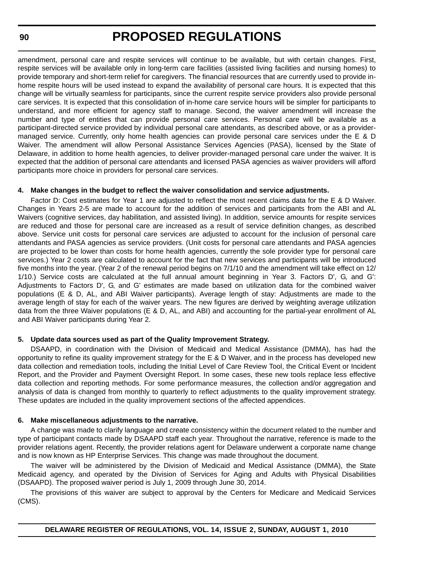amendment, personal care and respite services will continue to be available, but with certain changes. First, respite services will be available only in long-term care facilities (assisted living facilities and nursing homes) to provide temporary and short-term relief for caregivers. The financial resources that are currently used to provide inhome respite hours will be used instead to expand the availability of personal care hours. It is expected that this change will be virtually seamless for participants, since the current respite service providers also provide personal care services. It is expected that this consolidation of in-home care service hours will be simpler for participants to understand, and more efficient for agency staff to manage. Second, the waiver amendment will increase the number and type of entities that can provide personal care services. Personal care will be available as a participant-directed service provided by individual personal care attendants, as described above, or as a providermanaged service. Currently, only home health agencies can provide personal care services under the E & D Waiver. The amendment will allow Personal Assistance Services Agencies (PASA), licensed by the State of Delaware, in addition to home health agencies, to deliver provider-managed personal care under the waiver. It is expected that the addition of personal care attendants and licensed PASA agencies as waiver providers will afford participants more choice in providers for personal care services.

#### **4. Make changes in the budget to reflect the waiver consolidation and service adjustments.**

Factor D: Cost estimates for Year 1 are adjusted to reflect the most recent claims data for the E & D Waiver. Changes in Years 2-5 are made to account for the addition of services and participants from the ABI and AL Waivers (cognitive services, day habilitation, and assisted living). In addition, service amounts for respite services are reduced and those for personal care are increased as a result of service definition changes, as described above. Service unit costs for personal care services are adjusted to account for the inclusion of personal care attendants and PASA agencies as service providers. (Unit costs for personal care attendants and PASA agencies are projected to be lower than costs for home health agencies, currently the sole provider type for personal care services.) Year 2 costs are calculated to account for the fact that new services and participants will be introduced five months into the year. (Year 2 of the renewal period begins on 7/1/10 and the amendment will take effect on 12/ 1/10.) Service costs are calculated at the full annual amount beginning in Year 3. Factors D', G, and G': Adjustments to Factors D', G, and G' estimates are made based on utilization data for the combined waiver populations (E & D, AL, and ABI Waiver participants). Average length of stay: Adjustments are made to the average length of stay for each of the waiver years. The new figures are derived by weighting average utilization data from the three Waiver populations (E & D, AL, and ABI) and accounting for the partial-year enrollment of AL and ABI Waiver participants during Year 2.

#### **5. Update data sources used as part of the Quality Improvement Strategy.**

DSAAPD, in coordination with the Division of Medicaid and Medical Assistance (DMMA), has had the opportunity to refine its quality improvement strategy for the E & D Waiver, and in the process has developed new data collection and remediation tools, including the Initial Level of Care Review Tool, the Critical Event or Incident Report, and the Provider and Payment Oversight Report. In some cases, these new tools replace less effective data collection and reporting methods. For some performance measures, the collection and/or aggregation and analysis of data is changed from monthly to quarterly to reflect adjustments to the quality improvement strategy. These updates are included in the quality improvement sections of the affected appendices.

#### **6. Make miscellaneous adjustments to the narrative.**

A change was made to clarify language and create consistency within the document related to the number and type of participant contacts made by DSAAPD staff each year. Throughout the narrative, reference is made to the provider relations agent. Recently, the provider relations agent for Delaware underwent a corporate name change and is now known as HP Enterprise Services. This change was made throughout the document.

The waiver will be administered by the Division of Medicaid and Medical Assistance (DMMA), the State Medicaid agency, and operated by the Division of Services for Aging and Adults with Physical Disabilities (DSAAPD). The proposed waiver period is July 1, 2009 through June 30, 2014.

The provisions of this waiver are subject to approval by the Centers for Medicare and Medicaid Services (CMS).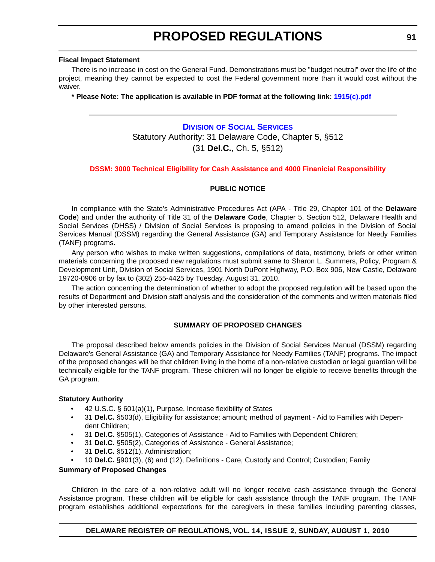#### <span id="page-28-0"></span>**Fiscal Impact Statement**

There is no increase in cost on the General Fund. Demonstrations must be "budget neutral" over the life of the project, meaning they cannot be expected to cost the Federal government more than it would cost without the waiver.

**\* Please Note: The application is available in PDF format at the following link: 1915(c).pdf**

### **DIVISION [OF SOCIAL SERVICES](http://www.dhss.delaware.gov/dhss/dss/)** Statutory Authority: 31 Delaware Code, Chapter 5, §512 (31 **Del.C.**, Ch. 5, §512)

#### **[DSSM: 3000 Technical Eligibility for Cash Assistance and 4000 Finanicial Responsibility](#page-3-0)**

#### **PUBLIC NOTICE**

In compliance with the State's Administrative Procedures Act (APA - Title 29, Chapter 101 of the **Delaware Code**) and under the authority of Title 31 of the **Delaware Code**, Chapter 5, Section 512, Delaware Health and Social Services (DHSS) / Division of Social Services is proposing to amend policies in the Division of Social Services Manual (DSSM) regarding the General Assistance (GA) and Temporary Assistance for Needy Families (TANF) programs.

Any person who wishes to make written suggestions, compilations of data, testimony, briefs or other written materials concerning the proposed new regulations must submit same to Sharon L. Summers, Policy, Program & Development Unit, Division of Social Services, 1901 North DuPont Highway, P.O. Box 906, New Castle, Delaware 19720-0906 or by fax to (302) 255-4425 by Tuesday, August 31, 2010.

The action concerning the determination of whether to adopt the proposed regulation will be based upon the results of Department and Division staff analysis and the consideration of the comments and written materials filed by other interested persons.

#### **SUMMARY OF PROPOSED CHANGES**

The proposal described below amends policies in the Division of Social Services Manual (DSSM) regarding Delaware's General Assistance (GA) and Temporary Assistance for Needy Families (TANF) programs. The impact of the proposed changes will be that children living in the home of a non-relative custodian or legal guardian will be technically eligible for the TANF program. These children will no longer be eligible to receive benefits through the GA program.

#### **Statutory Authority**

- 42 U.S.C. § 601(a)(1), Purpose, Increase flexibility of States
- 31 **Del.C.** §503(d), Eligibility for assistance; amount; method of payment Aid to Families with Dependent Children;
- 31 **Del.C.** §505(1), Categories of Assistance Aid to Families with Dependent Children;
- 31 **Del.C.** §505(2), Categories of Assistance General Assistance;
- 31 **Del.C.** §512(1), Administration;
- 10 **Del.C.** §901(3), (6) and (12), Definitions Care, Custody and Control; Custodian; Family

#### **Summary of Proposed Changes**

Children in the care of a non-relative adult will no longer receive cash assistance through the General Assistance program. These children will be eligible for cash assistance through the TANF program. The TANF program establishes additional expectations for the caregivers in these families including parenting classes,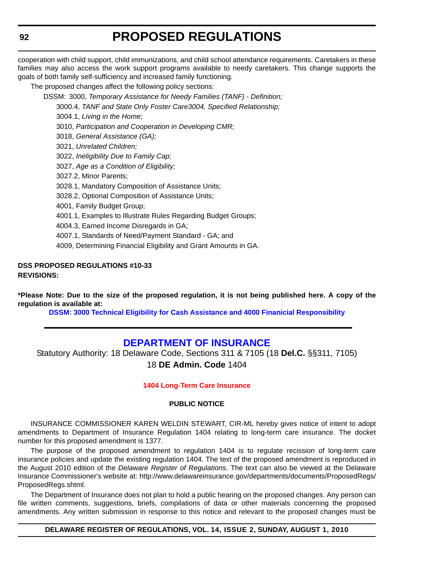<span id="page-29-0"></span>cooperation with child support, child immunizations, and child school attendance requirements. Caretakers in these families may also access the work support programs available to needy caretakers. This change supports the goals of both family self-sufficiency and increased family functioning.

The proposed changes affect the following policy sections:

DSSM: 3000, *Temporary Assistance for Needy Families (TANF) - Definition;*

3000.4, *TANF and State Only Foster Care3004, Specified Relationship;*

3004.1, *Living in the Home;*

3010, *Participation and Cooperation in Developing CMR;*

3018, *General Assistance (GA);*

3021, *Unrelated Children;*

3022, *Ineligibility Due to Family Cap;*

3027, *Age as a Condition of Eligibility;*

3027.2, Minor Parents;

3028.1, Mandatory Composition of Assistance Units;

3028.2, Optional Composition of Assistance Units;

4001, Family Budget Group;

4001.1, Examples to Illustrate Rules Regarding Budget Groups;

4004.3, Earned Income Disregards in GA;

4007.1, Standards of Need/Payment Standard - GA; and

4009, Determining Financial Eligibility and Grant Amounts in GA.

#### **DSS PROPOSED REGULATIONS #10-33 REVISIONS:**

**\*Please Note: Due to the size of the proposed regulation, it is not being published here. A copy of the regulation is available at:**

**[DSSM: 3000 Technical Eligibility for Cash Assistance and 4000 Finanicial Responsibility](http://regulations.delaware.gov/register/august2010/proposed/14 DE Reg 91 08-01-10.htm)**

### **[DEPARTMENT OF INSURANCE](http://www.delawareinsurance.gov/)**

Statutory Authority: 18 Delaware Code, Sections 311 & 7105 (18 **Del.C.** §§311, 7105) 18 **DE Admin. Code** 1404

#### **[1404 Long-Term Care Insurance](#page-3-0)**

#### **PUBLIC NOTICE**

INSURANCE COMMISSIONER KAREN WELDIN STEWART, CIR-ML hereby gives notice of intent to adopt amendments to Department of Insurance Regulation 1404 relating to long-term care insurance. The docket number for this proposed amendment is 1377.

The purpose of the proposed amendment to regulation 1404 is to regulate recission of long-term care insurance policies and update the existing regulation 1404. The text of the proposed amendment is reproduced in the August 2010 edition of the *Delaware Register of Regulations*. The text can also be viewed at the Delaware Insurance Commissioner's website at: http://www.delawareinsurance.gov/departments/documents/ProposedRegs/ ProposedRegs.shtml.

The Department of Insurance does not plan to hold a public hearing on the proposed changes. Any person can file written comments, suggestions, briefs, compilations of data or other materials concerning the proposed amendments. Any written submission in response to this notice and relevant to the proposed changes must be

#### **DELAWARE REGISTER OF REGULATIONS, VOL. 14, ISSUE 2, SUNDAY, AUGUST 1, 2010**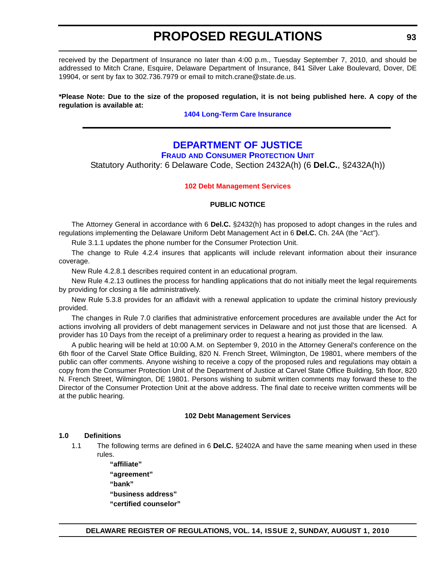<span id="page-30-0"></span>received by the Department of Insurance no later than 4:00 p.m., Tuesday September 7, 2010, and should be addressed to Mitch Crane, Esquire, Delaware Department of Insurance, 841 Silver Lake Boulevard, Dover, DE 19904, or sent by fax to 302.736.7979 or email to mitch.crane@state.de.us.

#### **\*Please Note: Due to the size of the proposed regulation, it is not being published here. A copy of the regulation is available at:**

**[1404 Long-Term Care Insurance](http://regulations.delaware.gov/register/august2010/proposed/14 DE Reg 92 08-01-10.htm)**

### **[DEPARTMENT OF JUSTICE](http://attorneygeneral.delaware.gov/)**

**FRAUD AND CONSUMER PROTECTION UNIT**

Statutory Authority: 6 Delaware Code, Section 2432A(h) (6 **Del.C.**, §2432A(h))

#### **[102 Debt Management Services](#page-3-0)**

#### **PUBLIC NOTICE**

The Attorney General in accordance with 6 **Del.C.** §2432(h) has proposed to adopt changes in the rules and regulations implementing the Delaware Uniform Debt Management Act in 6 **Del.C.** Ch. 24A (the "Act").

Rule 3.1.1 updates the phone number for the Consumer Protection Unit.

The change to Rule 4.2.4 insures that applicants will include relevant information about their insurance coverage.

New Rule 4.2.8.1 describes required content in an educational program.

New Rule 4.2.13 outlines the process for handling applications that do not initially meet the legal requirements by providing for closing a file administratively.

New Rule 5.3.8 provides for an affidavit with a renewal application to update the criminal history previously provided.

The changes in Rule 7.0 clarifies that administrative enforcement procedures are available under the Act for actions involving all providers of debt management services in Delaware and not just those that are licensed. A provider has 10 Days from the receipt of a preliminary order to request a hearing as provided in the law.

A public hearing will be held at 10:00 A.M. on September 9, 2010 in the Attorney General's conference on the 6th floor of the Carvel State Office Building, 820 N. French Street, Wilmington, De 19801, where members of the public can offer comments. Anyone wishing to receive a copy of the proposed rules and regulations may obtain a copy from the Consumer Protection Unit of the Department of Justice at Carvel State Office Building, 5th floor, 820 N. French Street, Wilmington, DE 19801. Persons wishing to submit written comments may forward these to the Director of the Consumer Protection Unit at the above address. The final date to receive written comments will be at the public hearing.

#### **102 Debt Management Services**

#### **1.0 Definitions**

1.1 The following terms are defined in 6 **Del.C.** §2402A and have the same meaning when used in these rules.

> **"affiliate" "agreement" "bank" "business address" "certified counselor"**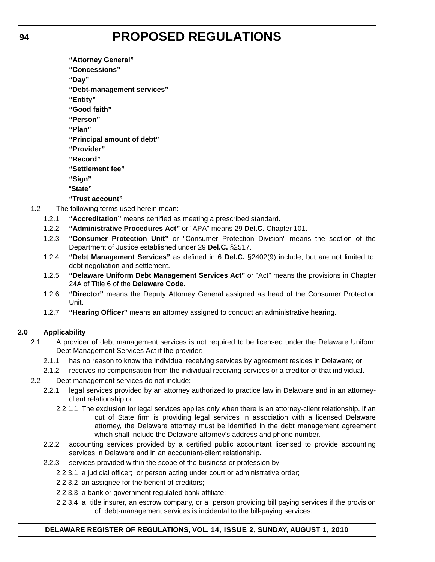- **"Attorney General"**
- **"Concessions"**

**"Day"**

**"Debt-management services"**

**"Entity"**

**"Good faith"**

**"Person"**

**"Plan"**

**"Principal amount of debt"**

- **"Provider"**
- **"Record"**

**"Settlement fee"**

- **"Sign"**
- "**State"**

**"Trust account"**

- 1.2 The following terms used herein mean:
	- 1.2.1 **"Accreditation"** means certified as meeting a prescribed standard.
		- 1.2.2 **"Administrative Procedures Act"** or "APA" means 29 **Del.C.** Chapter 101.
		- 1.2.3 **"Consumer Protection Unit"** or "Consumer Protection Division" means the section of the Department of Justice established under 29 **Del.C.** §2517.
		- 1.2.4 **"Debt Management Services"** as defined in 6 **Del.C.** §2402(9) include, but are not limited to, debt negotiation and settlement.
		- 1.2.5 **"Delaware Uniform Debt Management Services Act"** or "Act" means the provisions in Chapter 24A of Title 6 of the **Delaware Code**.
		- 1.2.6 **"Director"** means the Deputy Attorney General assigned as head of the Consumer Protection Unit.
		- 1.2.7 **"Hearing Officer"** means an attorney assigned to conduct an administrative hearing.

#### **2.0 Applicability**

- 2.1 A provider of debt management services is not required to be licensed under the Delaware Uniform Debt Management Services Act if the provider:
	- 2.1.1 has no reason to know the individual receiving services by agreement resides in Delaware; or
	- 2.1.2 receives no compensation from the individual receiving services or a creditor of that individual.
- 2.2 Debt management services do not include:
	- 2.2.1 legal services provided by an attorney authorized to practice law in Delaware and in an attorneyclient relationship or
		- 2.2.1.1 The exclusion for legal services applies only when there is an attorney-client relationship. If an out of State firm is providing legal services in association with a licensed Delaware attorney, the Delaware attorney must be identified in the debt management agreement which shall include the Delaware attorney's address and phone number.
	- 2.2.2 accounting services provided by a certified public accountant licensed to provide accounting services in Delaware and in an accountant-client relationship.
	- 2.2.3 services provided within the scope of the business or profession by
		- 2.2.3.1 a judicial officer; or person acting under court or administrative order;
		- 2.2.3.2 an assignee for the benefit of creditors;
		- 2.2.3.3 a bank or government regulated bank affiliate;
		- 2.2.3.4 a title insurer, an escrow company, or a person providing bill paying services if the provision of debt-management services is incidental to the bill-paying services.

#### **DELAWARE REGISTER OF REGULATIONS, VOL. 14, ISSUE 2, SUNDAY, AUGUST 1, 2010**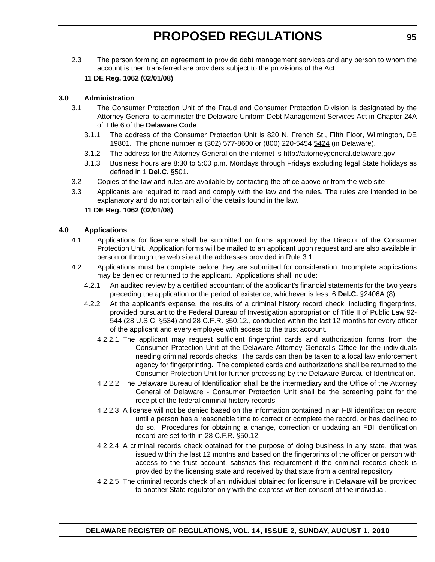2.3 The person forming an agreement to provide debt management services and any person to whom the account is then transferred are providers subject to the provisions of the Act.

#### **11 DE Reg. 1062 (02/01/08)**

#### **3.0 Administration**

- 3.1 The Consumer Protection Unit of the Fraud and Consumer Protection Division is designated by the Attorney General to administer the Delaware Uniform Debt Management Services Act in Chapter 24A of Title 6 of the **Delaware Code**.
	- 3.1.1 The address of the Consumer Protection Unit is 820 N. French St., Fifth Floor, Wilmington, DE 19801. The phone number is (302) 577-8600 or (800) 220-5454 5424 (in Delaware).
	- 3.1.2 The address for the Attorney General on the internet is http://attorneygeneral.delaware.gov
	- 3.1.3 Business hours are 8:30 to 5:00 p.m. Mondays through Fridays excluding legal State holidays as defined in 1 **Del.C.** §501.
- 3.2 Copies of the law and rules are available by contacting the office above or from the web site.
- 3.3 Applicants are required to read and comply with the law and the rules. The rules are intended to be explanatory and do not contain all of the details found in the law.

#### **11 DE Reg. 1062 (02/01/08)**

#### **4.0 Applications**

- 4.1 Applications for licensure shall be submitted on forms approved by the Director of the Consumer Protection Unit. Application forms will be mailed to an applicant upon request and are also available in person or through the web site at the addresses provided in Rule 3.1.
- 4.2 Applications must be complete before they are submitted for consideration. Incomplete applications may be denied or returned to the applicant. Applications shall include:
	- 4.2.1 An audited review by a certified accountant of the applicant's financial statements for the two years preceding the application or the period of existence, whichever is less. 6 **Del.C.** §2406A (8).
	- 4.2.2 At the applicant's expense, the results of a criminal history record check, including fingerprints, provided pursuant to the Federal Bureau of Investigation appropriation of Title II of Public Law 92- 544 (28 U.S.C. §534) and 28 C.F.R. §50.12., conducted within the last 12 months for every officer of the applicant and every employee with access to the trust account.
		- 4.2.2.1 The applicant may request sufficient fingerprint cards and authorization forms from the Consumer Protection Unit of the Delaware Attorney General's Office for the individuals needing criminal records checks. The cards can then be taken to a local law enforcement agency for fingerprinting. The completed cards and authorizations shall be returned to the Consumer Protection Unit for further processing by the Delaware Bureau of Identification.
		- 4.2.2.2 The Delaware Bureau of Identification shall be the intermediary and the Office of the Attorney General of Delaware - Consumer Protection Unit shall be the screening point for the receipt of the federal criminal history records.
		- 4.2.2.3 A license will not be denied based on the information contained in an FBI identification record until a person has a reasonable time to correct or complete the record, or has declined to do so. Procedures for obtaining a change, correction or updating an FBI identification record are set forth in 28 C.F.R. §50.12.
		- 4.2.2.4 A criminal records check obtained for the purpose of doing business in any state, that was issued within the last 12 months and based on the fingerprints of the officer or person with access to the trust account, satisfies this requirement if the criminal records check is provided by the licensing state and received by that state from a central repository.
		- 4.2.2.5 The criminal records check of an individual obtained for licensure in Delaware will be provided to another State regulator only with the express written consent of the individual.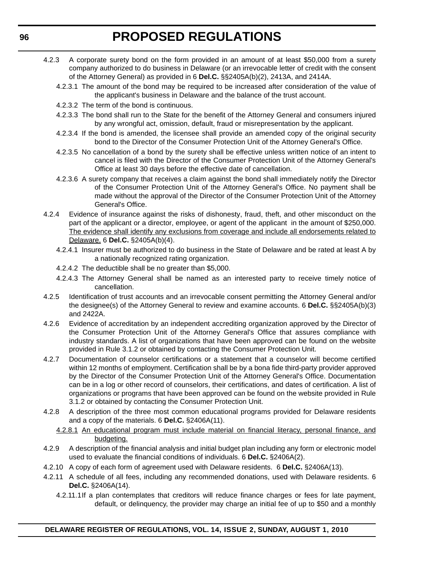- 4.2.3 A corporate surety bond on the form provided in an amount of at least \$50,000 from a surety company authorized to do business in Delaware (or an irrevocable letter of credit with the consent of the Attorney General) as provided in 6 **Del.C.** §§2405A(b)(2), 2413A, and 2414A.
	- 4.2.3.1 The amount of the bond may be required to be increased after consideration of the value of the applicant's business in Delaware and the balance of the trust account.
	- 4.2.3.2 The term of the bond is continuous.
	- 4.2.3.3 The bond shall run to the State for the benefit of the Attorney General and consumers injured by any wrongful act, omission, default, fraud or misrepresentation by the applicant.
	- 4.2.3.4 If the bond is amended, the licensee shall provide an amended copy of the original security bond to the Director of the Consumer Protection Unit of the Attorney General's Office.
	- 4.2.3.5 No cancellation of a bond by the surety shall be effective unless written notice of an intent to cancel is filed with the Director of the Consumer Protection Unit of the Attorney General's Office at least 30 days before the effective date of cancellation.
	- 4.2.3.6 A surety company that receives a claim against the bond shall immediately notify the Director of the Consumer Protection Unit of the Attorney General's Office. No payment shall be made without the approval of the Director of the Consumer Protection Unit of the Attorney General's Office.
- 4.2.4 Evidence of insurance against the risks of dishonesty, fraud, theft, and other misconduct on the part of the applicant or a director, employee, or agent of the applicant in the amount of \$250,000. The evidence shall identify any exclusions from coverage and include all endorsements related to Delaware. 6 **Del.C.** §2405A(b)(4).
	- 4.2.4.1 Insurer must be authorized to do business in the State of Delaware and be rated at least A by a nationally recognized rating organization.
	- 4.2.4.2 The deductible shall be no greater than \$5,000.
	- 4.2.4.3 The Attorney General shall be named as an interested party to receive timely notice of cancellation.
- 4.2.5 Identification of trust accounts and an irrevocable consent permitting the Attorney General and/or the designee(s) of the Attorney General to review and examine accounts. 6 **Del.C.** §§2405A(b)(3) and 2422A.
- 4.2.6 Evidence of accreditation by an independent accrediting organization approved by the Director of the Consumer Protection Unit of the Attorney General's Office that assures compliance with industry standards. A list of organizations that have been approved can be found on the website provided in Rule 3.1.2 or obtained by contacting the Consumer Protection Unit.
- 4.2.7 Documentation of counselor certifications or a statement that a counselor will become certified within 12 months of employment. Certification shall be by a bona fide third-party provider approved by the Director of the Consumer Protection Unit of the Attorney General's Office. Documentation can be in a log or other record of counselors, their certifications, and dates of certification. A list of organizations or programs that have been approved can be found on the website provided in Rule 3.1.2 or obtained by contacting the Consumer Protection Unit.
- 4.2.8 A description of the three most common educational programs provided for Delaware residents and a copy of the materials. 6 **Del.C.** §2406A(11).
	- 4.2.8.1 An educational program must include material on financial literacy, personal finance, and budgeting.
- 4.2.9 A description of the financial analysis and initial budget plan including any form or electronic model used to evaluate the financial conditions of individuals. 6 **Del.C.** §2406A(2).
- 4.2.10 A copy of each form of agreement used with Delaware residents. 6 **Del.C.** §2406A(13).
- 4.2.11 A schedule of all fees, including any recommended donations, used with Delaware residents. 6 **Del.C.** §2406A(14).
	- 4.2.11.1If a plan contemplates that creditors will reduce finance charges or fees for late payment, default, or delinquency, the provider may charge an initial fee of up to \$50 and a monthly

#### **DELAWARE REGISTER OF REGULATIONS, VOL. 14, ISSUE 2, SUNDAY, AUGUST 1, 2010**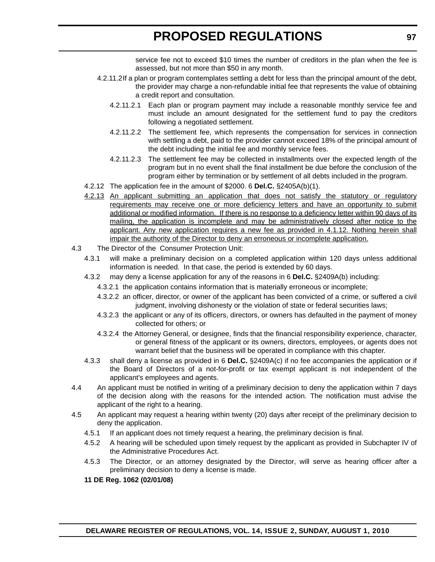service fee not to exceed \$10 times the number of creditors in the plan when the fee is assessed, but not more than \$50 in any month.

- 4.2.11.2If a plan or program contemplates settling a debt for less than the principal amount of the debt, the provider may charge a non-refundable initial fee that represents the value of obtaining a credit report and consultation.
	- 4.2.11.2.1 Each plan or program payment may include a reasonable monthly service fee and must include an amount designated for the settlement fund to pay the creditors following a negotiated settlement.
	- 4.2.11.2.2 The settlement fee, which represents the compensation for services in connection with settling a debt, paid to the provider cannot exceed 18% of the principal amount of the debt including the initial fee and monthly service fees.
	- 4.2.11.2.3 The settlement fee may be collected in installments over the expected length of the program but in no event shall the final installment be due before the conclusion of the program either by termination or by settlement of all debts included in the program.
- 4.2.12 The application fee in the amount of \$2000. 6 **Del.C.** §2405A(b)(1).
- 4.2.13 An applicant submitting an application that does not satisfy the statutory or regulatory requirements may receive one or more deficiency letters and have an opportunity to submit additional or modified information. If there is no response to a deficiency letter within 90 days of its mailing, the application is incomplete and may be administratively closed after notice to the applicant. Any new application requires a new fee as provided in 4.1.12. Nothing herein shall impair the authority of the Director to deny an erroneous or incomplete application.
- 4.3 The Director of the Consumer Protection Unit:
	- 4.3.1 will make a preliminary decision on a completed application within 120 days unless additional information is needed. In that case, the period is extended by 60 days.
	- 4.3.2 may deny a license application for any of the reasons in 6 **Del.C.** §2409A(b) including:
		- 4.3.2.1 the application contains information that is materially erroneous or incomplete;
		- 4.3.2.2 an officer, director, or owner of the applicant has been convicted of a crime, or suffered a civil judgment, involving dishonesty or the violation of state or federal securities laws;
		- 4.3.2.3 the applicant or any of its officers, directors, or owners has defaulted in the payment of money collected for others; or
		- 4.3.2.4 the Attorney General, or designee, finds that the financial responsibility experience, character, or general fitness of the applicant or its owners, directors, employees, or agents does not warrant belief that the business will be operated in compliance with this chapter.
	- 4.3.3 shall deny a license as provided in 6 **Del.C.** §2409A(c) if no fee accompanies the application or if the Board of Directors of a not-for-profit or tax exempt applicant is not independent of the applicant's employees and agents.
- 4.4 An applicant must be notified in writing of a preliminary decision to deny the application within 7 days of the decision along with the reasons for the intended action. The notification must advise the applicant of the right to a hearing.
- 4.5 An applicant may request a hearing within twenty (20) days after receipt of the preliminary decision to deny the application.
	- 4.5.1 If an applicant does not timely request a hearing, the preliminary decision is final.
	- 4.5.2 A hearing will be scheduled upon timely request by the applicant as provided in Subchapter IV of the Administrative Procedures Act.
	- 4.5.3 The Director, or an attorney designated by the Director, will serve as hearing officer after a preliminary decision to deny a license is made.

**11 DE Reg. 1062 (02/01/08)**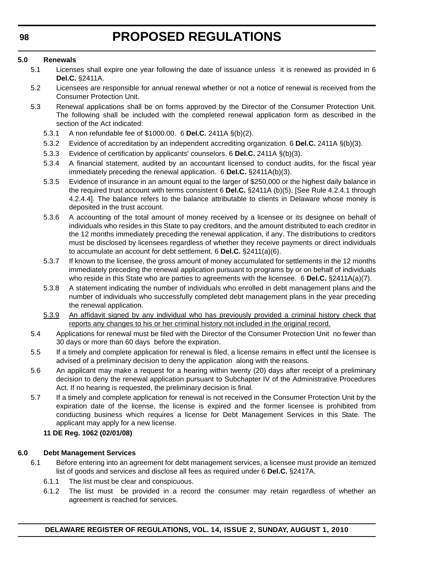#### **5.0 Renewals**

- 5.1 Licenses shall expire one year following the date of issuance unless it is renewed as provided in 6 **Del.C.** §2411A.
- 5.2 Licensees are responsible for annual renewal whether or not a notice of renewal is received from the Consumer Protection Unit.
- 5.3 Renewal applications shall be on forms approved by the Director of the Consumer Protection Unit. The following shall be included with the completed renewal application form as described in the section of the Act indicated:
	- 5.3.1 A non refundable fee of \$1000.00. 6 **Del.C.** 2411A §(b)(2).
	- 5.3.2 Evidence of accreditation by an independent accrediting organization. 6 **Del.C.** 2411A §(b)(3).
	- 5.3.3 Evidence of certification by applicants' counselors. 6 **Del.C.** 2411A §(b)(3).
	- 5.3.4 A financial statement, audited by an accountant licensed to conduct audits, for the fiscal year immediately preceding the renewal application. 6 **Del.C.** §2411A(b)(3).
	- 5.3.5 Evidence of insurance in an amount equal to the larger of \$250,000 or the highest daily balance in the required trust account with terms consistent 6 **Del.C.** §2411A (b)(5). [See Rule 4.2.4.1 through 4.2.4.4]. The balance refers to the balance attributable to clients in Delaware whose money is deposited in the trust account.
	- 5.3.6 A accounting of the total amount of money received by a licensee or its designee on behalf of individuals who resides in this State to pay creditors, and the amount distributed to each creditor in the 12 months immediately preceding the renewal application, if any. The distributions to creditors must be disclosed by licensees regardless of whether they receive payments or direct individuals to accumulate an account for debt settlement. 6 **Del.C.** §2411(a)(6).
	- 5.3.7 If known to the licensee, the gross amount of money accumulated for settlements in the 12 months immediately preceding the renewal application pursuant to programs by or on behalf of individuals who reside in this State who are parties to agreements with the licensee. 6 **Del.C.** §2411A(a)(7).
	- 5.3.8 A statement indicating the number of individuals who enrolled in debt management plans and the number of individuals who successfully completed debt management plans in the year preceding the renewal application.
	- 5.3.9 An affidavit signed by any individual who has previously provided a criminal history check that reports any changes to his or her criminal history not included in the original record.
- 5.4 Applications for renewal must be filed with the Director of the Consumer Protection Unit no fewer than 30 days or more than 60 days before the expiration.
- 5.5 If a timely and complete application for renewal is filed, a license remains in effect until the licensee is advised of a preliminary decision to deny the application along with the reasons.
- 5.6 An applicant may make a request for a hearing within twenty (20) days after receipt of a preliminary decision to deny the renewal application pursuant to Subchapter IV of the Administrative Procedures Act. If no hearing is requested, the preliminary decision is final.
- 5.7 If a timely and complete application for renewal is not received in the Consumer Protection Unit by the expiration date of the license, the license is expired and the former licensee is prohibited from conducting business which requires a license for Debt Management Services in this State. The applicant may apply for a new license.

#### **11 DE Reg. 1062 (02/01/08)**

#### **6.0 Debt Management Services**

- 6.1 Before entering into an agreement for debt management services, a licensee must provide an itemized list of goods and services and disclose all fees as required under 6 **Del.C.** §2417A.
	- 6.1.1 The list must be clear and conspicuous.
	- 6.1.2 The list must be provided in a record the consumer may retain regardless of whether an agreement is reached for services.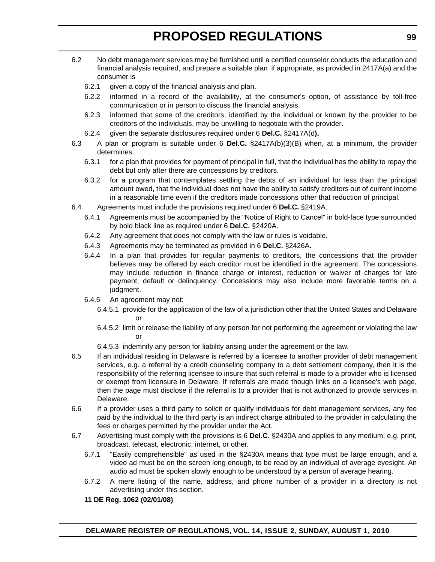- 6.2 No debt management services may be furnished until a certified counselor conducts the education and financial analysis required, and prepare a suitable plan if appropriate, as provided in 2417A(a) and the consumer is
	- 6.2.1 given a copy of the financial analysis and plan.
	- 6.2.2 informed in a record of the availability, at the consumer's option, of assistance by toll-free communication or in person to discuss the financial analysis.
	- 6.2.3 informed that some of the creditors, identified by the individual or known by the provider to be creditors of the individuals, may be unwilling to negotiate with the provider.
	- 6.2.4 given the separate disclosures required under 6 **Del.C.** §2417A(d**).**
- 6.3 A plan or program is suitable under 6 **Del.C.** §2417A(b)(3)(B) when, at a minimum, the provider determines:
	- 6.3.1 for a plan that provides for payment of principal in full, that the individual has the ability to repay the debt but only after there are concessions by creditors.
	- 6.3.2 for a program that contemplates settling the debts of an individual for less than the principal amount owed, that the individual does not have the ability to satisfy creditors out of current income in a reasonable time even if the creditors made concessions other that reduction of principal.
- 6.4 Agreements must include the provisions required under 6 **Del.C.** §2419A.
	- 6.4.1 Agreements must be accompanied by the "Notice of Right to Cancel" in bold-face type surrounded by bold black line as required under 6 **Del.C.** §2420A.
	- 6.4.2 Any agreement that does not comply with the law or rules is voidable.
	- 6.4.3 Agreements may be terminated as provided in 6 **Del.C.** §2426A**.**
	- 6.4.4 In a plan that provides for regular payments to creditors, the concessions that the provider believes may be offered by each creditor must be identified in the agreement. The concessions may include reduction in finance charge or interest, reduction or waiver of charges for late payment, default or delinquency. Concessions may also include more favorable terms on a judgment.
	- 6.4.5 An agreement may not:
		- 6.4.5.1 provide for the application of the law of a jurisdiction other that the United States and Delaware or
		- 6.4.5.2 limit or release the liability of any person for not performing the agreement or violating the law or
		- 6.4.5.3 indemnify any person for liability arising under the agreement or the law.
- 6.5 If an individual residing in Delaware is referred by a licensee to another provider of debt management services, e.g. a referral by a credit counseling company to a debt settlement company, then it is the responsibility of the referring licensee to insure that such referral is made to a provider who is licensed or exempt from licensure in Delaware. If referrals are made though links on a licensee's web page, then the page must disclose if the referral is to a provider that is not authorized to provide services in Delaware.
- 6.6 If a provider uses a third party to solicit or qualify individuals for debt management services, any fee paid by the individual to the third party is an indirect charge attributed to the provider in calculating the fees or charges permitted by the provider under the Act.
- 6.7 Advertising must comply with the provisions is 6 **Del.C.** §2430A and applies to any medium, e.g. print, broadcast, telecast, electronic, internet, or other.
	- 6.7.1 "Easily comprehensible" as used in the §2430A means that type must be large enough, and a video ad must be on the screen long enough, to be read by an individual of average eyesight. An audio ad must be spoken slowly enough to be understood by a person of average hearing.
	- 6.7.2 A mere listing of the name, address, and phone number of a provider in a directory is not advertising under this section.

#### **11 DE Reg. 1062 (02/01/08)**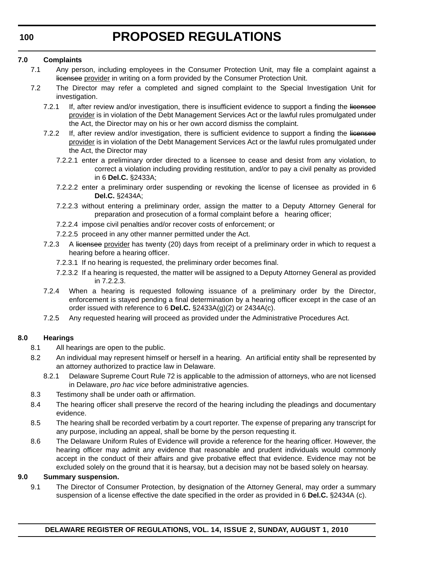#### **7.0 Complaints**

- 7.1 Any person, including employees in the Consumer Protection Unit, may file a complaint against a licensee provider in writing on a form provided by the Consumer Protection Unit.
- 7.2 The Director may refer a completed and signed complaint to the Special Investigation Unit for investigation.
	- 7.2.1 If, after review and/or investigation, there is insufficient evidence to support a finding the licensee provider is in violation of the Debt Management Services Act or the lawful rules promulgated under the Act, the Director may on his or her own accord dismiss the complaint.
	- 7.2.2 If, after review and/or investigation, there is sufficient evidence to support a finding the licensee provider is in violation of the Debt Management Services Act or the lawful rules promulgated under the Act, the Director may
		- 7.2.2.1 enter a preliminary order directed to a licensee to cease and desist from any violation, to correct a violation including providing restitution, and/or to pay a civil penalty as provided in 6 **Del.C.** §2433A;
		- 7.2.2.2 enter a preliminary order suspending or revoking the license of licensee as provided in 6 **Del.C.** §2434A;
		- 7.2.2.3 without entering a preliminary order, assign the matter to a Deputy Attorney General for preparation and prosecution of a formal complaint before a hearing officer;
		- 7.2.2.4 impose civil penalties and/or recover costs of enforcement; or
		- 7.2.2.5 proceed in any other manner permitted under the Act.
	- 7.2.3 A licensee provider has twenty (20) days from receipt of a preliminary order in which to request a hearing before a hearing officer.
		- 7.2.3.1 If no hearing is requested, the preliminary order becomes final.
		- 7.2.3.2 If a hearing is requested, the matter will be assigned to a Deputy Attorney General as provided in 7.2.2.3.
	- 7.2.4 When a hearing is requested following issuance of a preliminary order by the Director, enforcement is stayed pending a final determination by a hearing officer except in the case of an order issued with reference to 6 **Del.C.** §2433A(g)(2) or 2434A(c).
	- 7.2.5 Any requested hearing will proceed as provided under the Administrative Procedures Act.

#### **8.0 Hearings**

- 8.1 All hearings are open to the public.
- 8.2 An individual may represent himself or herself in a hearing. An artificial entity shall be represented by an attorney authorized to practice law in Delaware.
	- 8.2.1 Delaware Supreme Court Rule 72 is applicable to the admission of attorneys, who are not licensed in Delaware, *pro hac vice* before administrative agencies.
- 8.3 Testimony shall be under oath or affirmation.
- 8.4 The hearing officer shall preserve the record of the hearing including the pleadings and documentary evidence.
- 8.5 The hearing shall be recorded verbatim by a court reporter. The expense of preparing any transcript for any purpose, including an appeal, shall be borne by the person requesting it.
- 8.6 The Delaware Uniform Rules of Evidence will provide a reference for the hearing officer. However, the hearing officer may admit any evidence that reasonable and prudent individuals would commonly accept in the conduct of their affairs and give probative effect that evidence. Evidence may not be excluded solely on the ground that it is hearsay, but a decision may not be based solely on hearsay.

#### **9.0 Summary suspension.**

9.1 The Director of Consumer Protection, by designation of the Attorney General, may order a summary suspension of a license effective the date specified in the order as provided in 6 **Del.C.** §2434A (c).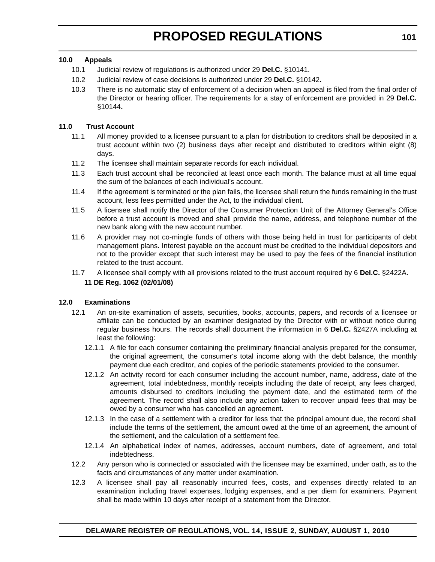#### **10.0 Appeals**

- 10.1 Judicial review of regulations is authorized under 29 **Del.C.** §10141.
- 10.2 Judicial review of case decisions is authorized under 29 **Del.C.** §10142**.**
- 10.3 There is no automatic stay of enforcement of a decision when an appeal is filed from the final order of the Director or hearing officer. The requirements for a stay of enforcement are provided in 29 **Del.C.** §10144**.**

#### **11.0 Trust Account**

- 11.1 All money provided to a licensee pursuant to a plan for distribution to creditors shall be deposited in a trust account within two (2) business days after receipt and distributed to creditors within eight (8) days.
- 11.2 The licensee shall maintain separate records for each individual.
- 11.3 Each trust account shall be reconciled at least once each month. The balance must at all time equal the sum of the balances of each individual's account.
- 11.4 If the agreement is terminated or the plan fails, the licensee shall return the funds remaining in the trust account, less fees permitted under the Act, to the individual client.
- 11.5 A licensee shall notify the Director of the Consumer Protection Unit of the Attorney General's Office before a trust account is moved and shall provide the name, address, and telephone number of the new bank along with the new account number.
- 11.6 A provider may not co-mingle funds of others with those being held in trust for participants of debt management plans. Interest payable on the account must be credited to the individual depositors and not to the provider except that such interest may be used to pay the fees of the financial institution related to the trust account.
- 11.7 A licensee shall comply with all provisions related to the trust account required by 6 **Del.C.** §2422A. **11 DE Reg. 1062 (02/01/08)**

#### **12.0 Examinations**

- 12.1 An on-site examination of assets, securities, books, accounts, papers, and records of a licensee or affiliate can be conducted by an examiner designated by the Director with or without notice during regular business hours. The records shall document the information in 6 **Del.C.** §2427A including at least the following:
	- 12.1.1 A file for each consumer containing the preliminary financial analysis prepared for the consumer, the original agreement, the consumer's total income along with the debt balance, the monthly payment due each creditor, and copies of the periodic statements provided to the consumer.
	- 12.1.2 An activity record for each consumer including the account number, name, address, date of the agreement, total indebtedness, monthly receipts including the date of receipt, any fees charged, amounts disbursed to creditors including the payment date, and the estimated term of the agreement. The record shall also include any action taken to recover unpaid fees that may be owed by a consumer who has cancelled an agreement.
	- 12.1.3 In the case of a settlement with a creditor for less that the principal amount due, the record shall include the terms of the settlement, the amount owed at the time of an agreement, the amount of the settlement, and the calculation of a settlement fee.
	- 12.1.4 An alphabetical index of names, addresses, account numbers, date of agreement, and total indebtedness.
- 12.2 Any person who is connected or associated with the licensee may be examined, under oath, as to the facts and circumstances of any matter under examination.
- 12.3 A licensee shall pay all reasonably incurred fees, costs, and expenses directly related to an examination including travel expenses, lodging expenses, and a per diem for examiners. Payment shall be made within 10 days after receipt of a statement from the Director.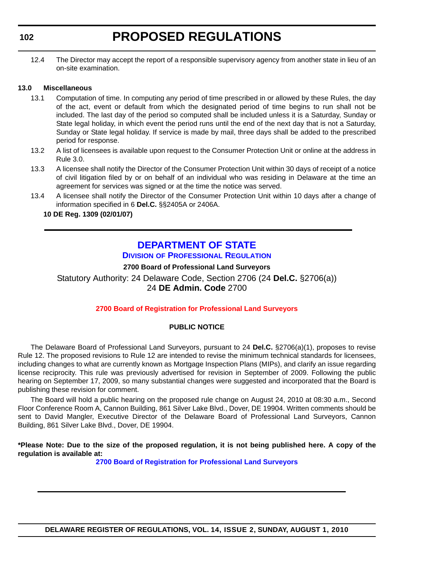#### <span id="page-39-0"></span>**102**

12.4 The Director may accept the report of a responsible supervisory agency from another state in lieu of an on-site examination.

#### **13.0 Miscellaneous**

- 13.1 Computation of time. In computing any period of time prescribed in or allowed by these Rules, the day of the act, event or default from which the designated period of time begins to run shall not be included. The last day of the period so computed shall be included unless it is a Saturday, Sunday or State legal holiday, in which event the period runs until the end of the next day that is not a Saturday, Sunday or State legal holiday. If service is made by mail, three days shall be added to the prescribed period for response.
- 13.2 A list of licensees is available upon request to the Consumer Protection Unit or online at the address in Rule 3.0.
- 13.3 A licensee shall notify the Director of the Consumer Protection Unit within 30 days of receipt of a notice of civil litigation filed by or on behalf of an individual who was residing in Delaware at the time an agreement for services was signed or at the time the notice was served.
- 13.4 A licensee shall notify the Director of the Consumer Protection Unit within 10 days after a change of information specified in 6 **Del.C.** §§2405A or 2406A.

#### **10 DE Reg. 1309 (02/01/07)**

### **[DEPARTMENT OF STATE](http://dpr.delaware.gov/default.shtml)**

**DIVISION OF PROFESSIONAL REGULATION**

**2700 Board of Professional Land Surveyors**

Statutory Authority: 24 Delaware Code, Section 2706 (24 **Del.C.** §2706(a)) 24 **DE Admin. Code** 2700

#### **[2700 Board of Registration for Professional Land Surveyors](#page-3-0)**

#### **PUBLIC NOTICE**

The Delaware Board of Professional Land Surveyors, pursuant to 24 **Del.C.** §2706(a)(1), proposes to revise Rule 12. The proposed revisions to Rule 12 are intended to revise the minimum technical standards for licensees, including changes to what are currently known as Mortgage Inspection Plans (MIPs), and clarify an issue regarding license reciprocity. This rule was previously advertised for revision in September of 2009. Following the public hearing on September 17, 2009, so many substantial changes were suggested and incorporated that the Board is publishing these revision for comment.

The Board will hold a public hearing on the proposed rule change on August 24, 2010 at 08:30 a.m., Second Floor Conference Room A, Cannon Building, 861 Silver Lake Blvd., Dover, DE 19904. Written comments should be sent to David Mangler, Executive Director of the Delaware Board of Professional Land Surveyors, Cannon Building, 861 Silver Lake Blvd., Dover, DE 19904.

**\*Please Note: Due to the size of the proposed regulation, it is not being published here. A copy of the regulation is available at:**

**[2700 Board of Registration for Professional Land Surveyors](http://regulations.delaware.gov/register/august2010/proposed/14 DE Reg 102 08-01-10.htm)**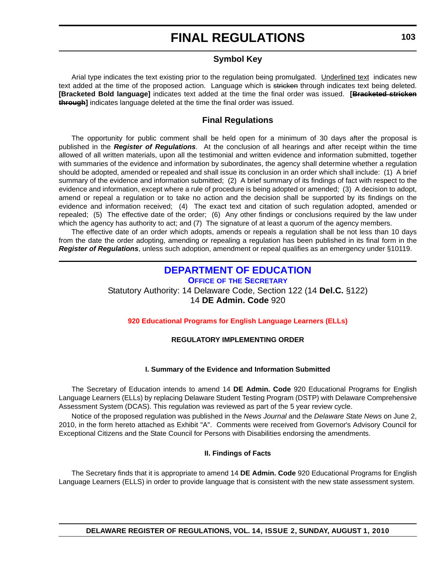#### **Symbol Key**

<span id="page-40-0"></span>Arial type indicates the text existing prior to the regulation being promulgated. Underlined text indicates new text added at the time of the proposed action. Language which is stricken through indicates text being deleted. **[Bracketed Bold language]** indicates text added at the time the final order was issued. **[Bracketed stricken through]** indicates language deleted at the time the final order was issued.

#### **Final Regulations**

The opportunity for public comment shall be held open for a minimum of 30 days after the proposal is published in the *Register of Regulations*. At the conclusion of all hearings and after receipt within the time allowed of all written materials, upon all the testimonial and written evidence and information submitted, together with summaries of the evidence and information by subordinates, the agency shall determine whether a regulation should be adopted, amended or repealed and shall issue its conclusion in an order which shall include: (1) A brief summary of the evidence and information submitted; (2) A brief summary of its findings of fact with respect to the evidence and information, except where a rule of procedure is being adopted or amended; (3) A decision to adopt, amend or repeal a regulation or to take no action and the decision shall be supported by its findings on the evidence and information received; (4) The exact text and citation of such regulation adopted, amended or repealed; (5) The effective date of the order; (6) Any other findings or conclusions required by the law under which the agency has authority to act; and (7) The signature of at least a quorum of the agency members.

The effective date of an order which adopts, amends or repeals a regulation shall be not less than 10 days from the date the order adopting, amending or repealing a regulation has been published in its final form in the *Register of Regulations*, unless such adoption, amendment or repeal qualifies as an emergency under §10119.

### **[DEPARTMENT OF EDUCATION](http://www.doe.k12.de.us/)**

**OFFICE OF THE SECRETARY** Statutory Authority: 14 Delaware Code, Section 122 (14 **Del.C.** §122) 14 **DE Admin. Code** 920

#### **[920 Educational Programs for English Language Learners \(ELLs\)](#page-3-0)**

#### **REGULATORY IMPLEMENTING ORDER**

#### **I. Summary of the Evidence and Information Submitted**

The Secretary of Education intends to amend 14 **DE Admin. Code** 920 Educational Programs for English Language Learners (ELLs) by replacing Delaware Student Testing Program (DSTP) with Delaware Comprehensive Assessment System (DCAS). This regulation was reviewed as part of the 5 year review cycle.

Notice of the proposed regulation was published in the *News Journal* and the *Delaware State News* on June 2, 2010, in the form hereto attached as Exhibit "A". Comments were received from Governor's Advisory Council for Exceptional Citizens and the State Council for Persons with Disabilities endorsing the amendments.

#### **II. Findings of Facts**

The Secretary finds that it is appropriate to amend 14 **DE Admin. Code** 920 Educational Programs for English Language Learners (ELLS) in order to provide language that is consistent with the new state assessment system.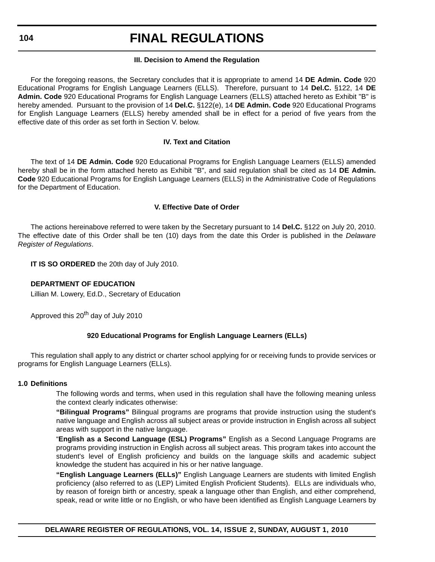#### **104**

### **FINAL REGULATIONS**

#### **III. Decision to Amend the Regulation**

For the foregoing reasons, the Secretary concludes that it is appropriate to amend 14 **DE Admin. Code** 920 Educational Programs for English Language Learners (ELLS). Therefore, pursuant to 14 **Del.C.** §122, 14 **DE Admin. Code** 920 Educational Programs for English Language Learners (ELLS) attached hereto as Exhibit "B" is hereby amended. Pursuant to the provision of 14 **Del.C.** §122(e), 14 **DE Admin. Code** 920 Educational Programs for English Language Learners (ELLS) hereby amended shall be in effect for a period of five years from the effective date of this order as set forth in Section V. below.

#### **IV. Text and Citation**

The text of 14 **DE Admin. Code** 920 Educational Programs for English Language Learners (ELLS) amended hereby shall be in the form attached hereto as Exhibit "B", and said regulation shall be cited as 14 **DE Admin. Code** 920 Educational Programs for English Language Learners (ELLS) in the Administrative Code of Regulations for the Department of Education.

#### **V. Effective Date of Order**

The actions hereinabove referred to were taken by the Secretary pursuant to 14 **Del.C.** §122 on July 20, 2010. The effective date of this Order shall be ten (10) days from the date this Order is published in the *Delaware Register of Regulations*.

**IT IS SO ORDERED** the 20th day of July 2010.

#### **DEPARTMENT OF EDUCATION**

Lillian M. Lowery, Ed.D., Secretary of Education

Approved this 20<sup>th</sup> day of July 2010

#### **920 Educational Programs for English Language Learners (ELLs)**

This regulation shall apply to any district or charter school applying for or receiving funds to provide services or programs for English Language Learners (ELLs).

#### **1.0 Definitions**

The following words and terms, when used in this regulation shall have the following meaning unless the context clearly indicates otherwise:

**"Bilingual Programs"** Bilingual programs are programs that provide instruction using the student's native language and English across all subject areas or provide instruction in English across all subject areas with support in the native language.

"**English as a Second Language (ESL) Programs"** English as a Second Language Programs are programs providing instruction in English across all subject areas. This program takes into account the student's level of English proficiency and builds on the language skills and academic subject knowledge the student has acquired in his or her native language.

**"English Language Learners (ELLs)"** English Language Learners are students with limited English proficiency (also referred to as (LEP) Limited English Proficient Students). ELLs are individuals who, by reason of foreign birth or ancestry, speak a language other than English, and either comprehend, speak, read or write little or no English, or who have been identified as English Language Learners by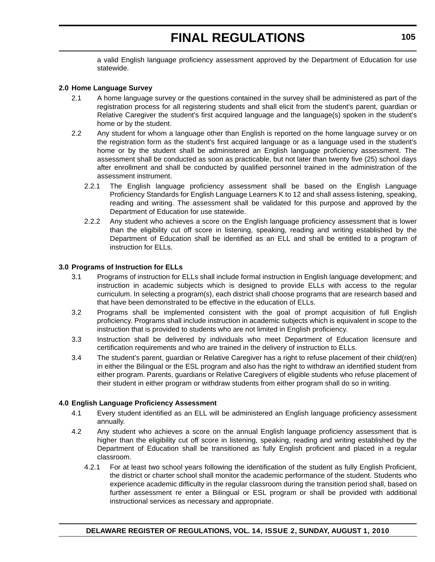a valid English language proficiency assessment approved by the Department of Education for use statewide.

#### **2.0 Home Language Survey**

- 2.1 A home language survey or the questions contained in the survey shall be administered as part of the registration process for all registering students and shall elicit from the student's parent, guardian or Relative Caregiver the student's first acquired language and the language(s) spoken in the student's home or by the student.
- 2.2 Any student for whom a language other than English is reported on the home language survey or on the registration form as the student's first acquired language or as a language used in the student's home or by the student shall be administered an English language proficiency assessment. The assessment shall be conducted as soon as practicable, but not later than twenty five (25) school days after enrollment and shall be conducted by qualified personnel trained in the administration of the assessment instrument.
	- 2.2.1 The English language proficiency assessment shall be based on the English Language Proficiency Standards for English Language Learners K to 12 and shall assess listening, speaking, reading and writing. The assessment shall be validated for this purpose and approved by the Department of Education for use statewide.
	- 2.2.2 Any student who achieves a score on the English language proficiency assessment that is lower than the eligibility cut off score in listening, speaking, reading and writing established by the Department of Education shall be identified as an ELL and shall be entitled to a program of instruction for ELLs.

#### **3.0 Programs of Instruction for ELLs**

- 3.1 Programs of instruction for ELLs shall include formal instruction in English language development; and instruction in academic subjects which is designed to provide ELLs with access to the regular curriculum. In selecting a program(s), each district shall choose programs that are research based and that have been demonstrated to be effective in the education of ELLs.
- 3.2 Programs shall be implemented consistent with the goal of prompt acquisition of full English proficiency. Programs shall include instruction in academic subjects which is equivalent in scope to the instruction that is provided to students who are not limited in English proficiency.
- 3.3 Instruction shall be delivered by individuals who meet Department of Education licensure and certification requirements and who are trained in the delivery of instruction to ELLs.
- 3.4 The student's parent, guardian or Relative Caregiver has a right to refuse placement of their child(ren) in either the Bilingual or the ESL program and also has the right to withdraw an identified student from either program. Parents, guardians or Relative Caregivers of eligible students who refuse placement of their student in either program or withdraw students from either program shall do so in writing.

#### **4.0 English Language Proficiency Assessment**

- 4.1 Every student identified as an ELL will be administered an English language proficiency assessment annually.
- 4.2 Any student who achieves a score on the annual English language proficiency assessment that is higher than the eligibility cut off score in listening, speaking, reading and writing established by the Department of Education shall be transitioned as fully English proficient and placed in a regular classroom.
	- 4.2.1 For at least two school years following the identification of the student as fully English Proficient, the district or charter school shall monitor the academic performance of the student. Students who experience academic difficulty in the regular classroom during the transition period shall, based on further assessment re enter a Bilingual or ESL program or shall be provided with additional instructional services as necessary and appropriate.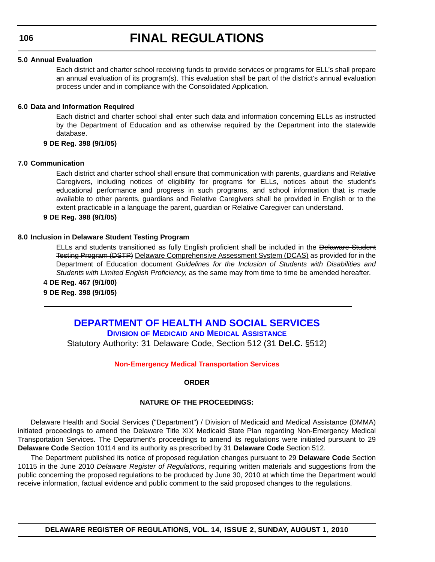#### <span id="page-43-0"></span>**5.0 Annual Evaluation**

Each district and charter school receiving funds to provide services or programs for ELL's shall prepare an annual evaluation of its program(s). This evaluation shall be part of the district's annual evaluation process under and in compliance with the Consolidated Application.

#### **6.0 Data and Information Required**

Each district and charter school shall enter such data and information concerning ELLs as instructed by the Department of Education and as otherwise required by the Department into the statewide database.

#### **9 DE Reg. 398 (9/1/05)**

#### **7.0 Communication**

Each district and charter school shall ensure that communication with parents, guardians and Relative Caregivers, including notices of eligibility for programs for ELLs, notices about the student's educational performance and progress in such programs, and school information that is made available to other parents, guardians and Relative Caregivers shall be provided in English or to the extent practicable in a language the parent, guardian or Relative Caregiver can understand.

#### **9 DE Reg. 398 (9/1/05)**

#### **8.0 Inclusion in Delaware Student Testing Program**

ELLs and students transitioned as fully English proficient shall be included in the Delaware Student Testing Program (DSTP) Delaware Comprehensive Assessment System (DCAS) as provided for in the Department of Education document *Guidelines for the Inclusion of Students with Disabilities and Students with Limited English Proficiency*, as the same may from time to time be amended hereafter.

**4 DE Reg. 467 (9/1/00) 9 DE Reg. 398 (9/1/05)**

### **[DEPARTMENT OF HEALTH AND SOCIAL SERVICES](http://www.dhss.delaware.gov/dhss/dmma/) DIVISION OF MEDICAID AND MEDICAL ASSISTANCE** Statutory Authority: 31 Delaware Code, Section 512 (31 **Del.C.** §512)

#### **[Non-Emergency Medical Transportation Services](#page-4-0)**

#### **ORDER**

#### **NATURE OF THE PROCEEDINGS:**

Delaware Health and Social Services ("Department") / Division of Medicaid and Medical Assistance (DMMA) initiated proceedings to amend the Delaware Title XIX Medicaid State Plan regarding Non-Emergency Medical Transportation Services. The Department's proceedings to amend its regulations were initiated pursuant to 29 **Delaware Code** Section 10114 and its authority as prescribed by 31 **Delaware Code** Section 512.

The Department published its notice of proposed regulation changes pursuant to 29 **Delaware Code** Section 10115 in the June 2010 *Delaware Register of Regulations*, requiring written materials and suggestions from the public concerning the proposed regulations to be produced by June 30, 2010 at which time the Department would receive information, factual evidence and public comment to the said proposed changes to the regulations.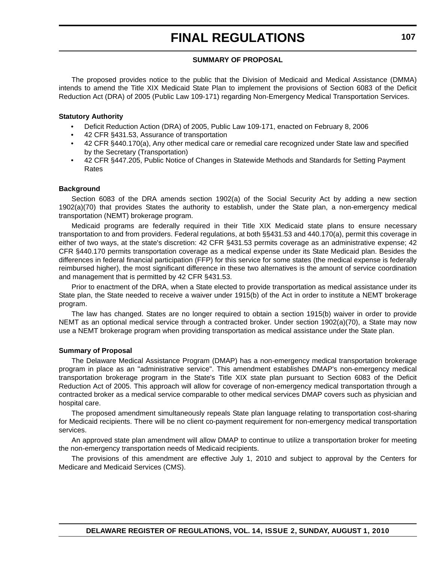#### **SUMMARY OF PROPOSAL**

The proposed provides notice to the public that the Division of Medicaid and Medical Assistance (DMMA) intends to amend the Title XIX Medicaid State Plan to implement the provisions of Section 6083 of the Deficit Reduction Act (DRA) of 2005 (Public Law 109-171) regarding Non-Emergency Medical Transportation Services.

#### **Statutory Authority**

- Deficit Reduction Action (DRA) of 2005, Public Law 109-171, enacted on February 8, 2006
- 42 CFR §431.53, Assurance of transportation
- 42 CFR §440.170(a), Any other medical care or remedial care recognized under State law and specified by the Secretary (Transportation)
- 42 CFR §447.205, Public Notice of Changes in Statewide Methods and Standards for Setting Payment Rates

#### **Background**

Section 6083 of the DRA amends section 1902(a) of the Social Security Act by adding a new section 1902(a)(70) that provides States the authority to establish, under the State plan, a non-emergency medical transportation (NEMT) brokerage program.

Medicaid programs are federally required in their Title XIX Medicaid state plans to ensure necessary transportation to and from providers. Federal regulations, at both §§431.53 and 440.170(a), permit this coverage in either of two ways, at the state's discretion: 42 CFR §431.53 permits coverage as an administrative expense; 42 CFR §440.170 permits transportation coverage as a medical expense under its State Medicaid plan. Besides the differences in federal financial participation (FFP) for this service for some states (the medical expense is federally reimbursed higher), the most significant difference in these two alternatives is the amount of service coordination and management that is permitted by 42 CFR §431.53.

Prior to enactment of the DRA, when a State elected to provide transportation as medical assistance under its State plan, the State needed to receive a waiver under 1915(b) of the Act in order to institute a NEMT brokerage program.

The law has changed. States are no longer required to obtain a section 1915(b) waiver in order to provide NEMT as an optional medical service through a contracted broker. Under section 1902(a)(70), a State may now use a NEMT brokerage program when providing transportation as medical assistance under the State plan.

#### **Summary of Proposal**

The Delaware Medical Assistance Program (DMAP) has a non-emergency medical transportation brokerage program in place as an "administrative service". This amendment establishes DMAP's non-emergency medical transportation brokerage program in the State's Title XIX state plan pursuant to Section 6083 of the Deficit Reduction Act of 2005. This approach will allow for coverage of non-emergency medical transportation through a contracted broker as a medical service comparable to other medical services DMAP covers such as physician and hospital care.

The proposed amendment simultaneously repeals State plan language relating to transportation cost-sharing for Medicaid recipients. There will be no client co-payment requirement for non-emergency medical transportation services.

An approved state plan amendment will allow DMAP to continue to utilize a transportation broker for meeting the non-emergency transportation needs of Medicaid recipients.

The provisions of this amendment are effective July 1, 2010 and subject to approval by the Centers for Medicare and Medicaid Services (CMS).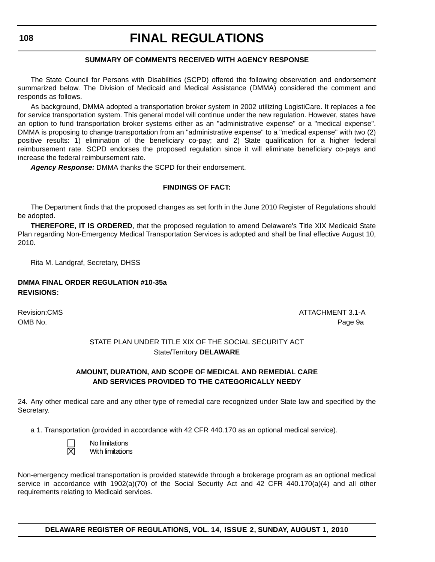#### **SUMMARY OF COMMENTS RECEIVED WITH AGENCY RESPONSE**

The State Council for Persons with Disabilities (SCPD) offered the following observation and endorsement summarized below. The Division of Medicaid and Medical Assistance (DMMA) considered the comment and responds as follows.

As background, DMMA adopted a transportation broker system in 2002 utilizing LogistiCare. It replaces a fee for service transportation system. This general model will continue under the new regulation. However, states have an option to fund transportation broker systems either as an "administrative expense" or a "medical expense". DMMA is proposing to change transportation from an "administrative expense" to a "medical expense" with two (2) positive results: 1) elimination of the beneficiary co-pay; and 2) State qualification for a higher federal reimbursement rate. SCPD endorses the proposed regulation since it will eliminate beneficiary co-pays and increase the federal reimbursement rate.

*Agency Response:* DMMA thanks the SCPD for their endorsement.

#### **FINDINGS OF FACT:**

The Department finds that the proposed changes as set forth in the June 2010 Register of Regulations should be adopted.

**THEREFORE, IT IS ORDERED**, that the proposed regulation to amend Delaware's Title XIX Medicaid State Plan regarding Non-Emergency Medical Transportation Services is adopted and shall be final effective August 10, 2010.

Rita M. Landgraf, Secretary, DHSS

#### **DMMA FINAL ORDER REGULATION #10-35a REVISIONS:**

Revision:CMS ATTACHMENT 3.1-A OMB No. Page 9a

> STATE PLAN UNDER TITLE XIX OF THE SOCIAL SECURITY ACT State/Territory **DELAWARE**

#### **AMOUNT, DURATION, AND SCOPE OF MEDICAL AND REMEDIAL CARE AND SERVICES PROVIDED TO THE CATEGORICALLY NEEDY**

24. Any other medical care and any other type of remedial care recognized under State law and specified by the Secretary.

a 1. Transportation (provided in accordance with 42 CFR 440.170 as an optional medical service).

 No limitations With limitations

Non-emergency medical transportation is provided statewide through a brokerage program as an optional medical service in accordance with 1902(a)(70) of the Social Security Act and 42 CFR 440.170(a)(4) and all other requirements relating to Medicaid services.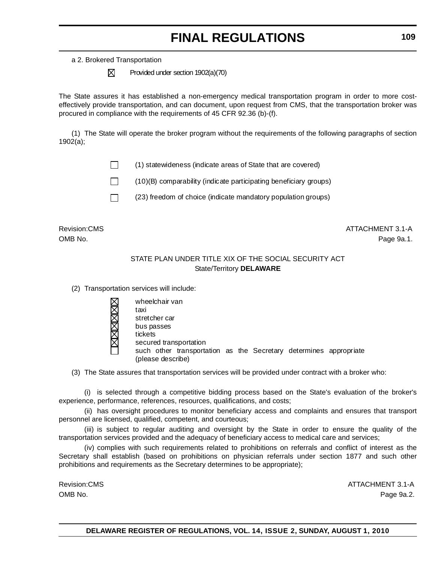a 2. Brokered Transportation

 $\boxtimes$  Provided under section 1902(a)(70)

The State assures it has established a non-emergency medical transportation program in order to more costeffectively provide transportation, and can document, upon request from CMS, that the transportation broker was procured in compliance with the requirements of 45 CFR 92.36 (b)-(f).

(1) The State will operate the broker program without the requirements of the following paragraphs of section 1902(a);

 $\Box$  (1) statewideness (indicate areas of State that are covered)

 $\Box$  (10)(B) comparability (indicate participating beneficiary groups)



 $\Box$  (23) freedom of choice (indicate mandatory population groups)

Revision:CMS ATTACHMENT 3.1-A OMB No. Page 9a.1.

#### STATE PLAN UNDER TITLE XIX OF THE SOCIAL SECURITY ACT State/Territory **DELAWARE**

(2) Transportation services will include:

| wheelchair van         |                                                                   |  |  |  |
|------------------------|-------------------------------------------------------------------|--|--|--|
| taxi                   |                                                                   |  |  |  |
| stretcher car          |                                                                   |  |  |  |
| bus passes             |                                                                   |  |  |  |
| tickets                |                                                                   |  |  |  |
| secured transportation |                                                                   |  |  |  |
| (please describe)      | such other transportation as the Secretary determines appropriate |  |  |  |

(3) The State assures that transportation services will be provided under contract with a broker who:

(i) is selected through a competitive bidding process based on the State's evaluation of the broker's experience, performance, references, resources, qualifications, and costs;

(ii) has oversight procedures to monitor beneficiary access and complaints and ensures that transport personnel are licensed, qualified, competent, and courteous;

(iii) is subject to regular auditing and oversight by the State in order to ensure the quality of the transportation services provided and the adequacy of beneficiary access to medical care and services;

(iv) complies with such requirements related to prohibitions on referrals and conflict of interest as the Secretary shall establish (based on prohibitions on physician referrals under section 1877 and such other prohibitions and requirements as the Secretary determines to be appropriate);

Revision:CMS ATTACHMENT 3.1-A OMB No. Page 9a.2.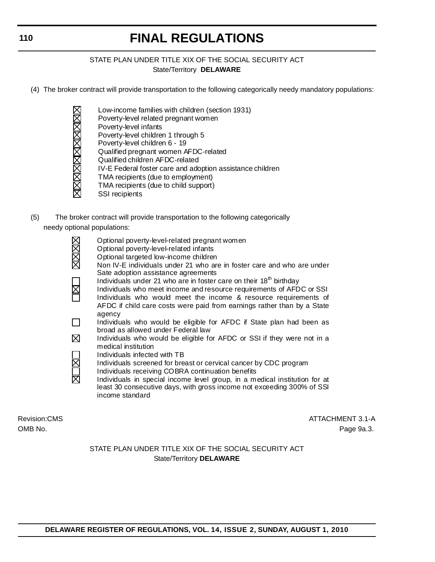#### STATE PLAN UNDER TITLE XIX OF THE SOCIAL SECURITY ACT State/Territory **DELAWARE**

- (4) The broker contract will provide transportation to the following categorically needy mandatory populations:
	- Low-income families with children (section 1931)
	- Poverty-level related pregnant women
	- Poverty-level infants
	- Poverty-level children 1 through 5
	- Poverty-level children 6 19
	- **NEWSTARTS ANDEREST**  Qualified pregnant women AFDC-related
		- Qualified children AFDC-related
		- IV-E Federal foster care and adoption assistance children
		- TMA recipients (due to employment)
		- TMA recipients (due to child support)
		- SSI recipients
- (5) The broker contract will provide transportation to the following categorically needy optional populations:
	- Optional poverty-level-related pregnant women Optional poverty-level-related infants Optional targeted low-income children Non IV-E individuals under 21 who are in foster care and who are under Sate adoption assistance agreements Individuals under 21 who are in foster care on their  $18<sup>th</sup>$  birthday Individuals who meet income and resource requirements of AFDC or SSI Individuals who would meet the income & resource requirements of AFDC if child care costs were paid from earnings rather than by a State agency Individuals who would be eligible for AFDC if State plan had been as broad as allowed under Federal law  $\boxtimes$  Individuals who would be eligible for AFDC or SSI if they were not in a medical institution Individuals infected with TB Individuals screened for breast or cervical cancer by CDC program Individuals receiving COBRA continuation benefits
		- Individuals in special income level group, in a medical institution for at least 30 consecutive days, with gross income not exceeding 300% of SSI income standard

Revision:CMS ATTACHMENT 3.1-A OMB No. Page 9a.3.

> STATE PLAN UNDER TITLE XIX OF THE SOCIAL SECURITY ACT State/Territory **DELAWARE**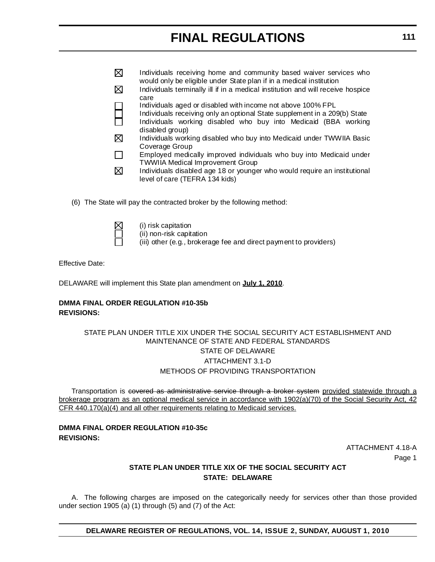- $\boxtimes$  Individuals receiving home and community based waiver services who would only be eligible under State plan if in a medical institution  $\boxtimes$  Individuals terminally ill if in a medical institution and will receive hospice care Individuals aged or disabled with income not above 100% FPL Individuals receiving only an optional State supplement in a 209(b) State Individuals working disabled who buy into Medicaid (BBA working disabled group) 冈 Individuals working disabled who buy into Medicaid under TWWIIA Basic Coverage Group  $\Box$  Employed medically improved individuals who buy into Medicaid under TWWIIA Medical Improvement Group
- $\boxtimes$  Individuals disabled age 18 or younger who would require an institutional level of care (TEFRA 134 kids)
- (6) The State will pay the contracted broker by the following method:



(i) risk capitation

(ii) non-risk capitation

(iii) other (e.g., brokerage fee and direct payment to providers)

Effective Date:

DELAWARE will implement this State plan amendment on **July 1, 2010**.

#### **DMMA FINAL ORDER REGULATION #10-35b REVISIONS:**

#### STATE PLAN UNDER TITLE XIX UNDER THE SOCIAL SECURITY ACT ESTABLISHMENT AND MAINTENANCE OF STATE AND FEDERAL STANDARDS STATE OF DELAWARE ATTACHMENT 3.1-D METHODS OF PROVIDING TRANSPORTATION

Transportation is covered as administrative service through a broker system provided statewide through a brokerage program as an optional medical service in accordance with 1902(a)(70) of the Social Security Act, 42 CFR 440.170(a)(4) and all other requirements relating to Medicaid services.

#### **DMMA FINAL ORDER REGULATION #10-35c REVISIONS:**

ATTACHMENT 4.18-A Page 1

#### **STATE PLAN UNDER TITLE XIX OF THE SOCIAL SECURITY ACT STATE: DELAWARE**

A. The following charges are imposed on the categorically needy for services other than those provided under section 1905 (a) (1) through (5) and (7) of the Act: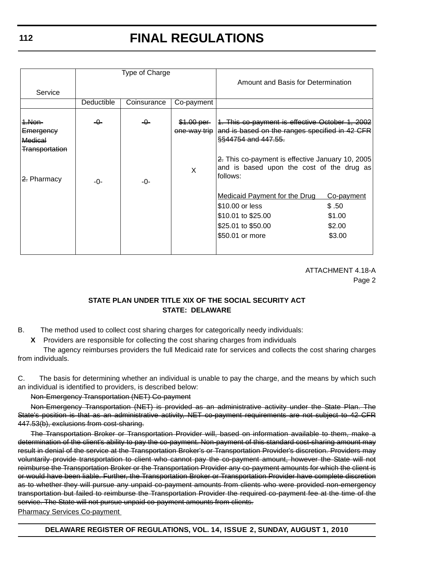|                                                                            | Type of Charge |             | Amount and Basis for Determination         |                                                                                                                                                                                                                                       |                                                   |
|----------------------------------------------------------------------------|----------------|-------------|--------------------------------------------|---------------------------------------------------------------------------------------------------------------------------------------------------------------------------------------------------------------------------------------|---------------------------------------------------|
| Service                                                                    |                |             |                                            |                                                                                                                                                                                                                                       |                                                   |
|                                                                            | Deductible     | Coinsurance | Co-payment                                 |                                                                                                                                                                                                                                       |                                                   |
| 1.Non-<br>Emergency<br>Medical<br><del>Transportation</del><br>2. Pharmacy | -0-<br>-0-     | -0-<br>-0-  | \$1.00 per<br><del>one-way trip</del><br>X | 1. This co-payment is effective October 1, 2002<br>and is based on the ranges specified in 42 CFR<br>§§44754 and 447.55.<br>2. This co-payment is effective January 10, 2005<br>and is based upon the cost of the drug as<br>follows: |                                                   |
|                                                                            |                |             |                                            | <b>Medicaid Payment for the Drug</b><br>\$10.00 or less<br>\$10.01 to \$25.00<br>\$25.01 to \$50.00<br>\$50.01 or more                                                                                                                | Co-payment<br>\$.50<br>\$1.00<br>\$2.00<br>\$3.00 |

ATTACHMENT 4.18-A Page 2

#### **STATE PLAN UNDER TITLE XIX OF THE SOCIAL SECURITY ACT STATE: DELAWARE**

B. The method used to collect cost sharing charges for categorically needy individuals:

**X** Providers are responsible for collecting the cost sharing charges from individuals

The agency reimburses providers the full Medicaid rate for services and collects the cost sharing charges from individuals.

C. The basis for determining whether an individual is unable to pay the charge, and the means by which such an individual is identified to providers, is described below:

Non-Emergency Transportation (NET) Co-payment

Non-Emergency Transportation (NET) is provided as an administrative activity under the State Plan. The State's position is that as an administrative activity, NET co-payment requirements are not subject to 42 CFR 447.53(b), exclusions from cost-sharing.

The Transportation Broker or Transportation Provider will, based on information available to them, make a determination of the client's ability to pay the co-payment. Non-payment of this standard cost-sharing amount may result in denial of the service at the Transportation Broker's or Transportation Provider's discretion. Providers may voluntarily provide transportation to client who cannot pay the co-payment amount, however the State will not reimburse the Transportation Broker or the Transportation Provider any co-payment amounts for which the client is or would have been liable. Further, the Transportation Broker or Transportation Provider have complete discretion as to whether they will pursue any unpaid co-payment amounts from clients who were provided non-emergency transportation but failed to reimburse the Transportation Provider the required co-payment fee at the time of the service. The State will not pursue unpaid co-payment amounts from clients. Pharmacy Services Co-payment

**DELAWARE REGISTER OF REGULATIONS, VOL. 14, ISSUE 2, SUNDAY, AUGUST 1, 2010**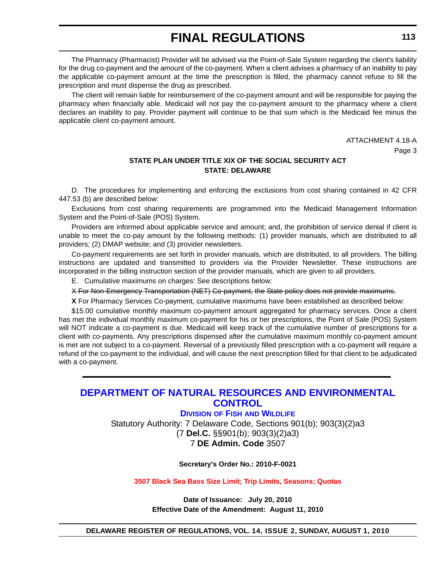<span id="page-50-0"></span>The Pharmacy (Pharmacist) Provider will be advised via the Point-of-Sale System regarding the client's liability for the drug co-payment and the amount of the co-payment. When a client advises a pharmacy of an inability to pay the applicable co-payment amount at the time the prescription is filled, the pharmacy cannot refuse to fill the prescription and must dispense the drug as prescribed.

The client will remain liable for reimbursement of the co-payment amount and will be responsible for paying the pharmacy when financially able. Medicaid will not pay the co-payment amount to the pharmacy where a client declares an inability to pay. Provider payment will continue to be that sum which is the Medicaid fee minus the applicable client co-payment amount.

> ATTACHMENT 4.18-A Page 3

#### **STATE PLAN UNDER TITLE XIX OF THE SOCIAL SECURITY ACT STATE: DELAWARE**

D. The procedures for implementing and enforcing the exclusions from cost sharing contained in 42 CFR 447.53 (b) are described below:

Exclusions from cost sharing requirements are programmed into the Medicaid Management Information System and the Point-of-Sale (POS) System.

Providers are informed about applicable service and amount; and, the prohibition of service denial if client is unable to meet the co-pay amount by the following methods: (1) provider manuals, which are distributed to all providers; (2) DMAP website; and (3) provider newsletters.

Co-payment requirements are set forth in provider manuals, which are distributed, to all providers. The billing instructions are updated and transmitted to providers via the Provider Newsletter. These instructions are incorporated in the billing instruction section of the provider manuals, which are given to all providers.

E. Cumulative maximums on charges: See descriptions below:

X For Non-Emergency Transportation (NET) Co-payment, the State policy does not provide maximums.

**X** For Pharmacy Services Co-payment, cumulative maximums have been established as described below:

\$15.00 cumulative monthly maximum co-payment amount aggregated for pharmacy services. Once a client has met the individual monthly maximum co-payment for his or her prescriptions, the Point of Sale (POS) System will NOT indicate a co-payment is due. Medicaid will keep track of the cumulative number of prescriptions for a client with co-payments. Any prescriptions dispensed after the cumulative maximum monthly co-payment amount is met are not subject to a co-payment. Reversal of a previously filled prescription with a co-payment will require a refund of the co-payment to the individual, and will cause the next prescription filled for that client to be adjudicated with a co-payment.

### **[DEPARTMENT OF NATURAL RESOURCES AND ENVIRONMENTAL](http://www.fw.delaware.gov/Pages/FWPortal.aspx)  CONTROL**

#### **DIVISION OF FISH AND WILDLIFE**

Statutory Authority: 7 Delaware Code, Sections 901(b); 903(3)(2)a3 (7 **Del.C.** §§901(b); 903(3)(2)a3) 7 **DE Admin. Code** 3507

**Secretary's Order No.: 2010-F-0021**

**[3507 Black Sea Bass Size Limit; Trip Limits, Seasons; Quotas](#page-4-0)**

**Date of Issuance: July 20, 2010 Effective Date of the Amendment: August 11, 2010**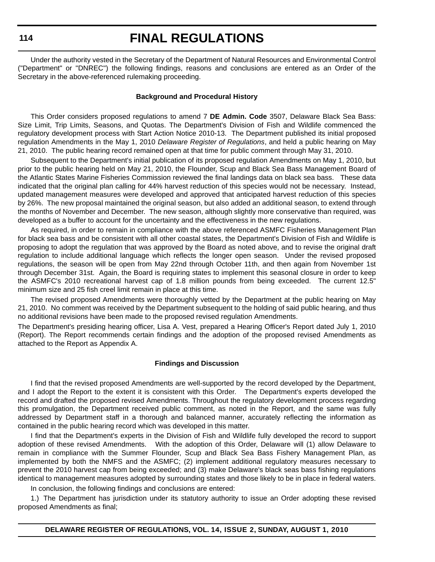**114**

### **FINAL REGULATIONS**

Under the authority vested in the Secretary of the Department of Natural Resources and Environmental Control ("Department" or "DNREC") the following findings, reasons and conclusions are entered as an Order of the Secretary in the above-referenced rulemaking proceeding.

#### **Background and Procedural History**

This Order considers proposed regulations to amend 7 **DE Admin. Code** 3507, Delaware Black Sea Bass: Size Limit, Trip Limits, Seasons, and Quotas. The Department's Division of Fish and Wildlife commenced the regulatory development process with Start Action Notice 2010-13. The Department published its initial proposed regulation Amendments in the May 1, 2010 *Delaware Register of Regulations*, and held a public hearing on May 21, 2010. The public hearing record remained open at that time for public comment through May 31, 2010.

Subsequent to the Department's initial publication of its proposed regulation Amendments on May 1, 2010, but prior to the public hearing held on May 21, 2010, the Flounder, Scup and Black Sea Bass Management Board of the Atlantic States Marine Fisheries Commission reviewed the final landings data on black sea bass. These data indicated that the original plan calling for 44% harvest reduction of this species would not be necessary. Instead, updated management measures were developed and approved that anticipated harvest reduction of this species by 26%. The new proposal maintained the original season, but also added an additional season, to extend through the months of November and December. The new season, although slightly more conservative than required, was developed as a buffer to account for the uncertainty and the effectiveness in the new regulations.

As required, in order to remain in compliance with the above referenced ASMFC Fisheries Management Plan for black sea bass and be consistent with all other coastal states, the Department's Division of Fish and Wildlife is proposing to adopt the regulation that was approved by the Board as noted above, and to revise the original draft regulation to include additional language which reflects the longer open season. Under the revised proposed regulations, the season will be open from May 22nd through October 11th, and then again from November 1st through December 31st. Again, the Board is requiring states to implement this seasonal closure in order to keep the ASMFC's 2010 recreational harvest cap of 1.8 million pounds from being exceeded. The current 12.5" minimum size and 25 fish creel limit remain in place at this time.

The revised proposed Amendments were thoroughly vetted by the Department at the public hearing on May 21, 2010. No comment was received by the Department subsequent to the holding of said public hearing, and thus no additional revisions have been made to the proposed revised regulation Amendments.

The Department's presiding hearing officer, Lisa A. Vest, prepared a Hearing Officer's Report dated July 1, 2010 (Report). The Report recommends certain findings and the adoption of the proposed revised Amendments as attached to the Report as Appendix A.

#### **Findings and Discussion**

I find that the revised proposed Amendments are well-supported by the record developed by the Department, and I adopt the Report to the extent it is consistent with this Order. The Department's experts developed the record and drafted the proposed revised Amendments. Throughout the regulatory development process regarding this promulgation, the Department received public comment, as noted in the Report, and the same was fully addressed by Department staff in a thorough and balanced manner, accurately reflecting the information as contained in the public hearing record which was developed in this matter.

I find that the Department's experts in the Division of Fish and Wildlife fully developed the record to support adoption of these revised Amendments. With the adoption of this Order, Delaware will (1) allow Delaware to remain in compliance with the Summer Flounder, Scup and Black Sea Bass Fishery Management Plan, as implemented by both the NMFS and the ASMFC; (2) implement additional regulatory measures necessary to prevent the 2010 harvest cap from being exceeded; and (3) make Delaware's black seas bass fishing regulations identical to management measures adopted by surrounding states and those likely to be in place in federal waters.

In conclusion, the following findings and conclusions are entered:

1.) The Department has jurisdiction under its statutory authority to issue an Order adopting these revised proposed Amendments as final;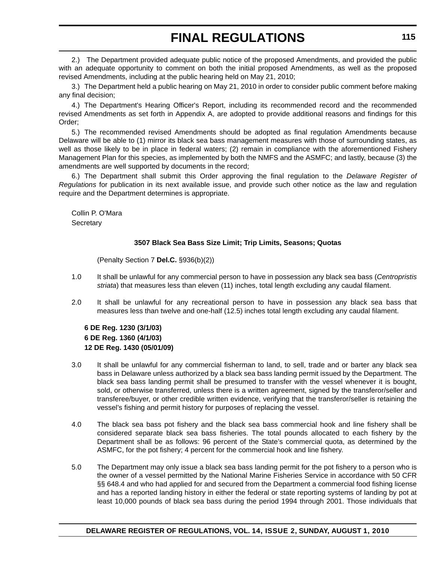2.) The Department provided adequate public notice of the proposed Amendments, and provided the public with an adequate opportunity to comment on both the initial proposed Amendments, as well as the proposed revised Amendments, including at the public hearing held on May 21, 2010;

3.) The Department held a public hearing on May 21, 2010 in order to consider public comment before making any final decision;

4.) The Department's Hearing Officer's Report, including its recommended record and the recommended revised Amendments as set forth in Appendix A, are adopted to provide additional reasons and findings for this Order;

5.) The recommended revised Amendments should be adopted as final regulation Amendments because Delaware will be able to (1) mirror its black sea bass management measures with those of surrounding states, as well as those likely to be in place in federal waters; (2) remain in compliance with the aforementioned Fishery Management Plan for this species, as implemented by both the NMFS and the ASMFC; and lastly, because (3) the amendments are well supported by documents in the record;

6.) The Department shall submit this Order approving the final regulation to the *Delaware Register of Regulations* for publication in its next available issue, and provide such other notice as the law and regulation require and the Department determines is appropriate.

Collin P. O'Mara **Secretary** 

#### **3507 Black Sea Bass Size Limit; Trip Limits, Seasons; Quotas**

(Penalty Section 7 **Del.C.** §936(b)(2))

- 1.0 It shall be unlawful for any commercial person to have in possession any black sea bass (*Centropristis striata*) that measures less than eleven (11) inches, total length excluding any caudal filament.
- 2.0 It shall be unlawful for any recreational person to have in possession any black sea bass that measures less than twelve and one-half (12.5) inches total length excluding any caudal filament.

#### **6 DE Reg. 1230 (3/1/03) 6 DE Reg. 1360 (4/1/03) 12 DE Reg. 1430 (05/01/09)**

- 3.0 It shall be unlawful for any commercial fisherman to land, to sell, trade and or barter any black sea bass in Delaware unless authorized by a black sea bass landing permit issued by the Department. The black sea bass landing permit shall be presumed to transfer with the vessel whenever it is bought, sold, or otherwise transferred, unless there is a written agreement, signed by the transferor/seller and transferee/buyer, or other credible written evidence, verifying that the transferor/seller is retaining the vessel's fishing and permit history for purposes of replacing the vessel.
- 4.0 The black sea bass pot fishery and the black sea bass commercial hook and line fishery shall be considered separate black sea bass fisheries. The total pounds allocated to each fishery by the Department shall be as follows: 96 percent of the State's commercial quota, as determined by the ASMFC, for the pot fishery; 4 percent for the commercial hook and line fishery.
- 5.0 The Department may only issue a black sea bass landing permit for the pot fishery to a person who is the owner of a vessel permitted by the National Marine Fisheries Service in accordance with 50 CFR §§ 648.4 and who had applied for and secured from the Department a commercial food fishing license and has a reported landing history in either the federal or state reporting systems of landing by pot at least 10,000 pounds of black sea bass during the period 1994 through 2001. Those individuals that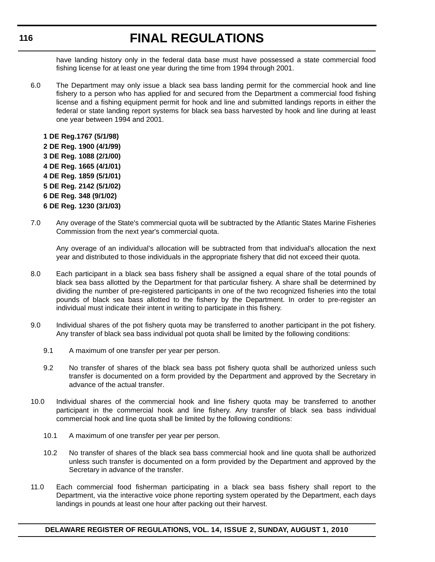have landing history only in the federal data base must have possessed a state commercial food fishing license for at least one year during the time from 1994 through 2001.

6.0 The Department may only issue a black sea bass landing permit for the commercial hook and line fishery to a person who has applied for and secured from the Department a commercial food fishing license and a fishing equipment permit for hook and line and submitted landings reports in either the federal or state landing report systems for black sea bass harvested by hook and line during at least one year between 1994 and 2001.

**1 DE Reg.1767 (5/1/98) 2 DE Reg. 1900 (4/1/99) 3 DE Reg. 1088 (2/1/00) 4 DE Reg. 1665 (4/1/01) 4 DE Reg. 1859 (5/1/01) 5 DE Reg. 2142 (5/1/02) 6 DE Reg. 348 (9/1/02) 6 DE Reg. 1230 (3/1/03)**

7.0 Any overage of the State's commercial quota will be subtracted by the Atlantic States Marine Fisheries Commission from the next year's commercial quota.

Any overage of an individual's allocation will be subtracted from that individual's allocation the next year and distributed to those individuals in the appropriate fishery that did not exceed their quota.

- 8.0 Each participant in a black sea bass fishery shall be assigned a equal share of the total pounds of black sea bass allotted by the Department for that particular fishery. A share shall be determined by dividing the number of pre-registered participants in one of the two recognized fisheries into the total pounds of black sea bass allotted to the fishery by the Department. In order to pre-register an individual must indicate their intent in writing to participate in this fishery.
- 9.0 Individual shares of the pot fishery quota may be transferred to another participant in the pot fishery. Any transfer of black sea bass individual pot quota shall be limited by the following conditions:
	- 9.1 A maximum of one transfer per year per person.
	- 9.2 No transfer of shares of the black sea bass pot fishery quota shall be authorized unless such transfer is documented on a form provided by the Department and approved by the Secretary in advance of the actual transfer.
- 10.0 Individual shares of the commercial hook and line fishery quota may be transferred to another participant in the commercial hook and line fishery. Any transfer of black sea bass individual commercial hook and line quota shall be limited by the following conditions:
	- 10.1 A maximum of one transfer per year per person.
	- 10.2 No transfer of shares of the black sea bass commercial hook and line quota shall be authorized unless such transfer is documented on a form provided by the Department and approved by the Secretary in advance of the transfer.
- 11.0 Each commercial food fisherman participating in a black sea bass fishery shall report to the Department, via the interactive voice phone reporting system operated by the Department, each days landings in pounds at least one hour after packing out their harvest.

#### **DELAWARE REGISTER OF REGULATIONS, VOL. 14, ISSUE 2, SUNDAY, AUGUST 1, 2010**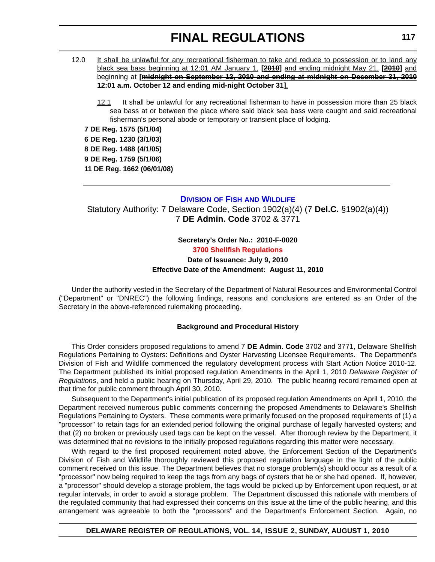- <span id="page-54-0"></span>12.0 It shall be unlawful for any recreational fisherman to take and reduce to possession or to land any black sea bass beginning at 12:01 AM January 1, **[2010]** and ending midnight May 21, **[2010]** and beginning at **[midnight on September 12, 2010 and ending at midnight on December 31, 2010 12:01 a.m. October 12 and ending mid-night October 31]**.
	- 12.1 It shall be unlawful for any recreational fisherman to have in possession more than 25 black sea bass at or between the place where said black sea bass were caught and said recreational fisherman's personal abode or temporary or transient place of lodging.

**7 DE Reg. 1575 (5/1/04) 6 DE Reg. 1230 (3/1/03) 8 DE Reg. 1488 (4/1/05) 9 DE Reg. 1759 (5/1/06) 11 DE Reg. 1662 (06/01/08)**

#### **DIVISION OF FISH [AND WILDLIFE](http://www.fw.delaware.gov/Pages/FWPortal.aspx)**

Statutory Authority: 7 Delaware Code, Section 1902(a)(4) (7 **Del.C.** §1902(a)(4)) 7 **DE Admin. Code** 3702 & 3771

#### **Secretary's Order No.: 2010-F-0020 [3700 Shellfish Regulations](#page-4-0) Date of Issuance: July 9, 2010 Effective Date of the Amendment: August 11, 2010**

Under the authority vested in the Secretary of the Department of Natural Resources and Environmental Control ("Department" or "DNREC") the following findings, reasons and conclusions are entered as an Order of the Secretary in the above-referenced rulemaking proceeding.

#### **Background and Procedural History**

This Order considers proposed regulations to amend 7 **DE Admin. Code** 3702 and 3771, Delaware Shellfish Regulations Pertaining to Oysters: Definitions and Oyster Harvesting Licensee Requirements. The Department's Division of Fish and Wildlife commenced the regulatory development process with Start Action Notice 2010-12. The Department published its initial proposed regulation Amendments in the April 1, 2010 *Delaware Register of Regulations*, and held a public hearing on Thursday, April 29, 2010. The public hearing record remained open at that time for public comment through April 30, 2010.

Subsequent to the Department's initial publication of its proposed regulation Amendments on April 1, 2010, the Department received numerous public comments concerning the proposed Amendments to Delaware's Shellfish Regulations Pertaining to Oysters. These comments were primarily focused on the proposed requirements of (1) a "processor" to retain tags for an extended period following the original purchase of legally harvested oysters; and that (2) no broken or previously used tags can be kept on the vessel. After thorough review by the Department, it was determined that no revisions to the initially proposed regulations regarding this matter were necessary.

With regard to the first proposed requirement noted above, the Enforcement Section of the Department's Division of Fish and Wildlife thoroughly reviewed this proposed regulation language in the light of the public comment received on this issue. The Department believes that no storage problem(s) should occur as a result of a "processor" now being required to keep the tags from any bags of oysters that he or she had opened. If, however, a "processor" should develop a storage problem, the tags would be picked up by Enforcement upon request, or at regular intervals, in order to avoid a storage problem. The Department discussed this rationale with members of the regulated community that had expressed their concerns on this issue at the time of the public hearing, and this arrangement was agreeable to both the "processors" and the Department's Enforcement Section. Again, no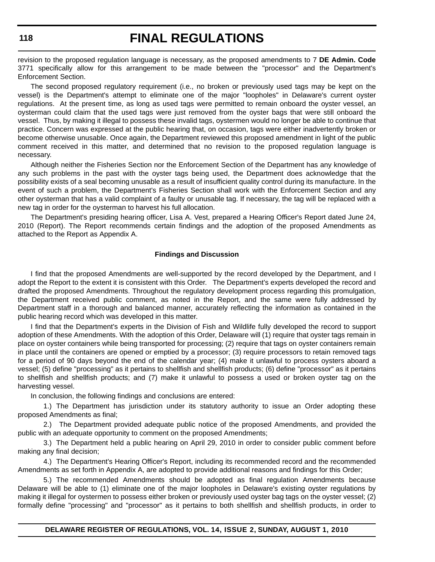revision to the proposed regulation language is necessary, as the proposed amendments to 7 **DE Admin. Code** 3771 specifically allow for this arrangement to be made between the "processor" and the Department's Enforcement Section.

The second proposed regulatory requirement (i.e., no broken or previously used tags may be kept on the vessel) is the Department's attempt to eliminate one of the major "loopholes" in Delaware's current oyster regulations. At the present time, as long as used tags were permitted to remain onboard the oyster vessel, an oysterman could claim that the used tags were just removed from the oyster bags that were still onboard the vessel. Thus, by making it illegal to possess these invalid tags, oystermen would no longer be able to continue that practice. Concern was expressed at the public hearing that, on occasion, tags were either inadvertently broken or become otherwise unusable. Once again, the Department reviewed this proposed amendment in light of the public comment received in this matter, and determined that no revision to the proposed regulation language is necessary.

Although neither the Fisheries Section nor the Enforcement Section of the Department has any knowledge of any such problems in the past with the oyster tags being used, the Department does acknowledge that the possibility exists of a seal becoming unusable as a result of insufficient quality control during its manufacture. In the event of such a problem, the Department's Fisheries Section shall work with the Enforcement Section and any other oysterman that has a valid complaint of a faulty or unusable tag. If necessary, the tag will be replaced with a new tag in order for the oysterman to harvest his full allocation.

The Department's presiding hearing officer, Lisa A. Vest, prepared a Hearing Officer's Report dated June 24, 2010 (Report). The Report recommends certain findings and the adoption of the proposed Amendments as attached to the Report as Appendix A.

#### **Findings and Discussion**

I find that the proposed Amendments are well-supported by the record developed by the Department, and I adopt the Report to the extent it is consistent with this Order. The Department's experts developed the record and drafted the proposed Amendments. Throughout the regulatory development process regarding this promulgation, the Department received public comment, as noted in the Report, and the same were fully addressed by Department staff in a thorough and balanced manner, accurately reflecting the information as contained in the public hearing record which was developed in this matter.

I find that the Department's experts in the Division of Fish and Wildlife fully developed the record to support adoption of these Amendments. With the adoption of this Order, Delaware will (1) require that oyster tags remain in place on oyster containers while being transported for processing; (2) require that tags on oyster containers remain in place until the containers are opened or emptied by a processor; (3) require processors to retain removed tags for a period of 90 days beyond the end of the calendar year; (4) make it unlawful to process oysters aboard a vessel; (5) define "processing" as it pertains to shellfish and shellfish products; (6) define "processor" as it pertains to shellfish and shellfish products; and (7) make it unlawful to possess a used or broken oyster tag on the harvesting vessel.

In conclusion, the following findings and conclusions are entered:

1.) The Department has jurisdiction under its statutory authority to issue an Order adopting these proposed Amendments as final;

2.) The Department provided adequate public notice of the proposed Amendments, and provided the public with an adequate opportunity to comment on the proposed Amendments;

3.) The Department held a public hearing on April 29, 2010 in order to consider public comment before making any final decision;

4.) The Department's Hearing Officer's Report, including its recommended record and the recommended Amendments as set forth in Appendix A, are adopted to provide additional reasons and findings for this Order;

5.) The recommended Amendments should be adopted as final regulation Amendments because Delaware will be able to (1) eliminate one of the major loopholes in Delaware's existing oyster regulations by making it illegal for oystermen to possess either broken or previously used oyster bag tags on the oyster vessel; (2) formally define "processing" and "processor" as it pertains to both shellfish and shellfish products, in order to

**DELAWARE REGISTER OF REGULATIONS, VOL. 14, ISSUE 2, SUNDAY, AUGUST 1, 2010**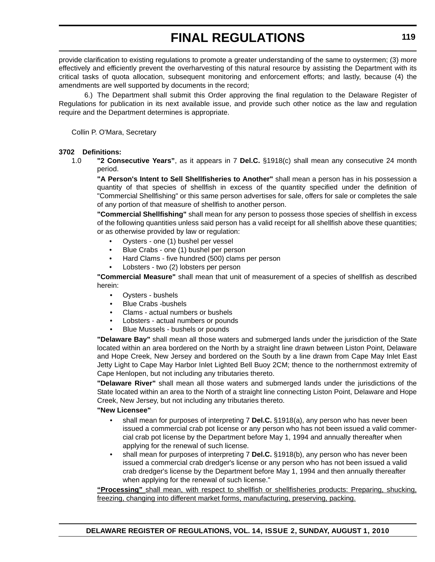provide clarification to existing regulations to promote a greater understanding of the same to oystermen; (3) more effectively and efficiently prevent the overharvesting of this natural resource by assisting the Department with its critical tasks of quota allocation, subsequent monitoring and enforcement efforts; and lastly, because (4) the amendments are well supported by documents in the record;

6.) The Department shall submit this Order approving the final regulation to the Delaware Register of Regulations for publication in its next available issue, and provide such other notice as the law and regulation require and the Department determines is appropriate.

Collin P. O'Mara, Secretary

#### **3702 Definitions:**

1.0 **"2 Consecutive Years"**, as it appears in 7 **Del.C.** §1918(c) shall mean any consecutive 24 month period.

**"A Person's Intent to Sell Shellfisheries to Another"** shall mean a person has in his possession a quantity of that species of shellfish in excess of the quantity specified under the definition of "Commercial Shellfishing" or this same person advertises for sale, offers for sale or completes the sale of any portion of that measure of shellfish to another person.

**"Commercial Shellfishing"** shall mean for any person to possess those species of shellfish in excess of the following quantities unless said person has a valid receipt for all shellfish above these quantities; or as otherwise provided by law or regulation:

- Oysters one (1) bushel per vessel
- Blue Crabs one (1) bushel per person
- Hard Clams five hundred (500) clams per person
- Lobsters two (2) lobsters per person

**"Commercial Measure"** shall mean that unit of measurement of a species of shellfish as described herein:

- Oysters bushels
- Blue Crabs -bushels
- Clams actual numbers or bushels
- Lobsters actual numbers or pounds
- Blue Mussels bushels or pounds

**"Delaware Bay"** shall mean all those waters and submerged lands under the jurisdiction of the State located within an area bordered on the North by a straight line drawn between Liston Point, Delaware and Hope Creek, New Jersey and bordered on the South by a line drawn from Cape May Inlet East Jetty Light to Cape May Harbor Inlet Lighted Bell Buoy 2CM; thence to the northernmost extremity of Cape Henlopen, but not including any tributaries thereto.

**"Delaware River"** shall mean all those waters and submerged lands under the jurisdictions of the State located within an area to the North of a straight line connecting Liston Point, Delaware and Hope Creek, New Jersey, but not including any tributaries thereto.

#### **"New Licensee"**

- shall mean for purposes of interpreting 7 **Del.C.** §1918(a), any person who has never been issued a commercial crab pot license or any person who has not been issued a valid commercial crab pot license by the Department before May 1, 1994 and annually thereafter when applying for the renewal of such license.
- shall mean for purposes of interpreting 7 **Del.C.** §1918(b), any person who has never been issued a commercial crab dredger's license or any person who has not been issued a valid crab dredger's license by the Department before May 1, 1994 and then annually thereafter when applying for the renewal of such license."

**"Processing"** shall mean, with respect to shellfish or shellfisheries products: Preparing, shucking, freezing, changing into different market forms, manufacturing, preserving, packing.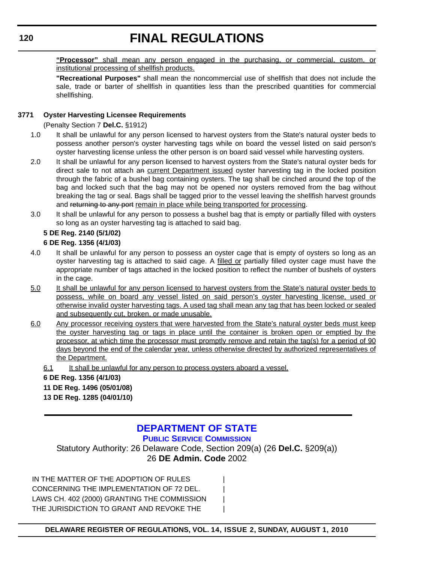<span id="page-57-0"></span>**"Processor"** shall mean any person engaged in the purchasing, or commercial, custom, or institutional processing of shellfish products.

**"Recreational Purposes"** shall mean the noncommercial use of shellfish that does not include the sale, trade or barter of shellfish in quantities less than the prescribed quantities for commercial shellfishing.

#### **3771 Oyster Harvesting Licensee Requirements**

(Penalty Section 7 **Del.C.** §1912)

- 1.0 It shall be unlawful for any person licensed to harvest oysters from the State's natural oyster beds to possess another person's oyster harvesting tags while on board the vessel listed on said person's oyster harvesting license unless the other person is on board said vessel while harvesting oysters.
- 2.0 It shall be unlawful for any person licensed to harvest oysters from the State's natural oyster beds for direct sale to not attach an current Department issued oyster harvesting tag in the locked position through the fabric of a bushel bag containing oysters. The tag shall be cinched around the top of the bag and locked such that the bag may not be opened nor oysters removed from the bag without breaking the tag or seal. Bags shall be tagged prior to the vessel leaving the shellfish harvest grounds and returning to any port remain in place while being transported for processing.
- 3.0 It shall be unlawful for any person to possess a bushel bag that is empty or partially filled with oysters so long as an oyster harvesting tag is attached to said bag.

### **5 DE Reg. 2140 (5/1/02)**

#### **6 DE Reg. 1356 (4/1/03)**

- 4.0 It shall be unlawful for any person to possess an oyster cage that is empty of oysters so long as an oyster harvesting tag is attached to said cage. A filled or partially filled oyster cage must have the appropriate number of tags attached in the locked position to reflect the number of bushels of oysters in the cage.
- 5.0 It shall be unlawful for any person licensed to harvest oysters from the State's natural oyster beds to possess, while on board any vessel listed on said person's oyster harvesting license, used or otherwise invalid oyster harvesting tags. A used tag shall mean any tag that has been locked or sealed and subsequently cut, broken, or made unusable.
- 6.0 Any processor receiving oysters that were harvested from the State's natural oyster beds must keep the oyster harvesting tag or tags in place until the container is broken open or emptied by the processor, at which time the processor must promptly remove and retain the tag(s) for a period of 90 days beyond the end of the calendar year, unless otherwise directed by authorized representatives of the Department.
	- 6.1 It shall be unlawful for any person to process oysters aboard a vessel.

### **6 DE Reg. 1356 (4/1/03)**

#### **11 DE Reg. 1496 (05/01/08)**

**13 DE Reg. 1285 (04/01/10)**

### **[DEPARTMENT OF STATE](http://depsc.delaware.gov/default.shtml)**

**PUBLIC SERVICE COMMISSION**

Statutory Authority: 26 Delaware Code, Section 209(a) (26 **Del.C.** §209(a)) 26 **DE Admin. Code** 2002

IN THE MATTER OF THE ADOPTION OF RULES CONCERNING THE IMPLEMENTATION OF 72 DEL. LAWS CH. 402 (2000) GRANTING THE COMMISSION | THE JURISDICTION TO GRANT AND REVOKE THE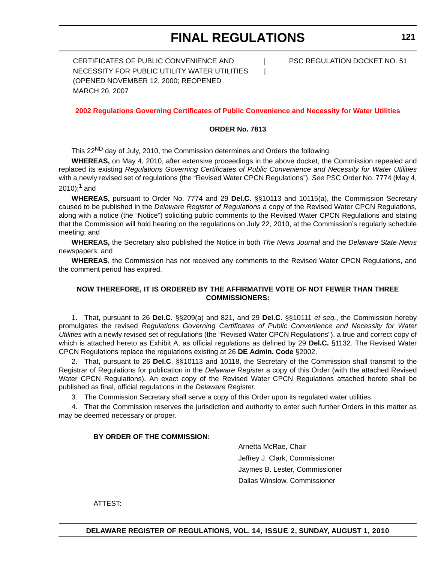CERTIFICATES OF PUBLIC CONVENIENCE AND  $\qquad$  PSC REGULATION DOCKET NO. 51 NECESSITY FOR PUBLIC UTILITY WATER UTILITIES | (OPENED NOVEMBER 12, 2000; REOPENED MARCH 20, 2007

#### **[2002 Regulations Governing Certificates of Public Convenience and Necessity for Water Utilities](#page-4-0)**

#### **ORDER No. 7813**

This 22<sup>ND</sup> day of July, 2010, the Commission determines and Orders the following:

**WHEREAS,** on May 4, 2010, after extensive proceedings in the above docket, the Commission repealed and replaced its existing *Regulations Governing Certificates of Public Convenience and Necessity for Water Utilities* with a newly revised set of regulations (the "Revised Water CPCN Regulations"). *See* PSC Order No. 7774 (May 4,  $2010$ ;<sup>1</sup> and

**WHEREAS,** pursuant to Order No. 7774 and 29 **Del.C.** §§10113 and 10115(a), the Commission Secretary caused to be published in the *Delaware Register of Regulations* a copy of the Revised Water CPCN Regulations, along with a notice (the "Notice") soliciting public comments to the Revised Water CPCN Regulations and stating that the Commission will hold hearing on the regulations on July 22, 2010, at the Commission's regularly schedule meeting; and

**WHEREAS,** the Secretary also published the Notice in both *The News Journal* and the *Delaware State News* newspapers; and

**WHEREAS**, the Commission has not received any comments to the Revised Water CPCN Regulations, and the comment period has expired.

#### **NOW THEREFORE, IT IS ORDERED BY THE AFFIRMATIVE VOTE OF NOT FEWER THAN THREE COMMISSIONERS:**

1. That, pursuant to 26 **Del.C.** §§209(a) and 821, and 29 **Del.C.** §§10111 *et seq.*, the Commission hereby promulgates the revised *Regulations Governing Certificates of Public Convenience and Necessity for Water Utilities* with a newly revised set of regulations (the "Revised Water CPCN Regulations"), a true and correct copy of which is attached hereto as Exhibit A, as official regulations as defined by 29 **Del.C.** §1132. The Revised Water CPCN Regulations replace the regulations existing at 26 **DE Admin. Code** §2002.

2. That, pursuant to 26 **Del.C**. §§10113 and 10118, the Secretary of the Commission shall transmit to the Registrar of Regulations for publication in the *Delaware Register* a copy of this Order (with the attached Revised Water CPCN Regulations). An exact copy of the Revised Water CPCN Regulations attached hereto shall be published as final, official regulations in the *Delaware Register*.

3. The Commission Secretary shall serve a copy of this Order upon its regulated water utilities.

4. That the Commission reserves the jurisdiction and authority to enter such further Orders in this matter as may be deemed necessary or proper.

#### **BY ORDER OF THE COMMISSION:**

Arnetta McRae, Chair Jeffrey J. Clark, Commissioner Jaymes B. Lester, Commissioner Dallas Winslow, Commissioner

ATTEST: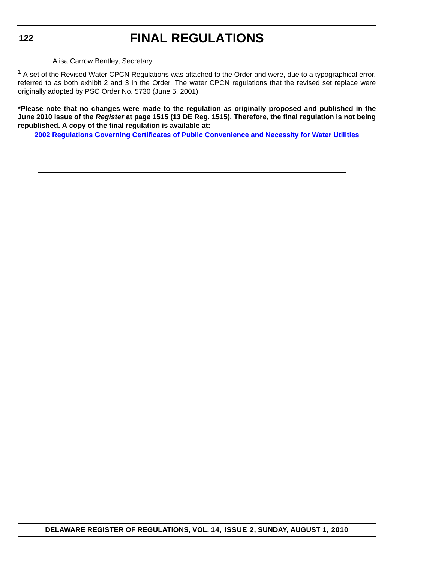#### Alisa Carrow Bentley, Secretary

 $1$  A set of the Revised Water CPCN Regulations was attached to the Order and were, due to a typographical error, referred to as both exhibit 2 and 3 in the Order. The water CPCN regulations that the revised set replace were originally adopted by PSC Order No. 5730 (June 5, 2001).

**\*Please note that no changes were made to the regulation as originally proposed and published in the June 2010 issue of the** *Register* **at page 1515 (13 DE Reg. 1515). Therefore, the final regulation is not being republished. A copy of the final regulation is available at:**

**[2002 Regulations Governing Certificates of Public Convenience and Necessity for Water Utilities](http://regulations.delaware.gov/register/august2010/proposed/14 DE Reg 120 08-01-10.htm)**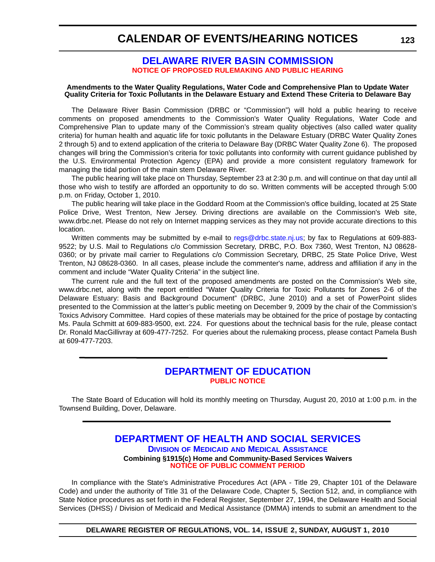### <span id="page-60-0"></span>**CALENDAR OF EVENTS/HEARING NOTICES**

#### **[DELAWARE RIVER BASIN COMMISSION](http://www.state.nj.us/drbc/) [NOTICE OF PROPOSED RULEMAKING AND PUBLIC HEARING](#page-4-0)**

#### **Amendments to the Water Quality Regulations, Water Code and Comprehensive Plan to Update Water Quality Criteria for Toxic Pollutants in the Delaware Estuary and Extend These Criteria to Delaware Bay**

The Delaware River Basin Commission (DRBC or "Commission") will hold a public hearing to receive comments on proposed amendments to the Commission's Water Quality Regulations, Water Code and Comprehensive Plan to update many of the Commission's stream quality objectives (also called water quality criteria) for human health and aquatic life for toxic pollutants in the Delaware Estuary (DRBC Water Quality Zones 2 through 5) and to extend application of the criteria to Delaware Bay (DRBC Water Quality Zone 6). The proposed changes will bring the Commission's criteria for toxic pollutants into conformity with current guidance published by the U.S. Environmental Protection Agency (EPA) and provide a more consistent regulatory framework for managing the tidal portion of the main stem Delaware River.

The public hearing will take place on Thursday, September 23 at 2:30 p.m. and will continue on that day until all those who wish to testify are afforded an opportunity to do so. Written comments will be accepted through 5:00 p.m. on Friday, October 1, 2010.

The public hearing will take place in the Goddard Room at the Commission's office building, located at 25 State Police Drive, West Trenton, New Jersey. Driving directions are available on the Commission's Web site, www.drbc.net. Please do not rely on Internet mapping services as they may not provide accurate directions to this location.

Written comments may be submitted by e-mail to [regs@drbc.state.nj.us;](mailto:regs@drbc.state.nj.us) by fax to Regulations at 609-883- 9522; by U.S. Mail to Regulations c/o Commission Secretary, DRBC, P.O. Box 7360, West Trenton, NJ 08628- 0360; or by private mail carrier to Regulations c/o Commission Secretary, DRBC, 25 State Police Drive, West Trenton, NJ 08628-0360. In all cases, please include the commenter's name, address and affiliation if any in the comment and include "Water Quality Criteria" in the subject line.

The current rule and the full text of the proposed amendments are posted on the Commission's Web site, www.drbc.net, along with the report entitled "Water Quality Criteria for Toxic Pollutants for Zones 2-6 of the Delaware Estuary: Basis and Background Document" (DRBC, June 2010) and a set of PowerPoint slides [presented to the Commission at the latter's public meeting on December 9, 2009 by the chair of the Commission's](http://frwebgate.access.gpo.gov/cgi-bin/leaving.cgi?from=leavingFR.html&log=linklog&to=http://www.drbc.net) Toxics Advisory Committee. Hard copies of these materials may be obtained for the price of postage by contacting Ms. Paula Schmitt at 609-883-9500, ext. 224. For questions about the technical basis for the rule, please contact Dr. Ronald MacGillivray at 609-477-7252. For queries about the rulemaking process, please contact Pamela Bush at 609-477-7203.

### **[DEPARTMENT OF EDUCATION](http://www.doe.k12.de.us/) [PUBLIC NOTICE](#page-4-0)**

The State Board of Education will hold its monthly meeting on Thursday, August 20, 2010 at 1:00 p.m. in the Townsend Building, Dover, Delaware.

#### **[DEPARTMENT OF HEALTH AND SOCIAL SERVICES](http://www.dhss.delaware.gov/dhss/dmma/) DIVISION OF MEDICAID AND MEDICAL ASSISTANCE Combining §1915(c) Home and Community-Based Services Waivers [NOTICE OF PUBLIC COMMENT PERIOD](#page-4-0)**

In compliance with the State's Administrative Procedures Act (APA - Title 29, Chapter 101 of the Delaware Code) and under the authority of Title 31 of the Delaware Code, Chapter 5, Section 512, and, in compliance with State Notice procedures as set forth in the Federal Register, September 27, 1994, the Delaware Health and Social Services (DHSS) / Division of Medicaid and Medical Assistance (DMMA) intends to submit an amendment to the

**DELAWARE REGISTER OF REGULATIONS, VOL. 14, ISSUE 2, SUNDAY, AUGUST 1, 2010**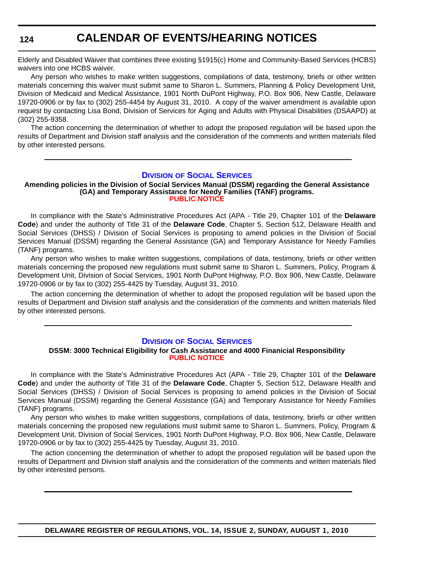**124**

### **CALENDAR OF EVENTS/HEARING NOTICES**

Elderly and Disabled Waiver that combines three existing §1915(c) Home and Community-Based Services (HCBS) waivers into one HCBS waiver.

Any person who wishes to make written suggestions, compilations of data, testimony, briefs or other written materials concerning this waiver must submit same to Sharon L. Summers, Planning & Policy Development Unit, Division of Medicaid and Medical Assistance, 1901 North DuPont Highway, P.O. Box 906, New Castle, Delaware 19720-0906 or by fax to (302) 255-4454 by August 31, 2010. A copy of the waiver amendment is available upon request by contacting Lisa Bond, Division of Services for Aging and Adults with Physical Disabilities (DSAAPD) at (302) 255-9358.

The action concerning the determination of whether to adopt the proposed regulation will be based upon the results of Department and Division staff analysis and the consideration of the comments and written materials filed by other interested persons.

#### **DIVISION [OF SOCIAL SERVICES](http://www.dhss.delaware.gov/dhss/dss/)**

#### **Amending policies in the Division of Social Services Manual (DSSM) regarding the General Assistance (GA) and Temporary Assistance for Needy Families (TANF) programs. [PUBLIC NOTICE](#page-4-0)**

In compliance with the State's Administrative Procedures Act (APA - Title 29, Chapter 101 of the **Delaware Code**) and under the authority of Title 31 of the **Delaware Code**, Chapter 5, Section 512, Delaware Health and Social Services (DHSS) / Division of Social Services is proposing to amend policies in the Division of Social Services Manual (DSSM) regarding the General Assistance (GA) and Temporary Assistance for Needy Families (TANF) programs.

Any person who wishes to make written suggestions, compilations of data, testimony, briefs or other written materials concerning the proposed new regulations must submit same to Sharon L. Summers, Policy, Program & Development Unit, Division of Social Services, 1901 North DuPont Highway, P.O. Box 906, New Castle, Delaware 19720-0906 or by fax to (302) 255-4425 by Tuesday, August 31, 2010.

The action concerning the determination of whether to adopt the proposed regulation will be based upon the results of Department and Division staff analysis and the consideration of the comments and written materials filed by other interested persons.

#### **DIVISION [OF SOCIAL SERVICES](http://www.dhss.delaware.gov/dhss/dss/)**

#### **DSSM: 3000 Technical Eligibility for Cash Assistance and 4000 Finanicial Responsibility [PUBLIC NOTICE](#page-4-0)**

In compliance with the State's Administrative Procedures Act (APA - Title 29, Chapter 101 of the **Delaware Code**) and under the authority of Title 31 of the **Delaware Code**, Chapter 5, Section 512, Delaware Health and Social Services (DHSS) / Division of Social Services is proposing to amend policies in the Division of Social Services Manual (DSSM) regarding the General Assistance (GA) and Temporary Assistance for Needy Families (TANF) programs.

Any person who wishes to make written suggestions, compilations of data, testimony, briefs or other written materials concerning the proposed new regulations must submit same to Sharon L. Summers, Policy, Program & Development Unit, Division of Social Services, 1901 North DuPont Highway, P.O. Box 906, New Castle, Delaware 19720-0906 or by fax to (302) 255-4425 by Tuesday, August 31, 2010.

The action concerning the determination of whether to adopt the proposed regulation will be based upon the results of Department and Division staff analysis and the consideration of the comments and written materials filed by other interested persons.